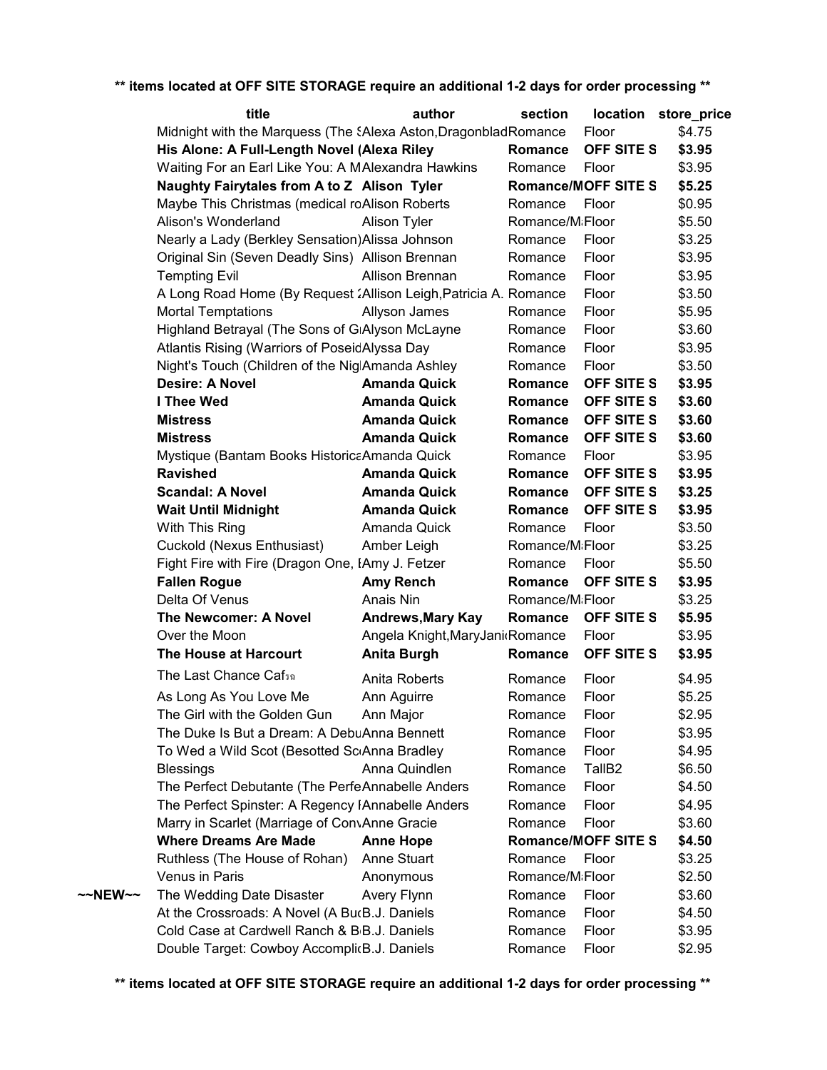|         | title                                                            | author                          | section                      | location                   | store_price |
|---------|------------------------------------------------------------------|---------------------------------|------------------------------|----------------------------|-------------|
|         | Midnight with the Marquess (The SAlexa Aston, Dragonblad Romance |                                 |                              | Floor                      | \$4.75      |
|         | His Alone: A Full-Length Novel (Alexa Riley                      |                                 | Romance                      | OFF SITE S                 | \$3.95      |
|         | Waiting For an Earl Like You: A MAlexandra Hawkins               |                                 | Romance                      | Floor                      | \$3.95      |
|         | Naughty Fairytales from A to Z Alison Tyler                      |                                 |                              | <b>Romance/MOFF SITE S</b> | \$5.25      |
|         | Maybe This Christmas (medical roAlison Roberts                   |                                 | Romance                      | Floor                      | \$0.95      |
|         | Alison's Wonderland                                              | Alison Tyler                    | Romance/MiFloor              |                            | \$5.50      |
|         | Nearly a Lady (Berkley Sensation) Alissa Johnson                 |                                 | Romance                      | Floor                      | \$3.25      |
|         | Original Sin (Seven Deadly Sins) Allison Brennan                 |                                 | Romance                      | Floor                      | \$3.95      |
|         | <b>Tempting Evil</b>                                             | Allison Brennan                 | Romance                      | Floor                      | \$3.95      |
|         | A Long Road Home (By Request 2Allison Leigh, Patricia A. Romance |                                 |                              | Floor                      | \$3.50      |
|         | <b>Mortal Temptations</b>                                        | Allyson James                   | Romance                      | Floor                      | \$5.95      |
|         | Highland Betrayal (The Sons of GiAlyson McLayne                  |                                 | Romance                      | Floor                      | \$3.60      |
|         | Atlantis Rising (Warriors of PoseidAlyssa Day                    |                                 | Romance                      | Floor                      | \$3.95      |
|         | Night's Touch (Children of the NiglAmanda Ashley                 |                                 | Romance                      | Floor                      | \$3.50      |
|         | <b>Desire: A Novel</b>                                           | <b>Amanda Quick</b>             | <b>Romance</b>               | OFF SITE S                 | \$3.95      |
|         | I Thee Wed                                                       | <b>Amanda Quick</b>             | <b>Romance</b>               | OFF SITE S                 | \$3.60      |
|         | <b>Mistress</b>                                                  | <b>Amanda Quick</b>             | <b>Romance</b>               | OFF SITE S                 | \$3.60      |
|         | <b>Mistress</b>                                                  | <b>Amanda Quick</b>             | <b>Romance</b>               | OFF SITE S                 | \$3.60      |
|         | Mystique (Bantam Books Historica Amanda Quick                    |                                 | Romance                      | Floor                      | \$3.95      |
|         | <b>Ravished</b>                                                  | <b>Amanda Quick</b>             | Romance                      | OFF SITE S                 | \$3.95      |
|         | <b>Scandal: A Novel</b>                                          | <b>Amanda Quick</b>             | Romance                      | OFF SITE S                 | \$3.25      |
|         | <b>Wait Until Midnight</b>                                       | <b>Amanda Quick</b>             | Romance                      | OFF SITE S                 | \$3.95      |
|         | With This Ring                                                   | Amanda Quick                    | Romance                      | Floor                      | \$3.50      |
|         | Cuckold (Nexus Enthusiast)                                       | Amber Leigh                     | Romance/MiFloor              |                            | \$3.25      |
|         | Fight Fire with Fire (Dragon One, IAmy J. Fetzer                 |                                 | Romance                      | Floor                      | \$5.50      |
|         | <b>Fallen Rogue</b>                                              | <b>Amy Rench</b>                | <b>Romance</b>               | OFF SITE S                 | \$3.95      |
|         | Delta Of Venus                                                   | Anais Nin                       | Romance/M <sub>i</sub> Floor |                            | \$3.25      |
|         | The Newcomer: A Novel                                            | <b>Andrews, Mary Kay</b>        | Romance                      | OFF SITE S                 | \$5.95      |
|         | Over the Moon                                                    | Angela Knight, MaryJani Romance |                              | Floor                      | \$3.95      |
|         | The House at Harcourt                                            | <b>Anita Burgh</b>              | Romance                      | OFF SITE S                 | \$3.95      |
|         | The Last Chance Caf <sub>50</sub>                                | Anita Roberts                   | Romance                      | Floor                      | \$4.95      |
|         | As Long As You Love Me                                           | Ann Aguirre                     | Romance                      | Floor                      | \$5.25      |
|         | The Girl with the Golden Gun                                     | Ann Major                       | Romance                      | Floor                      | \$2.95      |
|         | The Duke Is But a Dream: A DebuAnna Bennett                      |                                 | Romance                      | Floor                      | \$3.95      |
|         | To Wed a Wild Scot (Besotted ScrAnna Bradley                     |                                 | Romance                      | Floor                      | \$4.95      |
|         | <b>Blessings</b>                                                 | Anna Quindlen                   | Romance                      | TallB <sub>2</sub>         | \$6.50      |
|         | The Perfect Debutante (The PerfeAnnabelle Anders                 |                                 | Romance                      | Floor                      | \$4.50      |
|         | The Perfect Spinster: A Regency IAnnabelle Anders                |                                 | Romance                      | Floor                      | \$4.95      |
|         | Marry in Scarlet (Marriage of ConvAnne Gracie                    |                                 | Romance                      | Floor                      | \$3.60      |
|         | <b>Where Dreams Are Made</b>                                     | <b>Anne Hope</b>                |                              | <b>Romance/MOFF SITE S</b> | \$4.50      |
|         | Ruthless (The House of Rohan)                                    | Anne Stuart                     | Romance                      | Floor                      | \$3.25      |
|         | Venus in Paris                                                   | Anonymous                       | Romance/M <sub>i</sub> Floor |                            | \$2.50      |
| ~~NEW~~ | The Wedding Date Disaster                                        | Avery Flynn                     | Romance                      | Floor                      | \$3.60      |
|         | At the Crossroads: A Novel (A BucB.J. Daniels                    |                                 | Romance                      | Floor                      | \$4.50      |
|         | Cold Case at Cardwell Ranch & B <sub>I</sub> B.J. Daniels        |                                 | Romance                      | Floor                      | \$3.95      |
|         | Double Target: Cowboy AccomplicB.J. Daniels                      |                                 | Romance                      | Floor                      | \$2.95      |
|         |                                                                  |                                 |                              |                            |             |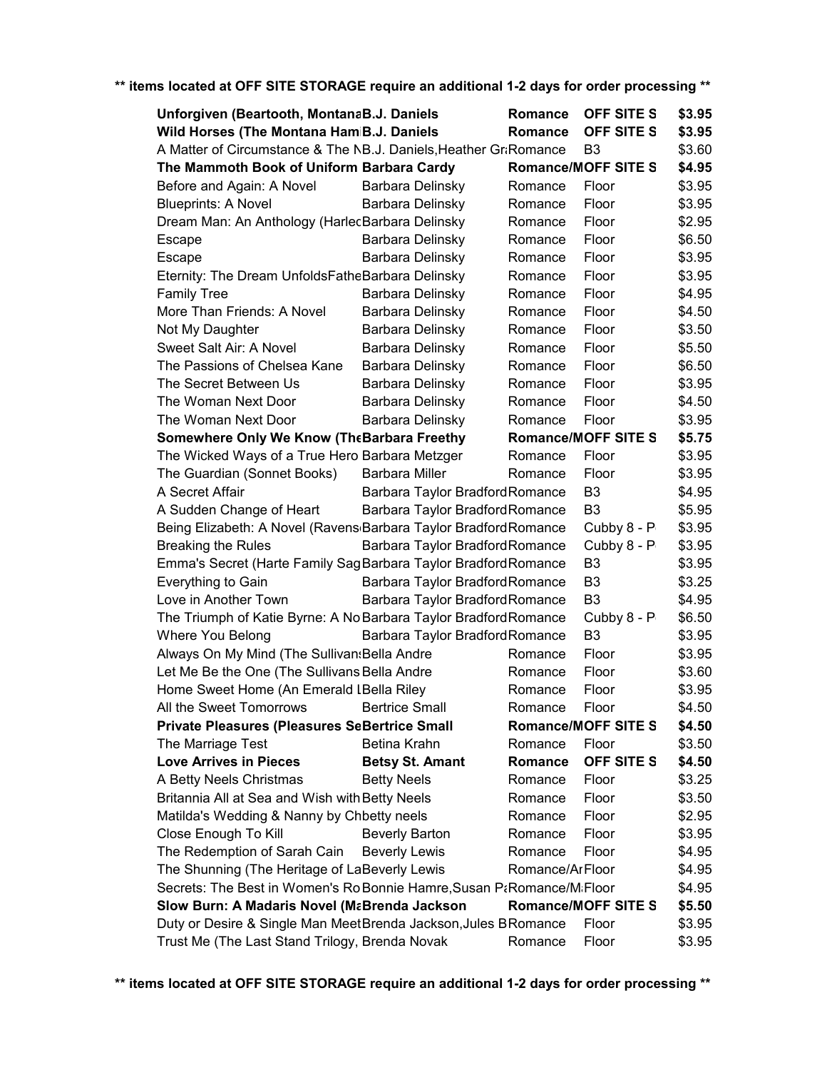| Unforgiven (Beartooth, MontanaB.J. Daniels                                    |                                 | Romance         | OFF SITE S                       | \$3.95 |
|-------------------------------------------------------------------------------|---------------------------------|-----------------|----------------------------------|--------|
| Wild Horses (The Montana HamiB.J. Daniels                                     |                                 | Romance         | OFF SITE S                       | \$3.95 |
| A Matter of Circumstance & The NB.J. Daniels, Heather Gr:Romance              |                                 |                 | B <sub>3</sub>                   | \$3.60 |
| The Mammoth Book of Uniform Barbara Cardy                                     |                                 |                 | <b>Romance/MOFF SITE S</b>       | \$4.95 |
| Before and Again: A Novel                                                     | Barbara Delinsky                | Romance         | Floor                            | \$3.95 |
| <b>Blueprints: A Novel</b>                                                    | Barbara Delinsky                | Romance         | Floor                            | \$3.95 |
| Dream Man: An Anthology (HarlecBarbara Delinsky                               |                                 | Romance         | Floor                            | \$2.95 |
| Escape                                                                        | Barbara Delinsky                | Romance         | Floor                            | \$6.50 |
| Escape                                                                        | Barbara Delinsky                | Romance         | Floor                            | \$3.95 |
| Eternity: The Dream UnfoldsFatheBarbara Delinsky                              |                                 | Romance         | Floor                            | \$3.95 |
| <b>Family Tree</b>                                                            | Barbara Delinsky                | Romance         | Floor                            | \$4.95 |
| More Than Friends: A Novel                                                    | Barbara Delinsky                | Romance         | Floor                            | \$4.50 |
| Not My Daughter                                                               | Barbara Delinsky                | Romance         | Floor                            | \$3.50 |
| Sweet Salt Air: A Novel                                                       | Barbara Delinsky                | Romance         | Floor                            | \$5.50 |
| The Passions of Chelsea Kane                                                  | Barbara Delinsky                | Romance         | Floor                            | \$6.50 |
| The Secret Between Us                                                         | Barbara Delinsky                | Romance         | Floor                            | \$3.95 |
| The Woman Next Door                                                           | Barbara Delinsky                | Romance         | Floor                            | \$4.50 |
| The Woman Next Door                                                           | Barbara Delinsky                | Romance         | Floor                            | \$3.95 |
| Somewhere Only We Know (The Barbara Freethy                                   |                                 |                 | <b>Romance/MOFF SITE S</b>       | \$5.75 |
| The Wicked Ways of a True Hero Barbara Metzger                                |                                 | Romance         | Floor                            | \$3.95 |
| The Guardian (Sonnet Books)                                                   | <b>Barbara Miller</b>           | Romance         | Floor                            | \$3.95 |
| A Secret Affair                                                               | Barbara Taylor Bradford Romance |                 | B <sub>3</sub>                   | \$4.95 |
|                                                                               |                                 |                 | B <sub>3</sub>                   | \$5.95 |
| A Sudden Change of Heart                                                      | Barbara Taylor Bradford Romance |                 |                                  | \$3.95 |
| Being Elizabeth: A Novel (Ravens <sub>'</sub> Barbara Taylor Bradford Romance |                                 |                 | Cubby 8 - P                      |        |
| <b>Breaking the Rules</b>                                                     | Barbara Taylor Bradford Romance |                 | Cubby 8 - P<br>B <sub>3</sub>    | \$3.95 |
| Emma's Secret (Harte Family Sag Barbara Taylor Bradford Romance               |                                 |                 |                                  | \$3.95 |
| Everything to Gain                                                            | Barbara Taylor Bradford Romance |                 | B <sub>3</sub><br>B <sub>3</sub> | \$3.25 |
| Love in Another Town                                                          | Barbara Taylor Bradford Romance |                 |                                  | \$4.95 |
| The Triumph of Katie Byrne: A No Barbara Taylor Bradford Romance              |                                 |                 | Cubby 8 - P                      | \$6.50 |
| Where You Belong                                                              | Barbara Taylor Bradford Romance |                 | B <sub>3</sub>                   | \$3.95 |
| Always On My Mind (The Sullivan: Bella Andre                                  |                                 | Romance         | Floor                            | \$3.95 |
| Let Me Be the One (The Sullivans Bella Andre                                  |                                 | Romance         | Floor                            | \$3.60 |
| Home Sweet Home (An Emerald IBella Riley                                      |                                 | Romance         | Floor                            | \$3.95 |
| All the Sweet Tomorrows                                                       | <b>Bertrice Small</b>           | Romance         | Floor                            | \$4.50 |
| <b>Private Pleasures (Pleasures SeBertrice Small</b>                          |                                 |                 | <b>Romance/MOFF SITE S</b>       | \$4.50 |
| The Marriage Test                                                             | Betina Krahn                    | Romance         | Floor                            | \$3.50 |
| <b>Love Arrives in Pieces</b>                                                 | <b>Betsy St. Amant</b>          | Romance         | <b>OFF SITE S</b>                | \$4.50 |
| A Betty Neels Christmas                                                       | <b>Betty Neels</b>              | Romance         | Floor                            | \$3.25 |
| Britannia All at Sea and Wish with Betty Neels                                |                                 | Romance         | Floor                            | \$3.50 |
| Matilda's Wedding & Nanny by Chbetty neels                                    |                                 | Romance         | Floor                            | \$2.95 |
| Close Enough To Kill                                                          | <b>Beverly Barton</b>           | Romance         | Floor                            | \$3.95 |
| The Redemption of Sarah Cain                                                  | <b>Beverly Lewis</b>            | Romance         | Floor                            | \$4.95 |
| The Shunning (The Heritage of LaBeverly Lewis                                 |                                 | Romance/ArFloor |                                  | \$4.95 |
| Secrets: The Best in Women's RoBonnie Hamre, Susan P: Romance/M: Floor        |                                 |                 |                                  | \$4.95 |
| Slow Burn: A Madaris Novel (MaBrenda Jackson                                  |                                 |                 | <b>Romance/MOFF SITE S</b>       | \$5.50 |
| Duty or Desire & Single Man MeetBrenda Jackson, Jules BRomance                |                                 |                 | Floor                            | \$3.95 |
| Trust Me (The Last Stand Trilogy, Brenda Novak                                |                                 | Romance         | Floor                            | \$3.95 |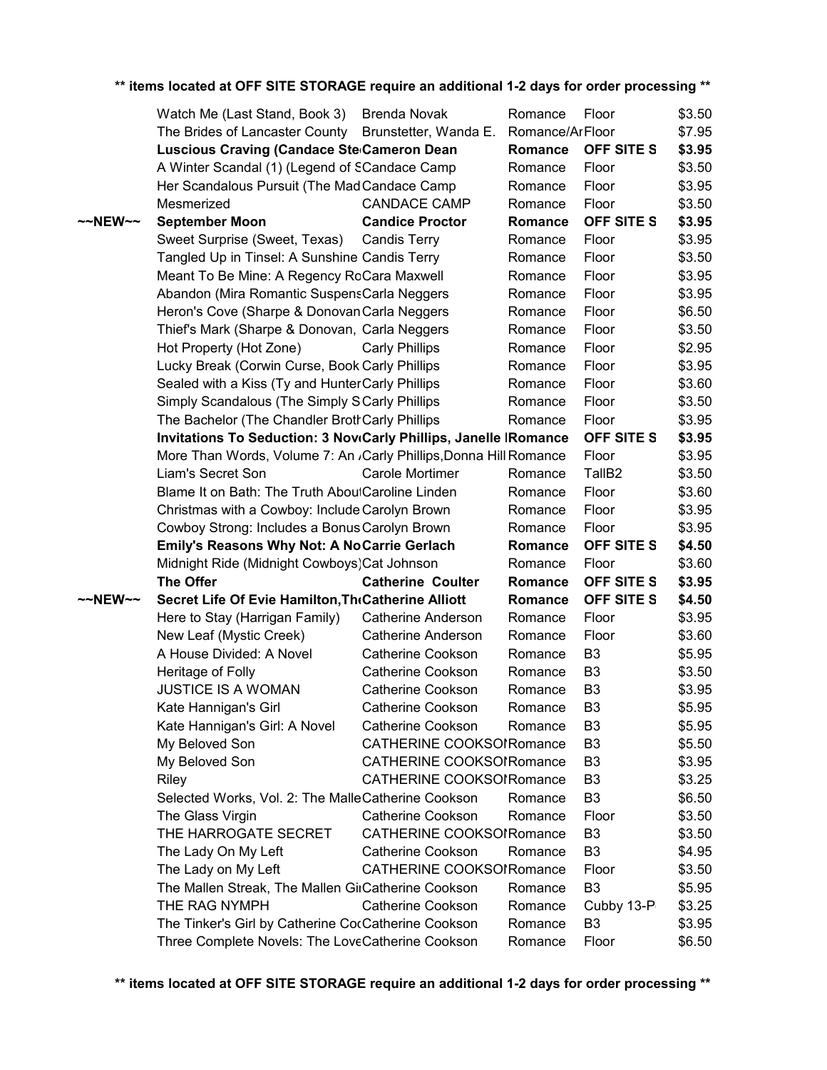|                   | Watch Me (Last Stand, Book 3) Brenda Novak                                    |                                 | Romance | Floor              | \$3.50 |
|-------------------|-------------------------------------------------------------------------------|---------------------------------|---------|--------------------|--------|
|                   | The Brides of Lancaster County Brunstetter, Wanda E. Romance/ArFloor          |                                 |         |                    | \$7.95 |
|                   | Luscious Craving (Candace Ste Cameron Dean                                    |                                 | Romance | <b>OFF SITE S</b>  | \$3.95 |
|                   | A Winter Scandal (1) (Legend of SCandace Camp                                 |                                 | Romance | Floor              | \$3.50 |
|                   | Her Scandalous Pursuit (The Mad Candace Camp                                  |                                 | Romance | Floor              | \$3.95 |
|                   | Mesmerized                                                                    | <b>CANDACE CAMP</b>             | Romance | Floor              | \$3.50 |
| $\sim$ NEW $\sim$ | <b>September Moon</b>                                                         | <b>Candice Proctor</b>          | Romance | OFF SITE S         | \$3.95 |
|                   | Sweet Surprise (Sweet, Texas)                                                 | <b>Candis Terry</b>             | Romance | Floor              | \$3.95 |
|                   | Tangled Up in Tinsel: A Sunshine Candis Terry                                 |                                 | Romance | Floor              | \$3.50 |
|                   | Meant To Be Mine: A Regency RoCara Maxwell                                    |                                 | Romance | Floor              | \$3.95 |
|                   | Abandon (Mira Romantic SuspensCarla Neggers                                   |                                 | Romance | Floor              | \$3.95 |
|                   | Heron's Cove (Sharpe & Donovan Carla Neggers                                  |                                 | Romance | Floor              | \$6.50 |
|                   | Thief's Mark (Sharpe & Donovan, Carla Neggers                                 |                                 | Romance | Floor              | \$3.50 |
|                   | Hot Property (Hot Zone)                                                       | <b>Carly Phillips</b>           | Romance | Floor              | \$2.95 |
|                   | Lucky Break (Corwin Curse, Book Carly Phillips                                |                                 | Romance | Floor              | \$3.95 |
|                   | Sealed with a Kiss (Ty and HunterCarly Phillips                               |                                 | Romance | Floor              | \$3.60 |
|                   | Simply Scandalous (The Simply SCarly Phillips                                 |                                 | Romance | Floor              | \$3.50 |
|                   | The Bachelor (The Chandler Broth Carly Phillips                               |                                 | Romance | Floor              | \$3.95 |
|                   | Invitations To Seduction: 3 Nov Carly Phillips, Janelle   Romance             |                                 |         | OFF SITE S         | \$3.95 |
|                   | More Than Words, Volume 7: An <sub>/</sub> Carly Phillips, Donna Hill Romance |                                 |         | Floor              | \$3.95 |
|                   | Liam's Secret Son                                                             | Carole Mortimer                 | Romance | TallB <sub>2</sub> | \$3.50 |
|                   | Blame It on Bath: The Truth AboulCaroline Linden                              |                                 | Romance | Floor              | \$3.60 |
|                   | Christmas with a Cowboy: Include Carolyn Brown                                |                                 | Romance | Floor              | \$3.95 |
|                   | Cowboy Strong: Includes a Bonus Carolyn Brown                                 |                                 | Romance | Floor              | \$3.95 |
|                   |                                                                               |                                 |         |                    |        |
|                   | <b>Emily's Reasons Why Not: A NoCarrie Gerlach</b>                            |                                 | Romance | OFF SITE S         | \$4.50 |
|                   | Midnight Ride (Midnight Cowboys) Cat Johnson                                  |                                 | Romance | Floor              | \$3.60 |
|                   | <b>The Offer</b>                                                              | <b>Catherine Coulter</b>        | Romance | OFF SITE S         | \$3.95 |
| $\sim$ NEW $\sim$ | Secret Life Of Evie Hamilton, The Catherine Alliott                           |                                 | Romance | OFF SITE S         | \$4.50 |
|                   | Here to Stay (Harrigan Family)                                                | Catherine Anderson              | Romance | Floor              | \$3.95 |
|                   | New Leaf (Mystic Creek)                                                       | <b>Catherine Anderson</b>       | Romance | Floor              | \$3.60 |
|                   | A House Divided: A Novel                                                      | <b>Catherine Cookson</b>        | Romance | B <sub>3</sub>     | \$5.95 |
|                   | Heritage of Folly                                                             | Catherine Cookson               | Romance | B <sub>3</sub>     | \$3.50 |
|                   | <b>JUSTICE IS A WOMAN</b>                                                     | <b>Catherine Cookson</b>        | Romance | B <sub>3</sub>     | \$3.95 |
|                   | Kate Hannigan's Girl                                                          | Catherine Cookson               | Romance | B <sub>3</sub>     | \$5.95 |
|                   | Kate Hannigan's Girl: A Novel                                                 | <b>Catherine Cookson</b>        | Romance | B <sub>3</sub>     | \$5.95 |
|                   | My Beloved Son                                                                | CATHERINE COOKSOIRomance        |         | B <sub>3</sub>     | \$5.50 |
|                   | My Beloved Son                                                                | CATHERINE COOKSOIRomance        |         | B <sub>3</sub>     | \$3.95 |
|                   | Riley                                                                         | <b>CATHERINE COOKSOIRomance</b> |         | B <sub>3</sub>     | \$3.25 |
|                   | Selected Works, Vol. 2: The MalleCatherine Cookson                            |                                 | Romance | B <sub>3</sub>     | \$6.50 |
|                   | The Glass Virgin                                                              | <b>Catherine Cookson</b>        | Romance | Floor              | \$3.50 |
|                   | THE HARROGATE SECRET                                                          | CATHERINE COOKSOIRomance        |         | B <sub>3</sub>     | \$3.50 |
|                   | The Lady On My Left                                                           | <b>Catherine Cookson</b>        | Romance | B <sub>3</sub>     | \$4.95 |
|                   | The Lady on My Left                                                           | CATHERINE COOKSOIRomance        |         | Floor              | \$3.50 |
|                   | The Mallen Streak, The Mallen GirCatherine Cookson                            |                                 | Romance | B <sub>3</sub>     | \$5.95 |
|                   | THE RAG NYMPH                                                                 | <b>Catherine Cookson</b>        | Romance | Cubby 13-P         | \$3.25 |
|                   | The Tinker's Girl by Catherine CocCatherine Cookson                           |                                 | Romance | B <sub>3</sub>     | \$3.95 |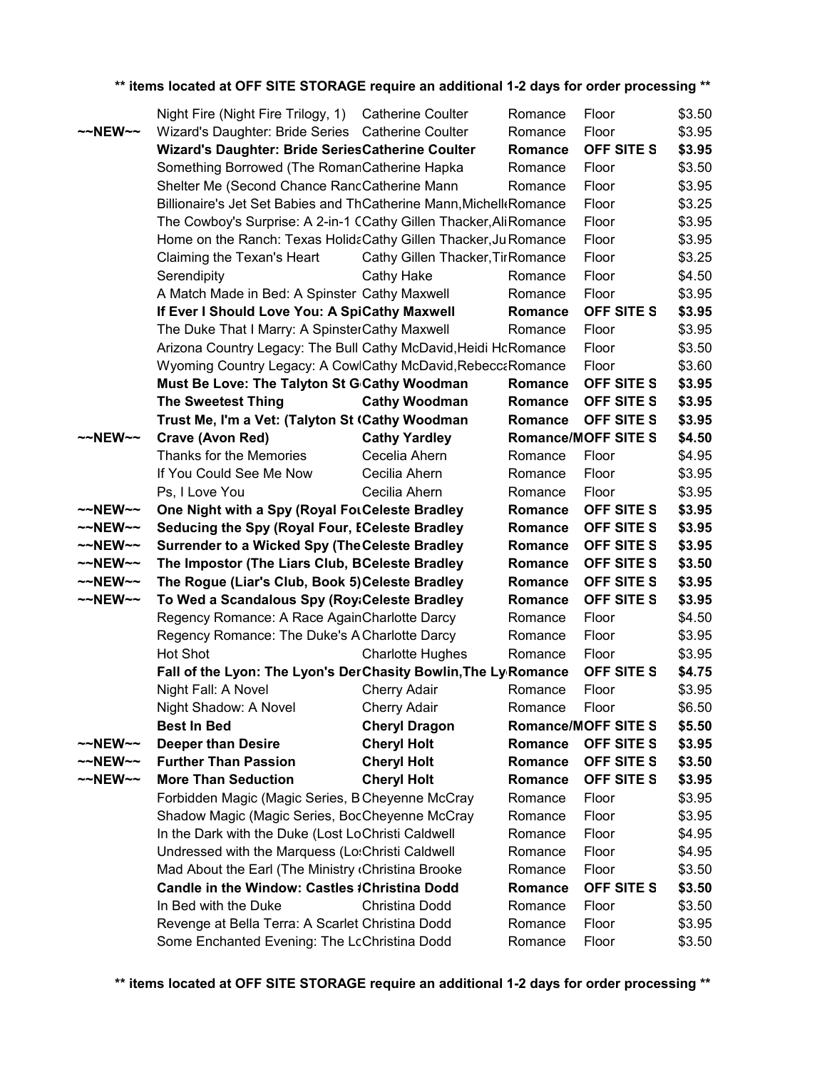|                    | Night Fire (Night Fire Trilogy, 1) Catherine Coulter               |                                   | Romance | Floor                      | \$3.50 |
|--------------------|--------------------------------------------------------------------|-----------------------------------|---------|----------------------------|--------|
| $\sim$ NEW $\sim$  | Wizard's Daughter: Bride Series Catherine Coulter                  |                                   | Romance | Floor                      | \$3.95 |
|                    | Wizard's Daughter: Bride SeriesCatherine Coulter                   |                                   | Romance | OFF SITE S                 | \$3.95 |
|                    | Something Borrowed (The RomanCatherine Hapka                       |                                   | Romance | Floor                      | \$3.50 |
|                    | Shelter Me (Second Chance RancCatherine Mann                       |                                   | Romance | Floor                      | \$3.95 |
|                    | Billionaire's Jet Set Babies and ThCatherine Mann, Michell Romance |                                   |         | Floor                      | \$3.25 |
|                    | The Cowboy's Surprise: A 2-in-1 CCathy Gillen Thacker, AliRomance  |                                   |         | Floor                      | \$3.95 |
|                    | Home on the Ranch: Texas HolidaCathy Gillen Thacker, Ju Romance    |                                   |         | Floor                      | \$3.95 |
|                    | Claiming the Texan's Heart                                         | Cathy Gillen Thacker, Tir Romance |         | Floor                      | \$3.25 |
|                    | Serendipity                                                        | <b>Cathy Hake</b>                 | Romance | Floor                      | \$4.50 |
|                    | A Match Made in Bed: A Spinster Cathy Maxwell                      |                                   | Romance | Floor                      | \$3.95 |
|                    | If Ever I Should Love You: A SpiCathy Maxwell                      |                                   | Romance | OFF SITE S                 | \$3.95 |
|                    | The Duke That I Marry: A SpinsterCathy Maxwell                     |                                   | Romance | Floor                      | \$3.95 |
|                    | Arizona Country Legacy: The Bull Cathy McDavid, Heidi HcRomance    |                                   |         | Floor                      | \$3.50 |
|                    | Wyoming Country Legacy: A CowlCathy McDavid, Rebecca Romance       |                                   |         | Floor                      | \$3.60 |
|                    | Must Be Love: The Talyton St G Cathy Woodman                       |                                   | Romance | OFF SITE S                 | \$3.95 |
|                    | <b>The Sweetest Thing</b>                                          | <b>Cathy Woodman</b>              | Romance | OFF SITE S                 | \$3.95 |
|                    | Trust Me, I'm a Vet: (Talyton St (Cathy Woodman                    |                                   | Romance | <b>OFF SITE S</b>          | \$3.95 |
| $~\sim$ NEW $\sim$ | Crave (Avon Red)                                                   | <b>Cathy Yardley</b>              |         | <b>Romance/MOFF SITE S</b> | \$4.50 |
|                    | Thanks for the Memories                                            | Cecelia Ahern                     | Romance | Floor                      | \$4.95 |
|                    | If You Could See Me Now                                            | Cecilia Ahern                     | Romance | Floor                      | \$3.95 |
|                    | Ps, I Love You                                                     | Cecilia Ahern                     | Romance | Floor                      | \$3.95 |
| ~~NEW~~            | One Night with a Spy (Royal ForCeleste Bradley                     |                                   | Romance | OFF SITE S                 | \$3.95 |
| ~~NEW~~            | Seducing the Spy (Royal Four, ECeleste Bradley                     |                                   | Romance | OFF SITE S                 | \$3.95 |
| ~~NEW~~            | <b>Surrender to a Wicked Spy (The Celeste Bradley</b>              |                                   | Romance | OFF SITE S                 | \$3.95 |
| ~~NEW~~            | The Impostor (The Liars Club, BCeleste Bradley                     |                                   | Romance | OFF SITE S                 | \$3.50 |
| $\sim$ NEW $\sim$  | The Rogue (Liar's Club, Book 5) Celeste Bradley                    |                                   | Romance | OFF SITE S                 | \$3.95 |
| ~~NEW~~            | To Wed a Scandalous Spy (Roy:Celeste Bradley                       |                                   | Romance | OFF SITE S                 | \$3.95 |
|                    | Regency Romance: A Race AgainCharlotte Darcy                       |                                   | Romance | Floor                      | \$4.50 |
|                    | Regency Romance: The Duke's A Charlotte Darcy                      |                                   | Romance | Floor                      | \$3.95 |
|                    | Hot Shot                                                           | <b>Charlotte Hughes</b>           | Romance | Floor                      | \$3.95 |
|                    | Fall of the Lyon: The Lyon's DerChasity Bowlin, The Ly Romance     |                                   |         | OFF SITE S                 | \$4.75 |
|                    | Night Fall: A Novel                                                | <b>Cherry Adair</b>               | Romance | Floor                      | \$3.95 |
|                    | Night Shadow: A Novel                                              | Cherry Adair                      | Romance | Floor                      | \$6.50 |
|                    | <b>Best In Bed</b>                                                 | <b>Cheryl Dragon</b>              |         | <b>Romance/MOFF SITE S</b> | \$5.50 |
| ~~NEW~~            | <b>Deeper than Desire</b>                                          | <b>Cheryl Holt</b>                | Romance | <b>OFF SITE S</b>          | \$3.95 |
| ~~NEW~~            | <b>Further Than Passion</b>                                        | <b>Cheryl Holt</b>                | Romance | OFF SITE S                 | \$3.50 |
| ~~NEW~~            | <b>More Than Seduction</b>                                         | <b>Cheryl Holt</b>                | Romance | <b>OFF SITE S</b>          | \$3.95 |
|                    | Forbidden Magic (Magic Series, B Cheyenne McCray                   |                                   | Romance | Floor                      | \$3.95 |
|                    | Shadow Magic (Magic Series, BocCheyenne McCray                     |                                   | Romance | Floor                      | \$3.95 |
|                    | In the Dark with the Duke (Lost LoChristi Caldwell                 |                                   | Romance | Floor                      | \$4.95 |
|                    | Undressed with the Marquess (Lo:Christi Caldwell                   |                                   | Romance | Floor                      | \$4.95 |
|                    | Mad About the Earl (The Ministry (Christina Brooke                 |                                   | Romance | Floor                      | \$3.50 |
|                    | Candle in the Window: Castles #Christina Dodd                      |                                   | Romance | OFF SITE S                 | \$3.50 |
|                    | In Bed with the Duke                                               | Christina Dodd                    | Romance | Floor                      | \$3.50 |
|                    | Revenge at Bella Terra: A Scarlet Christina Dodd                   |                                   | Romance | Floor                      | \$3.95 |
|                    | Some Enchanted Evening: The LcChristina Dodd                       |                                   | Romance | Floor                      | \$3.50 |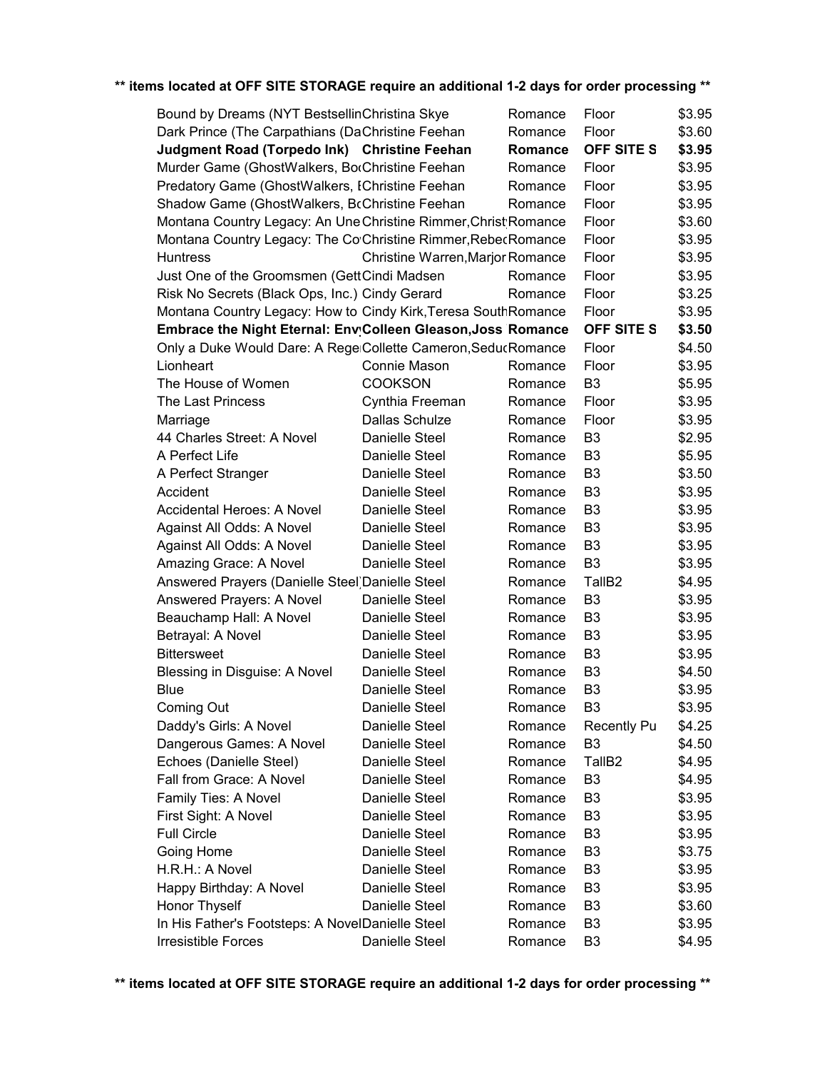| Bound by Dreams (NYT BestsellinChristina Skye                   |                 |                                  | Romance | Floor              | \$3.95 |
|-----------------------------------------------------------------|-----------------|----------------------------------|---------|--------------------|--------|
| Dark Prince (The Carpathians (DaChristine Feehan                |                 |                                  | Romance | Floor              | \$3.60 |
| Judgment Road (Torpedo Ink) Christine Feehan                    |                 |                                  | Romance | <b>OFF SITE S</b>  | \$3.95 |
| Murder Game (GhostWalkers, BorChristine Feehan                  |                 |                                  | Romance | Floor              | \$3.95 |
| Predatory Game (GhostWalkers, IChristine Feehan                 |                 |                                  | Romance | Floor              | \$3.95 |
| Shadow Game (GhostWalkers, BcChristine Feehan                   |                 |                                  | Romance | Floor              | \$3.95 |
| Montana Country Legacy: An Une Christine Rimmer, Christ Romance |                 |                                  |         | Floor              | \$3.60 |
| Montana Country Legacy: The Co'Christine Rimmer, Rebec Romance  |                 |                                  |         | Floor              | \$3.95 |
| <b>Huntress</b>                                                 |                 | Christine Warren, Marjor Romance |         | Floor              | \$3.95 |
| Just One of the Groomsmen (GettCindi Madsen                     |                 |                                  | Romance | Floor              | \$3.95 |
| Risk No Secrets (Black Ops, Inc.) Cindy Gerard                  |                 |                                  | Romance | Floor              | \$3.25 |
| Montana Country Legacy: How to Cindy Kirk, Teresa South Romance |                 |                                  |         | Floor              | \$3.95 |
| Embrace the Night Eternal: Env Colleen Gleason, Joss Romance    |                 |                                  |         | <b>OFF SITE S</b>  | \$3.50 |
| Only a Duke Would Dare: A Rege Collette Cameron, SeducRomance   |                 |                                  |         | Floor              | \$4.50 |
| Lionheart                                                       | Connie Mason    |                                  | Romance | Floor              | \$3.95 |
| The House of Women                                              | <b>COOKSON</b>  |                                  | Romance | B <sub>3</sub>     | \$5.95 |
| The Last Princess                                               | Cynthia Freeman |                                  | Romance | Floor              | \$3.95 |
| Marriage                                                        | Dallas Schulze  |                                  | Romance | Floor              | \$3.95 |
| 44 Charles Street: A Novel                                      | Danielle Steel  |                                  | Romance | B <sub>3</sub>     | \$2.95 |
| A Perfect Life                                                  | Danielle Steel  |                                  | Romance | B <sub>3</sub>     | \$5.95 |
| A Perfect Stranger                                              | Danielle Steel  |                                  | Romance | B <sub>3</sub>     | \$3.50 |
| Accident                                                        | Danielle Steel  |                                  | Romance | B <sub>3</sub>     | \$3.95 |
| Accidental Heroes: A Novel                                      | Danielle Steel  |                                  | Romance | B <sub>3</sub>     | \$3.95 |
| Against All Odds: A Novel                                       | Danielle Steel  |                                  | Romance | B <sub>3</sub>     | \$3.95 |
| Against All Odds: A Novel                                       | Danielle Steel  |                                  | Romance | B <sub>3</sub>     | \$3.95 |
| Amazing Grace: A Novel                                          | Danielle Steel  |                                  | Romance | B <sub>3</sub>     | \$3.95 |
| Answered Prayers (Danielle Steel) Danielle Steel                |                 |                                  | Romance | TallB <sub>2</sub> | \$4.95 |
| Answered Prayers: A Novel                                       | Danielle Steel  |                                  | Romance | B <sub>3</sub>     | \$3.95 |
| Beauchamp Hall: A Novel                                         | Danielle Steel  |                                  | Romance | B <sub>3</sub>     | \$3.95 |
| Betrayal: A Novel                                               | Danielle Steel  |                                  | Romance | B <sub>3</sub>     | \$3.95 |
| <b>Bittersweet</b>                                              | Danielle Steel  |                                  | Romance | B <sub>3</sub>     | \$3.95 |
| Blessing in Disguise: A Novel                                   | Danielle Steel  |                                  | Romance | B <sub>3</sub>     | \$4.50 |
| <b>Blue</b>                                                     | Danielle Steel  |                                  | Romance | B <sub>3</sub>     | \$3.95 |
| Coming Out                                                      | Danielle Steel  |                                  | Romance | B <sub>3</sub>     | \$3.95 |
| Daddy's Girls: A Novel                                          | Danielle Steel  |                                  | Romance | <b>Recently Pu</b> | \$4.25 |
| Dangerous Games: A Novel                                        | Danielle Steel  |                                  | Romance | B <sub>3</sub>     | \$4.50 |
| Echoes (Danielle Steel)                                         | Danielle Steel  |                                  | Romance | TallB <sub>2</sub> | \$4.95 |
| Fall from Grace: A Novel                                        | Danielle Steel  |                                  | Romance | B <sub>3</sub>     | \$4.95 |
| Family Ties: A Novel                                            | Danielle Steel  |                                  | Romance | B <sub>3</sub>     | \$3.95 |
| First Sight: A Novel                                            | Danielle Steel  |                                  | Romance | B3                 | \$3.95 |
| <b>Full Circle</b>                                              | Danielle Steel  |                                  | Romance | B <sub>3</sub>     | \$3.95 |
| Going Home                                                      | Danielle Steel  |                                  | Romance | B <sub>3</sub>     | \$3.75 |
| H.R.H.: A Novel                                                 | Danielle Steel  |                                  | Romance | B <sub>3</sub>     | \$3.95 |
| Happy Birthday: A Novel                                         | Danielle Steel  |                                  | Romance | B <sub>3</sub>     | \$3.95 |
| Honor Thyself                                                   | Danielle Steel  |                                  | Romance | B <sub>3</sub>     | \$3.60 |
| In His Father's Footsteps: A NovelDanielle Steel                |                 |                                  | Romance | B <sub>3</sub>     | \$3.95 |
| Irresistible Forces                                             | Danielle Steel  |                                  | Romance | B <sub>3</sub>     | \$4.95 |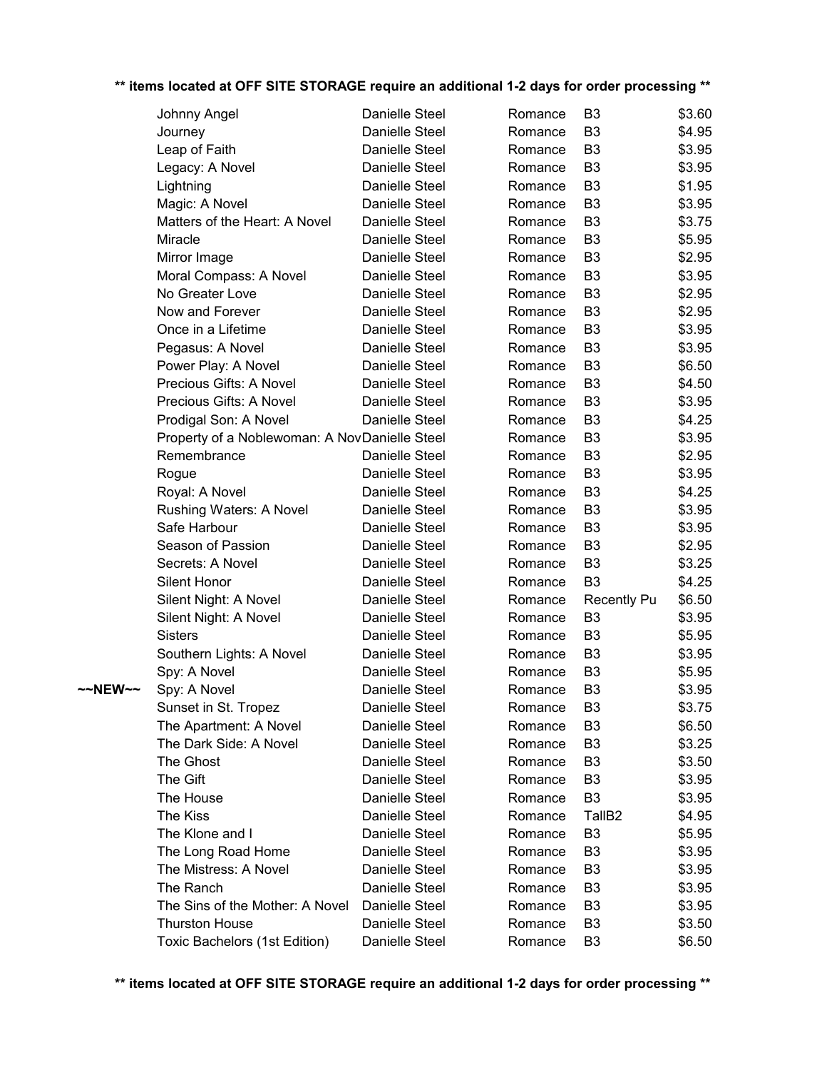|         | Johnny Angel                                  | Danielle Steel | Romance | B3                 | \$3.60 |
|---------|-----------------------------------------------|----------------|---------|--------------------|--------|
|         | Journey                                       | Danielle Steel | Romance | B <sub>3</sub>     | \$4.95 |
|         | Leap of Faith                                 | Danielle Steel | Romance | B <sub>3</sub>     | \$3.95 |
|         | Legacy: A Novel                               | Danielle Steel | Romance | B <sub>3</sub>     | \$3.95 |
|         | Lightning                                     | Danielle Steel | Romance | B <sub>3</sub>     | \$1.95 |
|         | Magic: A Novel                                | Danielle Steel | Romance | B <sub>3</sub>     | \$3.95 |
|         | Matters of the Heart: A Novel                 | Danielle Steel | Romance | B <sub>3</sub>     | \$3.75 |
|         | Miracle                                       | Danielle Steel | Romance | B <sub>3</sub>     | \$5.95 |
|         | Mirror Image                                  | Danielle Steel | Romance | B <sub>3</sub>     | \$2.95 |
|         | Moral Compass: A Novel                        | Danielle Steel | Romance | B <sub>3</sub>     | \$3.95 |
|         | No Greater Love                               | Danielle Steel | Romance | B <sub>3</sub>     | \$2.95 |
|         | Now and Forever                               | Danielle Steel | Romance | B <sub>3</sub>     | \$2.95 |
|         | Once in a Lifetime                            | Danielle Steel | Romance | B <sub>3</sub>     | \$3.95 |
|         | Pegasus: A Novel                              | Danielle Steel | Romance | B <sub>3</sub>     | \$3.95 |
|         | Power Play: A Novel                           | Danielle Steel | Romance | B <sub>3</sub>     | \$6.50 |
|         | Precious Gifts: A Novel                       | Danielle Steel | Romance | B <sub>3</sub>     | \$4.50 |
|         | Precious Gifts: A Novel                       | Danielle Steel | Romance | B <sub>3</sub>     | \$3.95 |
|         | Prodigal Son: A Novel                         | Danielle Steel | Romance | B <sub>3</sub>     | \$4.25 |
|         | Property of a Noblewoman: A NovDanielle Steel |                | Romance | B <sub>3</sub>     | \$3.95 |
|         | Remembrance                                   | Danielle Steel | Romance | B <sub>3</sub>     | \$2.95 |
|         | Rogue                                         | Danielle Steel | Romance | B <sub>3</sub>     | \$3.95 |
|         | Royal: A Novel                                | Danielle Steel | Romance | B <sub>3</sub>     | \$4.25 |
|         | Rushing Waters: A Novel                       | Danielle Steel | Romance | B <sub>3</sub>     | \$3.95 |
|         | Safe Harbour                                  | Danielle Steel | Romance | B <sub>3</sub>     | \$3.95 |
|         | Season of Passion                             | Danielle Steel | Romance | B <sub>3</sub>     | \$2.95 |
|         | Secrets: A Novel                              | Danielle Steel | Romance | B <sub>3</sub>     | \$3.25 |
|         | Silent Honor                                  | Danielle Steel | Romance | B <sub>3</sub>     | \$4.25 |
|         | Silent Night: A Novel                         | Danielle Steel | Romance | <b>Recently Pu</b> | \$6.50 |
|         | Silent Night: A Novel                         | Danielle Steel | Romance | B <sub>3</sub>     | \$3.95 |
|         | <b>Sisters</b>                                | Danielle Steel | Romance | B <sub>3</sub>     | \$5.95 |
|         | Southern Lights: A Novel                      | Danielle Steel | Romance | B <sub>3</sub>     | \$3.95 |
|         | Spy: A Novel                                  | Danielle Steel | Romance | B <sub>3</sub>     | \$5.95 |
| ~~NEW~~ | Spy: A Novel                                  | Danielle Steel | Romance | B <sub>3</sub>     | \$3.95 |
|         | Sunset in St. Tropez                          | Danielle Steel | Romance | B <sub>3</sub>     | \$3.75 |
|         | The Apartment: A Novel                        | Danielle Steel | Romance | B3                 | \$6.50 |
|         | The Dark Side: A Novel                        | Danielle Steel | Romance | B3                 | \$3.25 |
|         | The Ghost                                     | Danielle Steel | Romance | B3                 | \$3.50 |
|         | The Gift                                      | Danielle Steel | Romance | B3                 | \$3.95 |
|         | The House                                     | Danielle Steel | Romance | B3                 | \$3.95 |
|         | The Kiss                                      | Danielle Steel | Romance | TallB <sub>2</sub> | \$4.95 |
|         | The Klone and I                               | Danielle Steel | Romance | B3                 | \$5.95 |
|         | The Long Road Home                            | Danielle Steel | Romance | B3                 | \$3.95 |
|         | The Mistress: A Novel                         | Danielle Steel | Romance | B3                 | \$3.95 |
|         | The Ranch                                     | Danielle Steel | Romance | B3                 | \$3.95 |
|         | The Sins of the Mother: A Novel               | Danielle Steel | Romance | B3                 | \$3.95 |
|         | <b>Thurston House</b>                         | Danielle Steel | Romance | B3                 | \$3.50 |
|         | Toxic Bachelors (1st Edition)                 | Danielle Steel | Romance | B3                 | \$6.50 |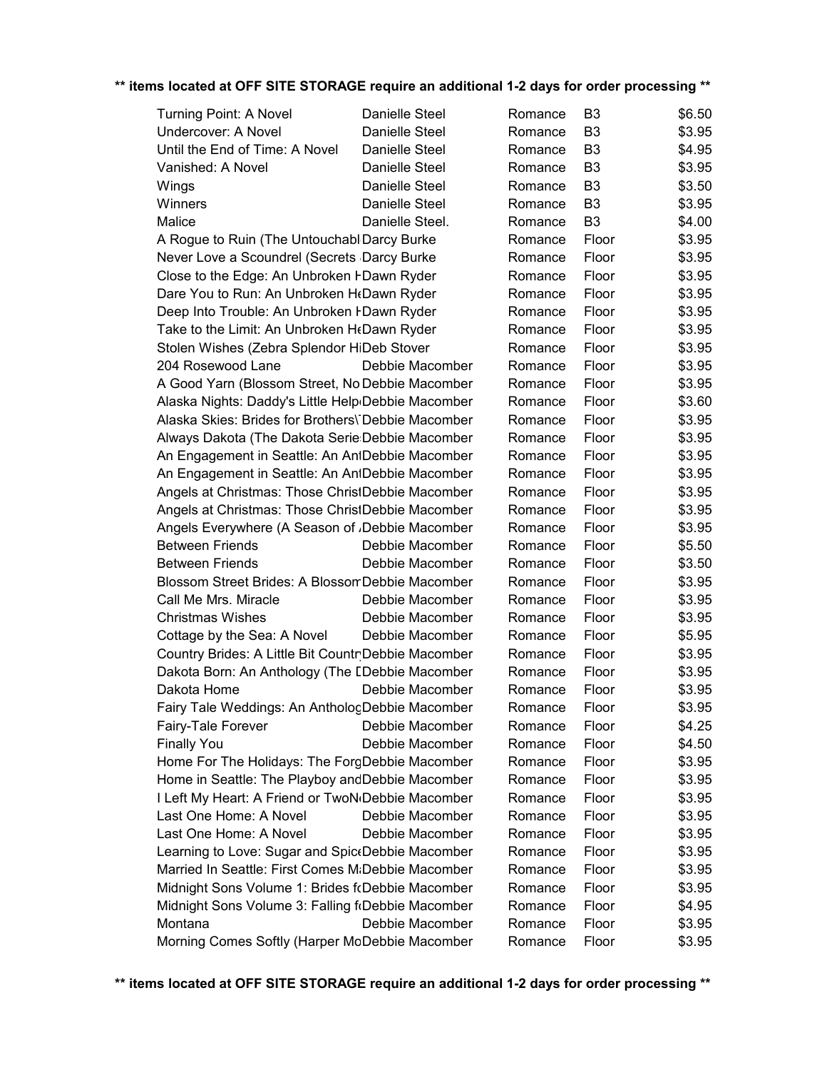| Turning Point: A Novel                                      | Danielle Steel  | Romance | B3             | \$6.50 |
|-------------------------------------------------------------|-----------------|---------|----------------|--------|
| <b>Undercover: A Novel</b>                                  | Danielle Steel  | Romance | B <sub>3</sub> | \$3.95 |
| Until the End of Time: A Novel                              | Danielle Steel  | Romance | B <sub>3</sub> | \$4.95 |
| Vanished: A Novel                                           | Danielle Steel  | Romance | B <sub>3</sub> | \$3.95 |
| Wings                                                       | Danielle Steel  | Romance | B <sub>3</sub> | \$3.50 |
| Winners                                                     | Danielle Steel  | Romance | B <sub>3</sub> | \$3.95 |
| Malice                                                      | Danielle Steel. | Romance | B <sub>3</sub> | \$4.00 |
| A Rogue to Ruin (The Untouchabl Darcy Burke                 |                 | Romance | Floor          | \$3.95 |
| Never Love a Scoundrel (Secrets Darcy Burke                 |                 | Romance | Floor          | \$3.95 |
| Close to the Edge: An Unbroken FDawn Ryder                  |                 | Romance | Floor          | \$3.95 |
| Dare You to Run: An Unbroken H(Dawn Ryder                   |                 | Romance | Floor          | \$3.95 |
| Deep Into Trouble: An Unbroken I Dawn Ryder                 |                 | Romance | Floor          | \$3.95 |
| Take to the Limit: An Unbroken HeDawn Ryder                 |                 | Romance | Floor          | \$3.95 |
| Stolen Wishes (Zebra Splendor HiDeb Stover                  |                 | Romance | Floor          | \$3.95 |
| 204 Rosewood Lane                                           | Debbie Macomber | Romance | Floor          | \$3.95 |
| A Good Yarn (Blossom Street, No Debbie Macomber             |                 | Romance | Floor          | \$3.95 |
| Alaska Nights: Daddy's Little Help Debbie Macomber          |                 | Romance | Floor          | \$3.60 |
| Alaska Skies: Brides for Brothers\ Debbie Macomber          |                 | Romance | Floor          | \$3.95 |
| Always Dakota (The Dakota Serie:Debbie Macomber             |                 | Romance | Floor          | \$3.95 |
| An Engagement in Seattle: An AntDebbie Macomber             |                 | Romance | Floor          | \$3.95 |
| An Engagement in Seattle: An AntDebbie Macomber             |                 | Romance | Floor          | \$3.95 |
| Angels at Christmas: Those ChristDebbie Macomber            |                 | Romance | Floor          | \$3.95 |
| Angels at Christmas: Those ChristDebbie Macomber            |                 | Romance | Floor          | \$3.95 |
| Angels Everywhere (A Season of <sub>J</sub> Debbie Macomber |                 | Romance | Floor          | \$3.95 |
| <b>Between Friends</b>                                      | Debbie Macomber | Romance | Floor          | \$5.50 |
| <b>Between Friends</b>                                      | Debbie Macomber | Romance | Floor          | \$3.50 |
| Blossom Street Brides: A Blossom Debbie Macomber            |                 | Romance | Floor          | \$3.95 |
| Call Me Mrs. Miracle                                        | Debbie Macomber | Romance | Floor          | \$3.95 |
| <b>Christmas Wishes</b>                                     | Debbie Macomber | Romance | Floor          | \$3.95 |
| Cottage by the Sea: A Novel                                 | Debbie Macomber | Romance | Floor          | \$5.95 |
| Country Brides: A Little Bit CountrDebbie Macomber          |                 | Romance | Floor          | \$3.95 |
| Dakota Born: An Anthology (The LDebbie Macomber             |                 | Romance | Floor          | \$3.95 |
| Dakota Home                                                 | Debbie Macomber | Romance | Floor          | \$3.95 |
| Fairy Tale Weddings: An AnthologDebbie Macomber             |                 | Romance | Floor          | \$3.95 |
| Fairy-Tale Forever                                          | Debbie Macomber | Romance | Floor          | \$4.25 |
| <b>Finally You</b>                                          | Debbie Macomber | Romance | Floor          | \$4.50 |
| Home For The Holidays: The ForgDebbie Macomber              |                 | Romance | Floor          | \$3.95 |
| Home in Seattle: The Playboy and Debbie Macomber            |                 | Romance | Floor          | \$3.95 |
| I Left My Heart: A Friend or TwoN(Debbie Macomber           |                 | Romance | Floor          | \$3.95 |
| Last One Home: A Novel                                      | Debbie Macomber | Romance | Floor          | \$3.95 |
| Last One Home: A Novel                                      | Debbie Macomber | Romance | Floor          | \$3.95 |
| Learning to Love: Sugar and Spic Debbie Macomber            |                 | Romance | Floor          | \$3.95 |
| Married In Seattle: First Comes M:Debbie Macomber           |                 | Romance | Floor          | \$3.95 |
| Midnight Sons Volume 1: Brides f(Debbie Macomber            |                 | Romance | Floor          | \$3.95 |
| Midnight Sons Volume 3: Falling f(Debbie Macomber           |                 | Romance | Floor          | \$4.95 |
| Montana                                                     | Debbie Macomber | Romance | Floor          | \$3.95 |
| Morning Comes Softly (Harper MoDebbie Macomber              |                 | Romance | Floor          | \$3.95 |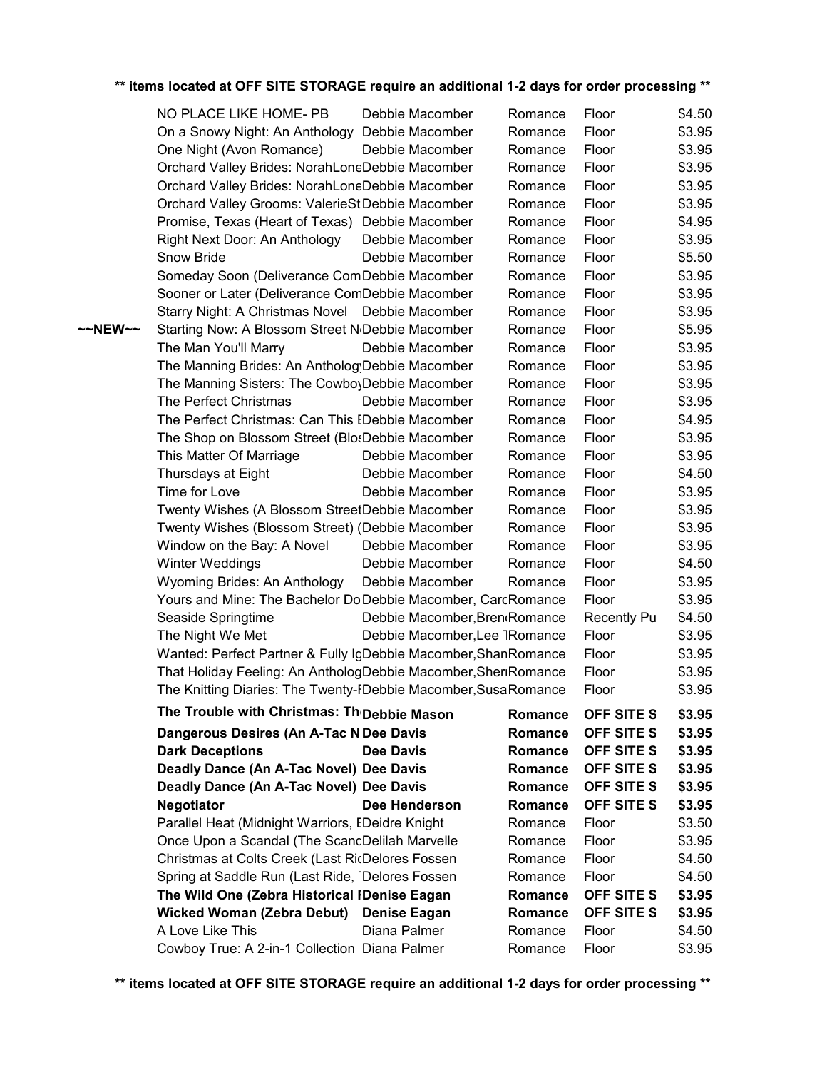|         | NO PLACE LIKE HOME- PB                                          | Debbie Macomber                           | Romance | Floor              | \$4.50 |
|---------|-----------------------------------------------------------------|-------------------------------------------|---------|--------------------|--------|
|         | On a Snowy Night: An Anthology                                  | Debbie Macomber                           | Romance | Floor              | \$3.95 |
|         | One Night (Avon Romance)                                        | Debbie Macomber                           | Romance | Floor              | \$3.95 |
|         | Orchard Valley Brides: NorahLoneDebbie Macomber                 |                                           | Romance | Floor              | \$3.95 |
|         | Orchard Valley Brides: NorahLoneDebbie Macomber                 |                                           | Romance | Floor              | \$3.95 |
|         | Orchard Valley Grooms: ValerieStDebbie Macomber                 |                                           | Romance | Floor              | \$3.95 |
|         | Promise, Texas (Heart of Texas) Debbie Macomber                 |                                           | Romance | Floor              | \$4.95 |
|         | Right Next Door: An Anthology                                   | Debbie Macomber                           | Romance | Floor              | \$3.95 |
|         | Snow Bride                                                      | Debbie Macomber                           | Romance | Floor              | \$5.50 |
|         | Someday Soon (Deliverance ComDebbie Macomber                    |                                           | Romance | Floor              | \$3.95 |
|         | Sooner or Later (Deliverance ComDebbie Macomber                 |                                           | Romance | Floor              | \$3.95 |
|         | Starry Night: A Christmas Novel Debbie Macomber                 |                                           | Romance | Floor              | \$3.95 |
| ~~NEW~~ | Starting Now: A Blossom Street N <sub>Debbie</sub> Macomber     |                                           | Romance | Floor              | \$5.95 |
|         | The Man You'll Marry                                            | Debbie Macomber                           | Romance | Floor              | \$3.95 |
|         | The Manning Brides: An Antholog Debbie Macomber                 |                                           | Romance | Floor              | \$3.95 |
|         | The Manning Sisters: The Cowbo Debbie Macomber                  |                                           | Romance | Floor              | \$3.95 |
|         | The Perfect Christmas                                           | Debbie Macomber                           | Romance | Floor              | \$3.95 |
|         | The Perfect Christmas: Can This EDebbie Macomber                |                                           | Romance | Floor              | \$4.95 |
|         | The Shop on Blossom Street (Blo:Debbie Macomber                 |                                           | Romance | Floor              | \$3.95 |
|         | This Matter Of Marriage                                         | Debbie Macomber                           | Romance | Floor              | \$3.95 |
|         | Thursdays at Eight                                              | Debbie Macomber                           | Romance | Floor              | \$4.50 |
|         | Time for Love                                                   | Debbie Macomber                           | Romance | Floor              | \$3.95 |
|         | Twenty Wishes (A Blossom StreetDebbie Macomber                  |                                           | Romance | Floor              | \$3.95 |
|         | Twenty Wishes (Blossom Street) (Debbie Macomber                 |                                           | Romance | Floor              | \$3.95 |
|         | Window on the Bay: A Novel                                      | Debbie Macomber                           | Romance | Floor              | \$3.95 |
|         | Winter Weddings                                                 | Debbie Macomber                           | Romance | Floor              | \$4.50 |
|         | Wyoming Brides: An Anthology                                    | Debbie Macomber                           | Romance | Floor              | \$3.95 |
|         | Yours and Mine: The Bachelor Do Debbie Macomber, CarcRomance    |                                           |         | Floor              | \$3.95 |
|         | Seaside Springtime                                              | Debbie Macomber, Bren <sub>(Romance</sub> |         | <b>Recently Pu</b> | \$4.50 |
|         | The Night We Met                                                | Debbie Macomber, Lee 1Romance             |         | Floor              | \$3.95 |
|         | Wanted: Perfect Partner & Fully IgDebbie Macomber, ShanRomance  |                                           |         | Floor              | \$3.95 |
|         | That Holiday Feeling: An AnthologDebbie Macomber, SheriRomance  |                                           |         | Floor              | \$3.95 |
|         | The Knitting Diaries: The Twenty-IDebbie Macomber, Susa Romance |                                           |         | Floor              | \$3.95 |
|         | The Trouble with Christmas: Th Debbie Mason                     |                                           | Romance | OFF SITE S         | \$3.95 |
|         | Dangerous Desires (An A-Tac N Dee Davis                         |                                           | Romance | OFF SITE S         | \$3.95 |
|         | <b>Dark Deceptions</b>                                          | <b>Dee Davis</b>                          | Romance | OFF SITE S         | \$3.95 |
|         | Deadly Dance (An A-Tac Novel) Dee Davis                         |                                           | Romance | OFF SITE S         | \$3.95 |
|         | Deadly Dance (An A-Tac Novel) Dee Davis                         |                                           | Romance | OFF SITE S         | \$3.95 |
|         | <b>Negotiator</b>                                               | Dee Henderson                             | Romance | OFF SITE S         | \$3.95 |
|         | Parallel Heat (Midnight Warriors, EDeidre Knight                |                                           | Romance | Floor              | \$3.50 |
|         | Once Upon a Scandal (The ScandDelilah Marvelle                  |                                           | Romance | Floor              | \$3.95 |
|         | Christmas at Colts Creek (Last RicDelores Fossen                |                                           | Romance | Floor              | \$4.50 |
|         | Spring at Saddle Run (Last Ride, Delores Fossen                 |                                           | Romance | Floor              | \$4.50 |
|         | The Wild One (Zebra Historical IDenise Eagan                    |                                           | Romance | OFF SITE S         | \$3.95 |
|         | <b>Wicked Woman (Zebra Debut)</b>                               | <b>Denise Eagan</b>                       | Romance | OFF SITE S         | \$3.95 |
|         | A Love Like This                                                | Diana Palmer                              | Romance | Floor              | \$4.50 |
|         | Cowboy True: A 2-in-1 Collection Diana Palmer                   |                                           | Romance | Floor              | \$3.95 |
|         |                                                                 |                                           |         |                    |        |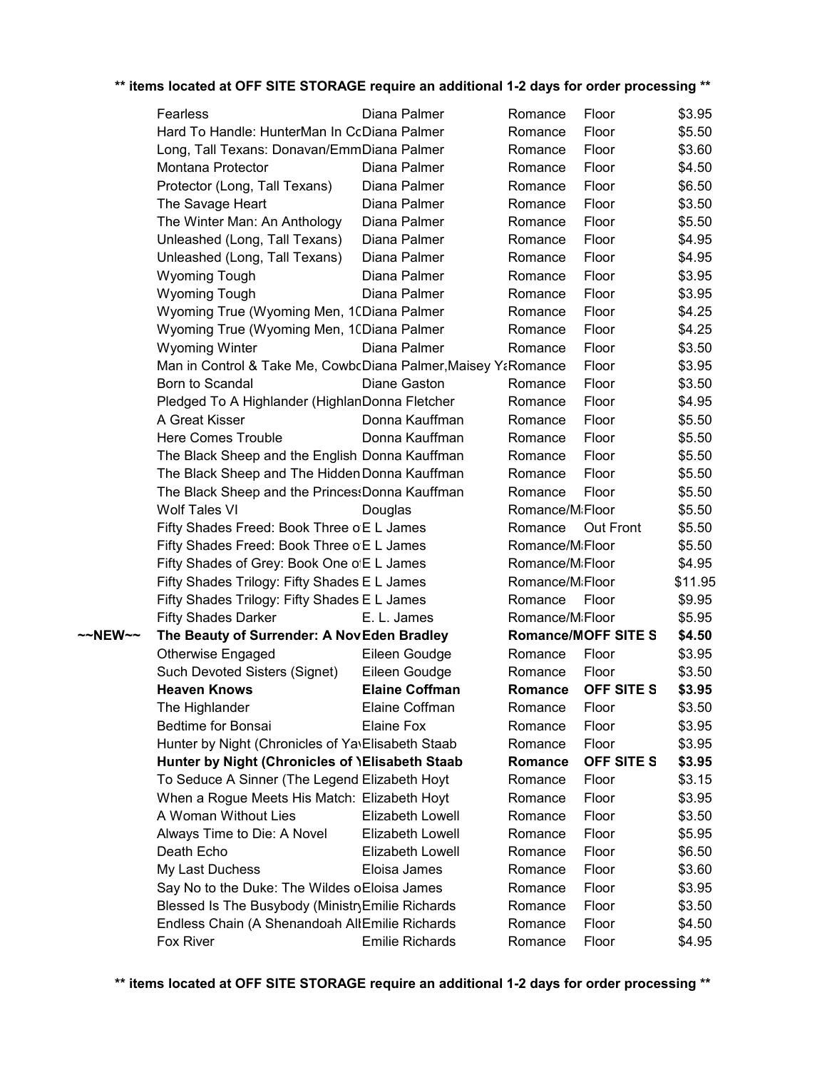|         | Fearless                                                      |             | Diana Palmer            | Romance                      | Floor             | \$3.95  |
|---------|---------------------------------------------------------------|-------------|-------------------------|------------------------------|-------------------|---------|
|         | Hard To Handle: HunterMan In CcDiana Palmer                   |             |                         | Romance                      | Floor             | \$5.50  |
|         | Long, Tall Texans: Donavan/EmmDiana Palmer                    |             |                         | Romance                      | Floor             | \$3.60  |
|         | Montana Protector                                             |             | Diana Palmer            | Romance                      | Floor             | \$4.50  |
|         | Protector (Long, Tall Texans)                                 |             | Diana Palmer            | Romance                      | Floor             | \$6.50  |
|         | The Savage Heart                                              |             | Diana Palmer            | Romance                      | Floor             | \$3.50  |
|         | The Winter Man: An Anthology                                  |             | Diana Palmer            | Romance                      | Floor             | \$5.50  |
|         | Unleashed (Long, Tall Texans)                                 |             | Diana Palmer            | Romance                      | Floor             | \$4.95  |
|         | Unleashed (Long, Tall Texans)                                 |             | Diana Palmer            | Romance                      | Floor             | \$4.95  |
|         | <b>Wyoming Tough</b>                                          |             | Diana Palmer            | Romance                      | Floor             | \$3.95  |
|         | <b>Wyoming Tough</b>                                          |             | Diana Palmer            | Romance                      | Floor             | \$3.95  |
|         | Wyoming True (Wyoming Men, 10Diana Palmer                     |             |                         | Romance                      | Floor             | \$4.25  |
|         | Wyoming True (Wyoming Men, 10Diana Palmer                     |             |                         | Romance                      | Floor             | \$4.25  |
|         | <b>Wyoming Winter</b>                                         |             | Diana Palmer            | Romance                      | Floor             | \$3.50  |
|         | Man in Control & Take Me, CowbcDiana Palmer, Maisey YaRomance |             |                         |                              | Floor             | \$3.95  |
|         | Born to Scandal                                               |             | Diane Gaston            | Romance                      | Floor             | \$3.50  |
|         | Pledged To A Highlander (HighlanDonna Fletcher                |             |                         | Romance                      | Floor             | \$4.95  |
|         | A Great Kisser                                                |             | Donna Kauffman          | Romance                      | Floor             | \$5.50  |
|         | <b>Here Comes Trouble</b>                                     |             | Donna Kauffman          | Romance                      | Floor             | \$5.50  |
|         | The Black Sheep and the English Donna Kauffman                |             |                         | Romance                      | Floor             | \$5.50  |
|         | The Black Sheep and The Hidden Donna Kauffman                 |             |                         | Romance                      | Floor             | \$5.50  |
|         | The Black Sheep and the PrincessDonna Kauffman                |             |                         | Romance                      | Floor             | \$5.50  |
|         | <b>Wolf Tales VI</b>                                          | Douglas     |                         | Romance/MiFloor              |                   | \$5.50  |
|         | Fifty Shades Freed: Book Three o E L James                    |             |                         | Romance                      | Out Front         | \$5.50  |
|         | Fifty Shades Freed: Book Three o E L James                    |             |                         | Romance/MiFloor              |                   | \$5.50  |
|         | Fifty Shades of Grey: Book One of EL James                    |             |                         | Romance/MiFloor              |                   | \$4.95  |
|         | Fifty Shades Trilogy: Fifty Shades E L James                  |             |                         | Romance/M <sub>i</sub> Floor |                   | \$11.95 |
|         | Fifty Shades Trilogy: Fifty Shades E L James                  |             |                         | Romance                      | Floor             | \$9.95  |
|         | <b>Fifty Shades Darker</b>                                    | E. L. James |                         | Romance/MiFloor              |                   | \$5.95  |
| ~~NEW~~ | The Beauty of Surrender: A NovEden Bradley                    |             |                         | <b>Romance/MOFF SITE S</b>   |                   | \$4.50  |
|         | Otherwise Engaged                                             |             | Eileen Goudge           | Romance                      | Floor             | \$3.95  |
|         | Such Devoted Sisters (Signet)                                 |             | Eileen Goudge           | Romance                      | Floor             | \$3.50  |
|         | <b>Heaven Knows</b>                                           |             | <b>Elaine Coffman</b>   | Romance                      | OFF SITE S        | \$3.95  |
|         | The Highlander                                                |             | Elaine Coffman          | Romance                      | Floor             | \$3.50  |
|         | <b>Bedtime for Bonsai</b>                                     | Elaine Fox  |                         | Romance                      | Floor             | \$3.95  |
|         | Hunter by Night (Chronicles of Ya\Elisabeth Staab             |             |                         | Romance                      | Floor             | \$3.95  |
|         | Hunter by Night (Chronicles of <i>IElisabeth Staab</i>        |             |                         | Romance                      | <b>OFF SITE S</b> | \$3.95  |
|         | To Seduce A Sinner (The Legend Elizabeth Hoyt                 |             |                         | Romance                      | Floor             | \$3.15  |
|         | When a Rogue Meets His Match: Elizabeth Hoyt                  |             |                         | Romance                      | Floor             | \$3.95  |
|         | A Woman Without Lies                                          |             | Elizabeth Lowell        | Romance                      | Floor             | \$3.50  |
|         | Always Time to Die: A Novel                                   |             | <b>Elizabeth Lowell</b> | Romance                      | Floor             | \$5.95  |
|         | Death Echo                                                    |             | Elizabeth Lowell        | Romance                      | Floor             | \$6.50  |
|         | My Last Duchess                                               |             | Eloisa James            | Romance                      | Floor             | \$3.60  |
|         | Say No to the Duke: The Wildes oEloisa James                  |             |                         | Romance                      | Floor             | \$3.95  |
|         | Blessed Is The Busybody (Ministry Emilie Richards             |             |                         | Romance                      | Floor             | \$3.50  |
|         | Endless Chain (A Shenandoah AllEmilie Richards                |             |                         | Romance                      | Floor             | \$4.50  |
|         | Fox River                                                     |             | <b>Emilie Richards</b>  | Romance                      | Floor             | \$4.95  |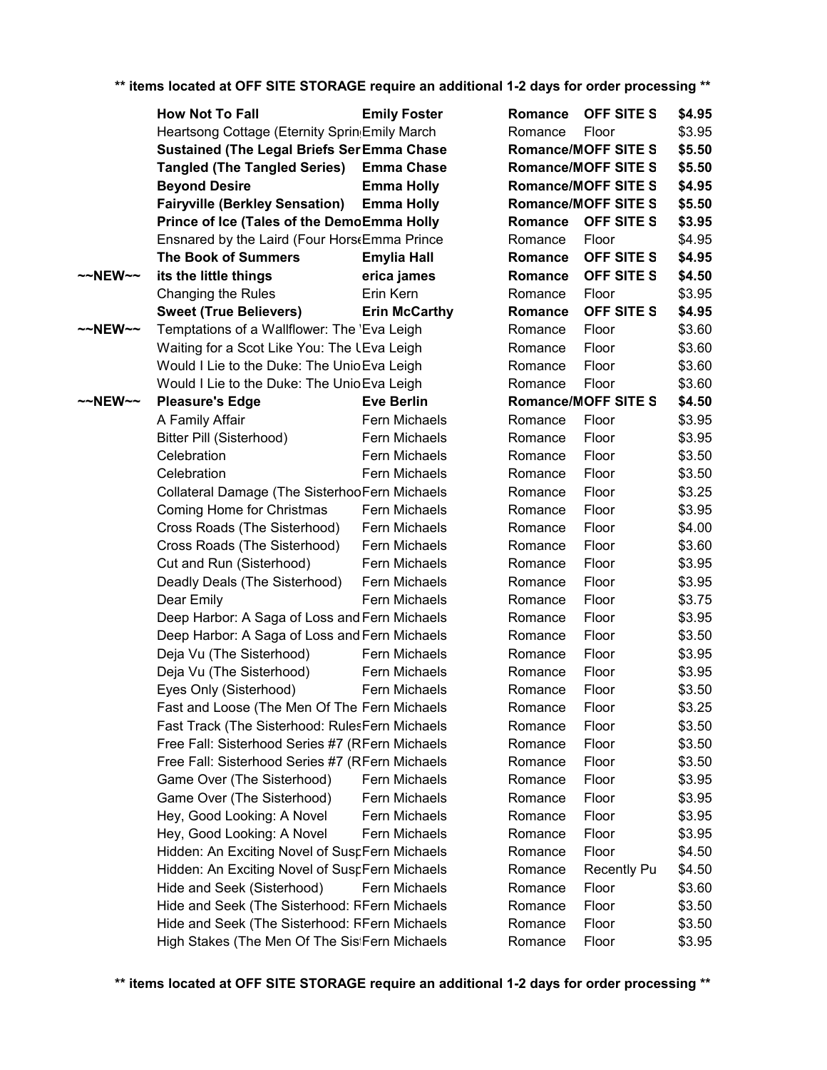|                     | <b>How Not To Fall</b>                                     | <b>Emily Foster</b>  | Romance | OFF SITE S                 | \$4.95 |
|---------------------|------------------------------------------------------------|----------------------|---------|----------------------------|--------|
|                     | Heartsong Cottage (Eternity Sprin <sub>!</sub> Emily March |                      | Romance | Floor                      | \$3.95 |
|                     | <b>Sustained (The Legal Briefs Ser Emma Chase</b>          |                      |         | <b>Romance/MOFF SITE S</b> | \$5.50 |
|                     | <b>Tangled (The Tangled Series)</b>                        | <b>Emma Chase</b>    |         | <b>Romance/MOFF SITE S</b> | \$5.50 |
|                     | <b>Beyond Desire</b>                                       | <b>Emma Holly</b>    |         | <b>Romance/MOFF SITE S</b> | \$4.95 |
|                     | <b>Fairyville (Berkley Sensation)</b>                      | <b>Emma Holly</b>    |         | <b>Romance/MOFF SITE S</b> | \$5.50 |
|                     | Prince of Ice (Tales of the DemoEmma Holly                 |                      | Romance | OFF SITE S                 | \$3.95 |
|                     | Ensnared by the Laird (Four Hors(Emma Prince               |                      | Romance | Floor                      | \$4.95 |
|                     | <b>The Book of Summers</b>                                 | <b>Emylia Hall</b>   | Romance | OFF SITE S                 | \$4.95 |
| $\sim$ NEW $\sim$   | its the little things                                      | erica james          | Romance | OFF SITE S                 | \$4.50 |
|                     | Changing the Rules                                         | Erin Kern            | Romance | Floor                      | \$3.95 |
|                     | <b>Sweet (True Believers)</b>                              | <b>Erin McCarthy</b> | Romance | OFF SITE S                 | \$4.95 |
| $\sim$ NEW $\sim$   | Temptations of a Wallflower: The 'Eva Leigh                |                      | Romance | Floor                      | \$3.60 |
|                     | Waiting for a Scot Like You: The LEva Leigh                |                      | Romance | Floor                      | \$3.60 |
|                     | Would I Lie to the Duke: The Unio Eva Leigh                |                      | Romance | Floor                      | \$3.60 |
|                     | Would I Lie to the Duke: The Unio Eva Leigh                |                      | Romance | Floor                      | \$3.60 |
| $~\sim$ NEW $~\sim$ | <b>Pleasure's Edge</b>                                     | <b>Eve Berlin</b>    |         | <b>Romance/MOFF SITE S</b> | \$4.50 |
|                     | A Family Affair                                            | Fern Michaels        | Romance | Floor                      | \$3.95 |
|                     | Bitter Pill (Sisterhood)                                   | Fern Michaels        | Romance | Floor                      | \$3.95 |
|                     | Celebration                                                | Fern Michaels        | Romance | Floor                      | \$3.50 |
|                     | Celebration                                                | Fern Michaels        | Romance | Floor                      | \$3.50 |
|                     | Collateral Damage (The SisterhooFern Michaels              |                      | Romance | Floor                      | \$3.25 |
|                     | Coming Home for Christmas                                  | Fern Michaels        | Romance | Floor                      | \$3.95 |
|                     | Cross Roads (The Sisterhood)                               | Fern Michaels        | Romance | Floor                      | \$4.00 |
|                     | Cross Roads (The Sisterhood)                               | Fern Michaels        | Romance | Floor                      | \$3.60 |
|                     | Cut and Run (Sisterhood)                                   | Fern Michaels        | Romance | Floor                      | \$3.95 |
|                     | Deadly Deals (The Sisterhood)                              | Fern Michaels        | Romance | Floor                      | \$3.95 |
|                     | Dear Emily                                                 | Fern Michaels        | Romance | Floor                      | \$3.75 |
|                     | Deep Harbor: A Saga of Loss and Fern Michaels              |                      | Romance | Floor                      | \$3.95 |
|                     | Deep Harbor: A Saga of Loss and Fern Michaels              |                      | Romance | Floor                      | \$3.50 |
|                     | Deja Vu (The Sisterhood)                                   | Fern Michaels        | Romance | Floor                      | \$3.95 |
|                     | Deja Vu (The Sisterhood)                                   | Fern Michaels        | Romance | Floor                      | \$3.95 |
|                     | Eyes Only (Sisterhood)                                     | Fern Michaels        | Romance | Floor                      | \$3.50 |
|                     | Fast and Loose (The Men Of The Fern Michaels               |                      | Romance | Floor                      | \$3.25 |
|                     | Fast Track (The Sisterhood: RulesFern Michaels             |                      | Romance | Floor                      | \$3.50 |
|                     | Free Fall: Sisterhood Series #7 (RFern Michaels            |                      | Romance | Floor                      | \$3.50 |
|                     | Free Fall: Sisterhood Series #7 (RFern Michaels            |                      | Romance | Floor                      | \$3.50 |
|                     | Game Over (The Sisterhood)                                 | Fern Michaels        | Romance | Floor                      | \$3.95 |
|                     | Game Over (The Sisterhood)                                 | Fern Michaels        | Romance | Floor                      | \$3.95 |
|                     | Hey, Good Looking: A Novel                                 | Fern Michaels        | Romance | Floor                      | \$3.95 |
|                     | Hey, Good Looking: A Novel                                 | Fern Michaels        | Romance | Floor                      | \$3.95 |
|                     | Hidden: An Exciting Novel of SuspFern Michaels             |                      | Romance | Floor                      | \$4.50 |
|                     | Hidden: An Exciting Novel of SuspFern Michaels             |                      | Romance | <b>Recently Pu</b>         | \$4.50 |
|                     | Hide and Seek (Sisterhood)                                 | Fern Michaels        | Romance | Floor                      | \$3.60 |
|                     | Hide and Seek (The Sisterhood: RFern Michaels              |                      | Romance | Floor                      | \$3.50 |
|                     | Hide and Seek (The Sisterhood: RFern Michaels              |                      | Romance | Floor                      | \$3.50 |
|                     | High Stakes (The Men Of The SistFern Michaels              |                      | Romance | Floor                      | \$3.95 |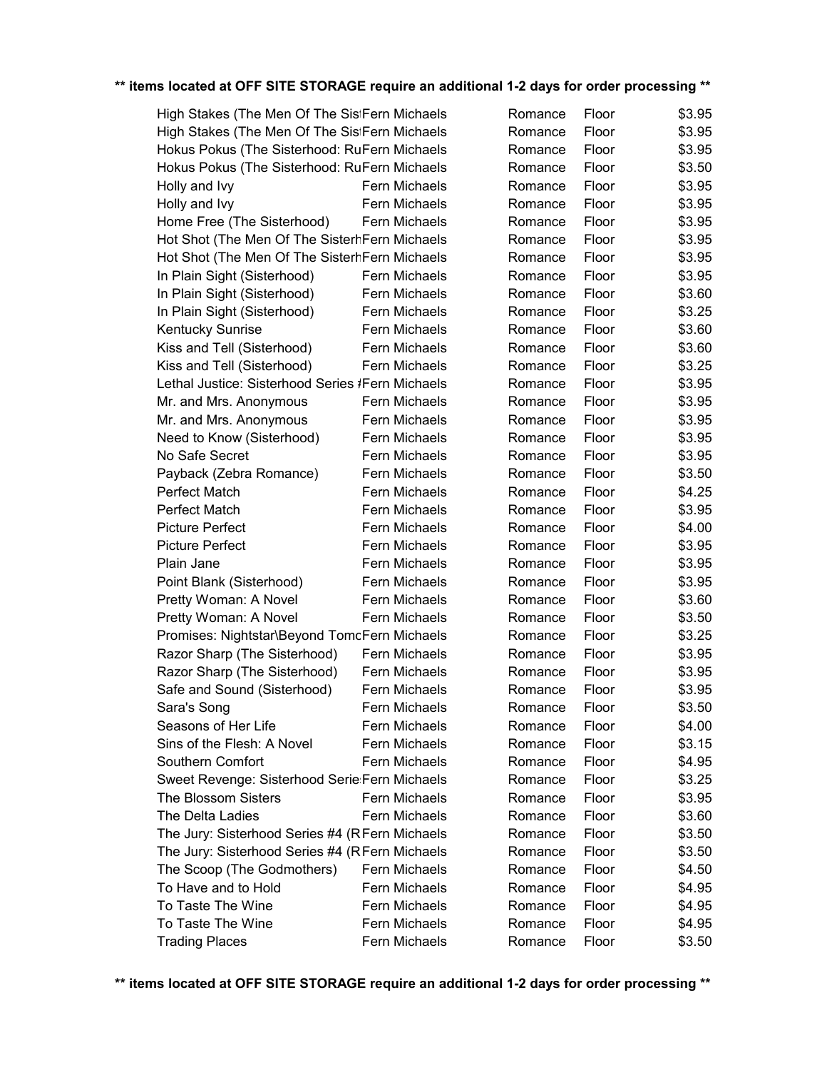| High Stakes (The Men Of The SistFern Michaels    |               | Romance | Floor | \$3.95 |
|--------------------------------------------------|---------------|---------|-------|--------|
| High Stakes (The Men Of The SistFern Michaels    |               | Romance | Floor | \$3.95 |
| Hokus Pokus (The Sisterhood: RuFern Michaels     |               | Romance | Floor | \$3.95 |
| Hokus Pokus (The Sisterhood: RuFern Michaels     |               | Romance | Floor | \$3.50 |
| Holly and Ivy                                    | Fern Michaels | Romance | Floor | \$3.95 |
| Holly and Ivy                                    | Fern Michaels | Romance | Floor | \$3.95 |
| Home Free (The Sisterhood)                       | Fern Michaels | Romance | Floor | \$3.95 |
| Hot Shot (The Men Of The SisterhFern Michaels    |               | Romance | Floor | \$3.95 |
| Hot Shot (The Men Of The SisterhFern Michaels    |               | Romance | Floor | \$3.95 |
| In Plain Sight (Sisterhood)                      | Fern Michaels | Romance | Floor | \$3.95 |
| In Plain Sight (Sisterhood)                      | Fern Michaels | Romance | Floor | \$3.60 |
| In Plain Sight (Sisterhood)                      | Fern Michaels | Romance | Floor | \$3.25 |
| <b>Kentucky Sunrise</b>                          | Fern Michaels | Romance | Floor | \$3.60 |
| Kiss and Tell (Sisterhood)                       | Fern Michaels | Romance | Floor | \$3.60 |
| Kiss and Tell (Sisterhood)                       | Fern Michaels | Romance | Floor | \$3.25 |
| Lethal Justice: Sisterhood Series #Fern Michaels |               | Romance | Floor | \$3.95 |
| Mr. and Mrs. Anonymous                           | Fern Michaels | Romance | Floor | \$3.95 |
| Mr. and Mrs. Anonymous                           | Fern Michaels | Romance | Floor | \$3.95 |
| Need to Know (Sisterhood)                        | Fern Michaels | Romance | Floor | \$3.95 |
| No Safe Secret                                   | Fern Michaels | Romance | Floor | \$3.95 |
| Payback (Zebra Romance)                          | Fern Michaels | Romance | Floor | \$3.50 |
| Perfect Match                                    | Fern Michaels | Romance | Floor | \$4.25 |
| Perfect Match                                    | Fern Michaels | Romance | Floor | \$3.95 |
| <b>Picture Perfect</b>                           | Fern Michaels | Romance | Floor | \$4.00 |
| <b>Picture Perfect</b>                           | Fern Michaels | Romance | Floor | \$3.95 |
| Plain Jane                                       | Fern Michaels | Romance | Floor | \$3.95 |
| Point Blank (Sisterhood)                         | Fern Michaels | Romance | Floor | \$3.95 |
| Pretty Woman: A Novel                            | Fern Michaels | Romance | Floor | \$3.60 |
| Pretty Woman: A Novel                            | Fern Michaels | Romance | Floor | \$3.50 |
| Promises: Nightstar\Beyond TomcFern Michaels     |               | Romance | Floor | \$3.25 |
| Razor Sharp (The Sisterhood)                     | Fern Michaels | Romance | Floor | \$3.95 |
| Razor Sharp (The Sisterhood)                     | Fern Michaels | Romance | Floor | \$3.95 |
| Safe and Sound (Sisterhood)                      | Fern Michaels | Romance | Floor | \$3.95 |
| Sara's Song                                      | Fern Michaels | Romance | Floor | \$3.50 |
| Seasons of Her Life                              | Fern Michaels | Romance | Floor | \$4.00 |
| Sins of the Flesh: A Novel                       | Fern Michaels | Romance | Floor | \$3.15 |
| Southern Comfort                                 | Fern Michaels | Romance | Floor | \$4.95 |
| Sweet Revenge: Sisterhood Serie: Fern Michaels   |               | Romance | Floor | \$3.25 |
| The Blossom Sisters                              | Fern Michaels | Romance | Floor | \$3.95 |
| The Delta Ladies                                 | Fern Michaels | Romance | Floor | \$3.60 |
| The Jury: Sisterhood Series #4 (RFern Michaels   |               | Romance | Floor | \$3.50 |
| The Jury: Sisterhood Series #4 (RFern Michaels   |               | Romance | Floor | \$3.50 |
| The Scoop (The Godmothers)                       | Fern Michaels | Romance | Floor | \$4.50 |
| To Have and to Hold                              | Fern Michaels | Romance | Floor | \$4.95 |
| To Taste The Wine                                | Fern Michaels | Romance | Floor | \$4.95 |
| To Taste The Wine                                | Fern Michaels | Romance | Floor | \$4.95 |
| <b>Trading Places</b>                            | Fern Michaels | Romance | Floor | \$3.50 |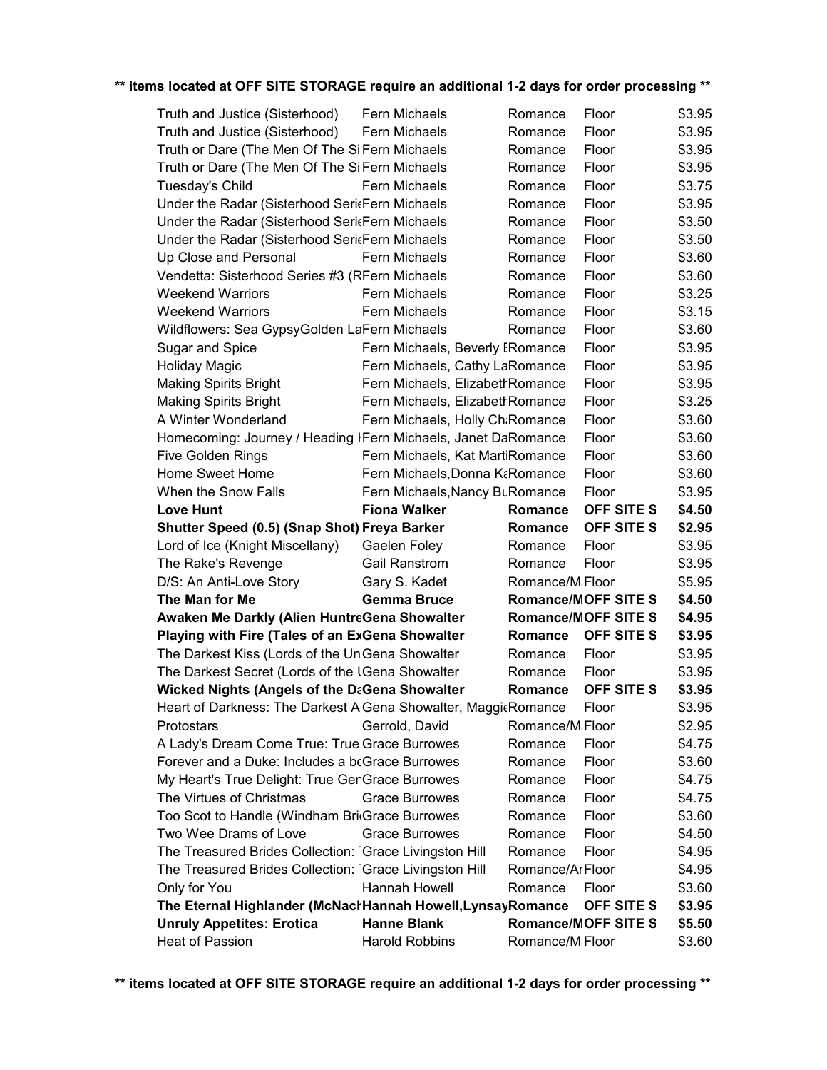| Truth and Justice (Sisterhood)                                      | Fern Michaels                               | Romance                          | Floor                      | \$3.95           |
|---------------------------------------------------------------------|---------------------------------------------|----------------------------------|----------------------------|------------------|
| Truth and Justice (Sisterhood)                                      | Fern Michaels                               | Romance                          | Floor                      | \$3.95           |
| Truth or Dare (The Men Of The SiFern Michaels                       |                                             | Romance                          | Floor                      | \$3.95           |
| Truth or Dare (The Men Of The Si Fern Michaels                      |                                             | Romance                          | Floor                      | \$3.95           |
| Tuesday's Child                                                     | Fern Michaels                               | Romance                          | Floor                      | \$3.75           |
| Under the Radar (Sisterhood SeritFern Michaels                      |                                             | Romance                          | Floor                      | \$3.95           |
| Under the Radar (Sisterhood SeritFern Michaels                      |                                             | Romance                          | Floor                      | \$3.50           |
| Under the Radar (Sisterhood SeritFern Michaels                      |                                             | Romance                          | Floor                      | \$3.50           |
| Up Close and Personal                                               | Fern Michaels                               | Romance                          | Floor                      | \$3.60           |
| Vendetta: Sisterhood Series #3 (RFern Michaels                      |                                             | Romance                          | Floor                      | \$3.60           |
| <b>Weekend Warriors</b>                                             | Fern Michaels                               | Romance                          | Floor                      | \$3.25           |
| <b>Weekend Warriors</b>                                             | Fern Michaels                               | Romance                          | Floor                      | \$3.15           |
| Wildflowers: Sea GypsyGolden LaFern Michaels                        |                                             | Romance                          | Floor                      | \$3.60           |
| Sugar and Spice                                                     |                                             | Fern Michaels, Beverly IRomance  | Floor                      | \$3.95           |
| <b>Holiday Magic</b>                                                |                                             | Fern Michaels, Cathy LaRomance   | Floor                      | \$3.95           |
| <b>Making Spirits Bright</b>                                        |                                             | Fern Michaels, Elizabeth Romance | Floor                      | \$3.95           |
| <b>Making Spirits Bright</b>                                        |                                             | Fern Michaels, Elizabeth Romance | Floor                      | \$3.25           |
| A Winter Wonderland                                                 |                                             | Fern Michaels, Holly Ch Romance  | Floor                      | \$3.60           |
| Homecoming: Journey / Heading IFern Michaels, Janet DaRomance       |                                             |                                  | Floor                      | \$3.60           |
| Five Golden Rings                                                   |                                             | Fern Michaels, Kat MartiRomance  | Floor                      | \$3.60           |
| Home Sweet Home                                                     |                                             | Fern Michaels, Donna K&Romance   | Floor                      | \$3.60           |
| When the Snow Falls                                                 |                                             | Fern Michaels, Nancy BuRomance   | Floor                      | \$3.95           |
| <b>Love Hunt</b>                                                    | <b>Fiona Walker</b>                         | Romance                          | OFF SITE S                 | \$4.50           |
| <b>Shutter Speed (0.5) (Snap Shot) Freya Barker</b>                 |                                             | Romance                          | <b>OFF SITE S</b>          | \$2.95           |
| Lord of Ice (Knight Miscellany)                                     | Gaelen Foley                                | Romance                          | Floor                      | \$3.95           |
|                                                                     |                                             |                                  |                            |                  |
| The Rake's Revenge                                                  | <b>Gail Ranstrom</b>                        | Romance                          | Floor                      | \$3.95           |
| D/S: An Anti-Love Story                                             | Gary S. Kadet                               | Romance/M <sub>i</sub> Floor     |                            | \$5.95           |
| The Man for Me                                                      | <b>Gemma Bruce</b>                          |                                  | <b>Romance/MOFF SITE S</b> | \$4.50           |
| Awaken Me Darkly (Alien HuntreGena Showalter                        |                                             |                                  | <b>Romance/MOFF SITE S</b> | \$4.95           |
| Playing with Fire (Tales of an ExGena Showalter                     |                                             | Romance                          | OFF SITE S                 | \$3.95           |
| The Darkest Kiss (Lords of the UnGena Showalter                     |                                             | Romance                          | Floor                      | \$3.95           |
| The Darkest Secret (Lords of the IGena Showalter                    |                                             | Romance                          | Floor                      | \$3.95           |
| <b>Wicked Nights (Angels of the DaGena Showalter</b>                |                                             | Romance                          | OFF SITE S                 | \$3.95           |
| Heart of Darkness: The Darkest AGena Showalter, MaggitRomance Floor |                                             |                                  |                            | \$3.95           |
| Protostars                                                          | Gerrold, David                              | Romance/MiFloor                  |                            | \$2.95           |
| A Lady's Dream Come True: True Grace Burrowes                       |                                             | Romance                          | Floor                      | \$4.75           |
| Forever and a Duke: Includes a bcGrace Burrowes                     |                                             | Romance                          | Floor                      | \$3.60           |
| My Heart's True Delight: True GenGrace Burrowes                     |                                             | Romance                          | Floor                      | \$4.75           |
| The Virtues of Christmas                                            | <b>Grace Burrowes</b>                       | Romance                          | Floor                      | \$4.75           |
| Too Scot to Handle (Windham Bri Grace Burrowes                      |                                             | Romance                          | Floor                      | \$3.60           |
| Two Wee Drams of Love                                               | <b>Grace Burrowes</b>                       | Romance                          | Floor                      | \$4.50           |
| The Treasured Brides Collection: Grace Livingston Hill              |                                             | Romance                          | Floor                      | \$4.95           |
| The Treasured Brides Collection: Grace Livingston Hill              |                                             | Romance/ArFloor                  |                            | \$4.95           |
| Only for You                                                        | Hannah Howell                               | Romance                          | Floor                      | \$3.60           |
| The Eternal Highlander (McNaclHannah Howell, Lynsay Romance         |                                             |                                  | OFF SITE S                 | \$3.95           |
| <b>Unruly Appetites: Erotica</b><br>Heat of Passion                 | <b>Hanne Blank</b><br><b>Harold Robbins</b> | Romance/MiFloor                  | <b>Romance/MOFF SITE S</b> | \$5.50<br>\$3.60 |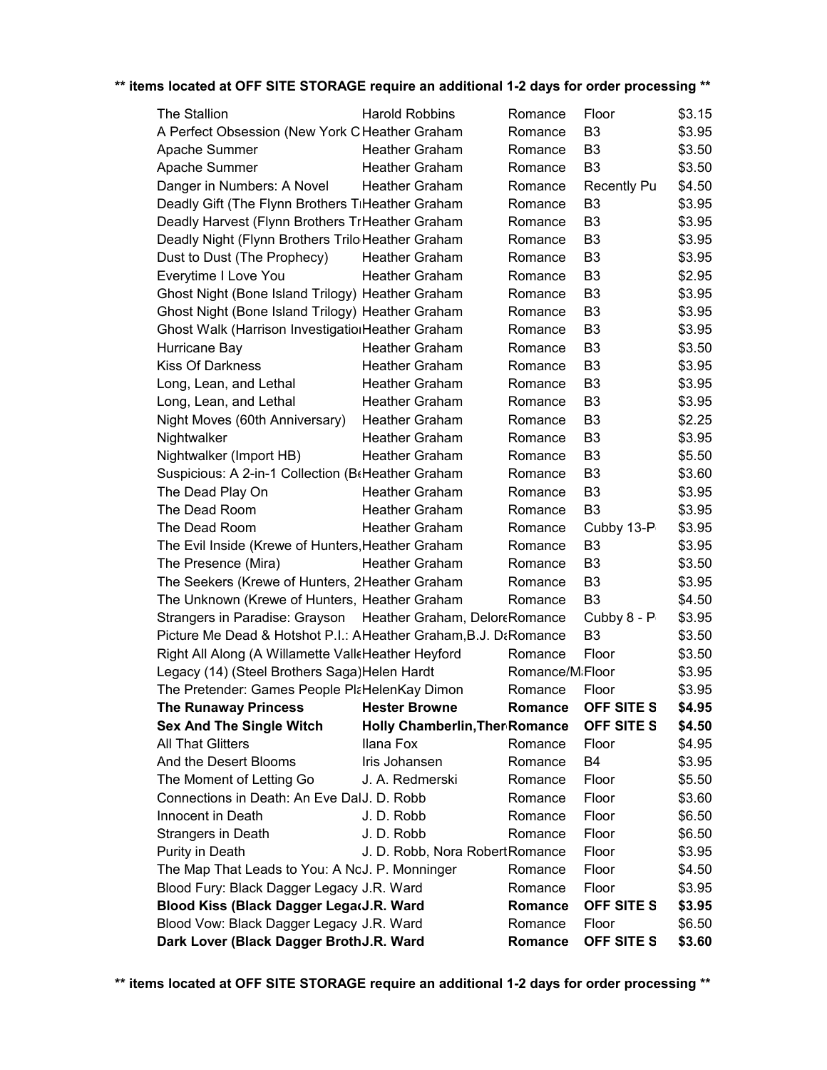| The Stallion                                                    | <b>Harold Robbins</b>                 | Romance         | Floor              | \$3.15 |
|-----------------------------------------------------------------|---------------------------------------|-----------------|--------------------|--------|
| A Perfect Obsession (New York C Heather Graham                  |                                       | Romance         | B <sub>3</sub>     | \$3.95 |
| Apache Summer                                                   | <b>Heather Graham</b>                 | Romance         | B <sub>3</sub>     | \$3.50 |
| Apache Summer                                                   | <b>Heather Graham</b>                 | Romance         | B <sub>3</sub>     | \$3.50 |
| Danger in Numbers: A Novel                                      | <b>Heather Graham</b>                 | Romance         | <b>Recently Pu</b> | \$4.50 |
| Deadly Gift (The Flynn Brothers TiHeather Graham                |                                       | Romance         | B <sub>3</sub>     | \$3.95 |
| Deadly Harvest (Flynn Brothers TrHeather Graham                 |                                       | Romance         | B <sub>3</sub>     | \$3.95 |
| Deadly Night (Flynn Brothers Trilo Heather Graham               |                                       | Romance         | B <sub>3</sub>     | \$3.95 |
| Dust to Dust (The Prophecy)                                     | <b>Heather Graham</b>                 | Romance         | B <sub>3</sub>     | \$3.95 |
| Everytime I Love You                                            | <b>Heather Graham</b>                 | Romance         | B <sub>3</sub>     | \$2.95 |
| Ghost Night (Bone Island Trilogy) Heather Graham                |                                       | Romance         | B <sub>3</sub>     | \$3.95 |
| Ghost Night (Bone Island Trilogy) Heather Graham                |                                       | Romance         | B <sub>3</sub>     | \$3.95 |
| Ghost Walk (Harrison InvestigationHeather Graham                |                                       | Romance         | B <sub>3</sub>     | \$3.95 |
| Hurricane Bay                                                   | <b>Heather Graham</b>                 | Romance         | B <sub>3</sub>     | \$3.50 |
| <b>Kiss Of Darkness</b>                                         | <b>Heather Graham</b>                 | Romance         | B <sub>3</sub>     | \$3.95 |
| Long, Lean, and Lethal                                          | <b>Heather Graham</b>                 | Romance         | B <sub>3</sub>     | \$3.95 |
| Long, Lean, and Lethal                                          | <b>Heather Graham</b>                 | Romance         | B <sub>3</sub>     | \$3.95 |
| Night Moves (60th Anniversary)                                  | <b>Heather Graham</b>                 | Romance         | B <sub>3</sub>     | \$2.25 |
| Nightwalker                                                     | <b>Heather Graham</b>                 | Romance         | B <sub>3</sub>     | \$3.95 |
| Nightwalker (Import HB)                                         | Heather Graham                        | Romance         | B <sub>3</sub>     | \$5.50 |
| Suspicious: A 2-in-1 Collection (BtHeather Graham               |                                       | Romance         | B <sub>3</sub>     | \$3.60 |
| The Dead Play On                                                | <b>Heather Graham</b>                 | Romance         | B <sub>3</sub>     | \$3.95 |
| The Dead Room                                                   | <b>Heather Graham</b>                 | Romance         | B <sub>3</sub>     | \$3.95 |
| The Dead Room                                                   | <b>Heather Graham</b>                 | Romance         | Cubby 13-P         | \$3.95 |
| The Evil Inside (Krewe of Hunters, Heather Graham               |                                       | Romance         | B <sub>3</sub>     | \$3.95 |
| The Presence (Mira)                                             | <b>Heather Graham</b>                 | Romance         | B <sub>3</sub>     | \$3.50 |
| The Seekers (Krewe of Hunters, 2Heather Graham                  |                                       | Romance         | B <sub>3</sub>     | \$3.95 |
| The Unknown (Krewe of Hunters, Heather Graham                   |                                       | Romance         | B <sub>3</sub>     | \$4.50 |
| Strangers in Paradise: Grayson Heather Graham, DeloreRomance    |                                       |                 | Cubby 8 - P        | \$3.95 |
| Picture Me Dead & Hotshot P.I.: AHeather Graham, B.J. DaRomance |                                       |                 | B <sub>3</sub>     | \$3.50 |
| Right All Along (A Willamette ValleHeather Heyford              |                                       | Romance         | Floor              | \$3.50 |
| Legacy (14) (Steel Brothers Saga) Helen Hardt                   |                                       | Romance/MiFloor |                    | \$3.95 |
| The Pretender: Games People PlaHelenKay Dimon                   |                                       | Romance         | Floor              | \$3.95 |
| The Runaway Princess Hester Browne                              |                                       | Romance         | <b>OFF SITE S</b>  | \$4.95 |
| <b>Sex And The Single Witch</b>                                 | <b>Holly Chamberlin, Ther Romance</b> |                 | OFF SITE S         | \$4.50 |
| <b>All That Glitters</b>                                        | Ilana Fox                             | Romance         | Floor              | \$4.95 |
| And the Desert Blooms                                           | Iris Johansen                         | Romance         | B4                 | \$3.95 |
| The Moment of Letting Go                                        | J. A. Redmerski                       | Romance         | Floor              | \$5.50 |
| Connections in Death: An Eve DalJ. D. Robb                      |                                       | Romance         | Floor              | \$3.60 |
| Innocent in Death                                               | J. D. Robb                            | Romance         | Floor              | \$6.50 |
| Strangers in Death                                              | J. D. Robb                            | Romance         | Floor              | \$6.50 |
| Purity in Death                                                 | J. D. Robb, Nora Robert Romance       |                 | Floor              | \$3.95 |
| The Map That Leads to You: A NoJ. P. Monninger                  |                                       | Romance         | Floor              | \$4.50 |
| Blood Fury: Black Dagger Legacy J.R. Ward                       |                                       | Romance         | Floor              | \$3.95 |
| Blood Kiss (Black Dagger LegarJ.R. Ward                         |                                       | Romance         | OFF SITE S         | \$3.95 |
| Blood Vow: Black Dagger Legacy J.R. Ward                        |                                       | Romance         | Floor              | \$6.50 |
| Dark Lover (Black Dagger BrothJ.R. Ward                         |                                       | Romance         | OFF SITE S         | \$3.60 |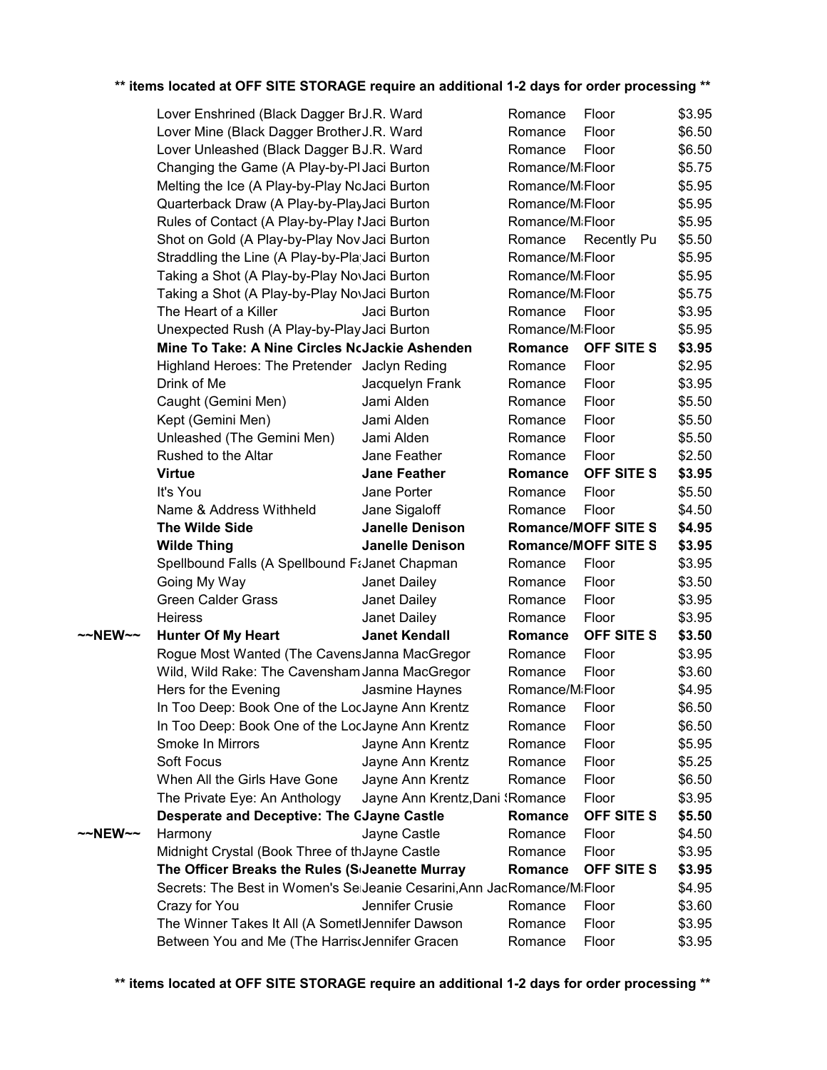|         | Lover Enshrined (Black Dagger BrJ.R. Ward                               |                                 | Romance                      | Floor                      | \$3.95           |
|---------|-------------------------------------------------------------------------|---------------------------------|------------------------------|----------------------------|------------------|
|         | Lover Mine (Black Dagger Brother J.R. Ward                              |                                 | Romance                      | Floor                      | \$6.50           |
|         | Lover Unleashed (Black Dagger BJ.R. Ward                                |                                 | Romance                      | Floor                      | \$6.50           |
|         | Changing the Game (A Play-by-PI Jaci Burton                             |                                 | Romance/MiFloor              |                            | \$5.75           |
|         | Melting the Ice (A Play-by-Play NoJaci Burton                           |                                 | Romance/M <sub>i</sub> Floor |                            | \$5.95           |
|         | Quarterback Draw (A Play-by-PlayJaci Burton                             |                                 | Romance/M <sub>i</sub> Floor |                            | \$5.95           |
|         | Rules of Contact (A Play-by-Play I Jaci Burton                          |                                 | Romance/M <sub>i</sub> Floor |                            | \$5.95           |
|         | Shot on Gold (A Play-by-Play Nov Jaci Burton                            |                                 |                              | Romance Recently Pu        | \$5.50           |
|         | Straddling the Line (A Play-by-Pla Jaci Burton                          |                                 | Romance/M <sub>i</sub> Floor |                            | \$5.95           |
|         | Taking a Shot (A Play-by-Play NovJaci Burton                            |                                 | Romance/M <sub>i</sub> Floor |                            | \$5.95           |
|         | Taking a Shot (A Play-by-Play NovJaci Burton                            |                                 | Romance/MiFloor              |                            | \$5.75           |
|         | The Heart of a Killer                                                   | Jaci Burton                     | Romance Floor                |                            | \$3.95           |
|         | Unexpected Rush (A Play-by-Play Jaci Burton                             |                                 | Romance/MiFloor              |                            | \$5.95           |
|         | Mine To Take: A Nine Circles NcJackie Ashenden                          |                                 | Romance                      | <b>OFF SITE S</b>          | \$3.95           |
|         | Highland Heroes: The Pretender Jaclyn Reding                            |                                 | Romance                      | Floor                      | \$2.95           |
|         | Drink of Me                                                             |                                 |                              |                            |                  |
|         |                                                                         | Jacquelyn Frank<br>Jami Alden   | Romance                      | Floor                      | \$3.95           |
|         | Caught (Gemini Men)                                                     |                                 | Romance                      | Floor                      | \$5.50           |
|         | Kept (Gemini Men)                                                       | Jami Alden                      | Romance                      | Floor                      | \$5.50           |
|         | Unleashed (The Gemini Men)                                              | Jami Alden                      | Romance                      | Floor                      | \$5.50           |
|         | Rushed to the Altar                                                     | Jane Feather                    | Romance                      | Floor                      | \$2.50           |
|         | <b>Virtue</b>                                                           | <b>Jane Feather</b>             | Romance                      | OFF SITE S                 | \$3.95           |
|         | It's You                                                                | Jane Porter                     | Romance                      | Floor                      | \$5.50           |
|         | Name & Address Withheld                                                 | Jane Sigaloff                   | Romance                      | Floor                      | \$4.50           |
|         | The Wilde Side                                                          | <b>Janelle Denison</b>          |                              | <b>Romance/MOFF SITE S</b> | \$4.95           |
|         | <b>Wilde Thing</b>                                                      | <b>Janelle Denison</b>          |                              | <b>Romance/MOFF SITE S</b> | \$3.95           |
|         | Spellbound Falls (A Spellbound F&Janet Chapman                          |                                 | Romance                      | Floor                      | \$3.95           |
|         | Going My Way                                                            | Janet Dailey                    | Romance                      | Floor                      | \$3.50           |
|         | <b>Green Calder Grass</b>                                               | Janet Dailey                    | Romance                      | Floor                      | \$3.95           |
|         | <b>Heiress</b>                                                          | Janet Dailey                    | Romance                      | Floor                      | \$3.95           |
| ~~NEW~~ | <b>Hunter Of My Heart</b>                                               | <b>Janet Kendall</b>            | Romance                      | OFF SITE S                 | \$3.50           |
|         | Rogue Most Wanted (The CavensJanna MacGregor                            |                                 | Romance                      | Floor                      | \$3.95           |
|         | Wild, Wild Rake: The Cavensham Janna MacGregor                          |                                 | Romance                      | Floor                      | \$3.60           |
|         | Hers for the Evening                                                    | Jasmine Haynes                  | Romance/M <sub>i</sub> Floor |                            | \$4.95           |
|         | In Too Deep: Book One of the LocJayne Ann Krentz                        |                                 | Romance Floor                |                            | \$6.50           |
|         | In Too Deep: Book One of the LocJayne Ann Krentz                        |                                 | Romance                      | Floor                      | \$6.50           |
|         | Smoke In Mirrors                                                        | Jayne Ann Krentz                | Romance                      | Floor                      | \$5.95           |
|         | Soft Focus                                                              | Jayne Ann Krentz                | Romance                      | Floor                      | \$5.25           |
|         | When All the Girls Have Gone                                            | Jayne Ann Krentz                | Romance                      | Floor                      | \$6.50           |
|         | The Private Eye: An Anthology                                           | Jayne Ann Krentz, Dani 'Romance |                              | Floor                      | \$3.95           |
|         | <b>Desperate and Deceptive: The CJayne Castle</b>                       |                                 | Romance                      | OFF SITE S                 | \$5.50           |
| ~~NEW~~ | Harmony                                                                 | Jayne Castle                    | Romance                      | Floor                      | \$4.50           |
|         | Midnight Crystal (Book Three of thJayne Castle                          |                                 | Romance                      | Floor                      | \$3.95           |
|         | The Officer Breaks the Rules (Sdeanette Murray                          |                                 | Romance                      | <b>OFF SITE S</b>          | \$3.95           |
|         | Secrets: The Best in Women's SeiJeanie Cesarini, Ann JacRomance/MiFloor |                                 |                              |                            | \$4.95           |
|         | Crazy for You                                                           | Jennifer Crusie                 | Romance                      | Floor                      | \$3.60           |
|         |                                                                         |                                 |                              |                            |                  |
|         | The Winner Takes It All (A SometIJennifer Dawson                        |                                 | Romance                      | Floor                      | \$3.95<br>\$3.95 |
|         | Between You and Me (The HarriscJennifer Gracen                          |                                 | Romance                      | Floor                      |                  |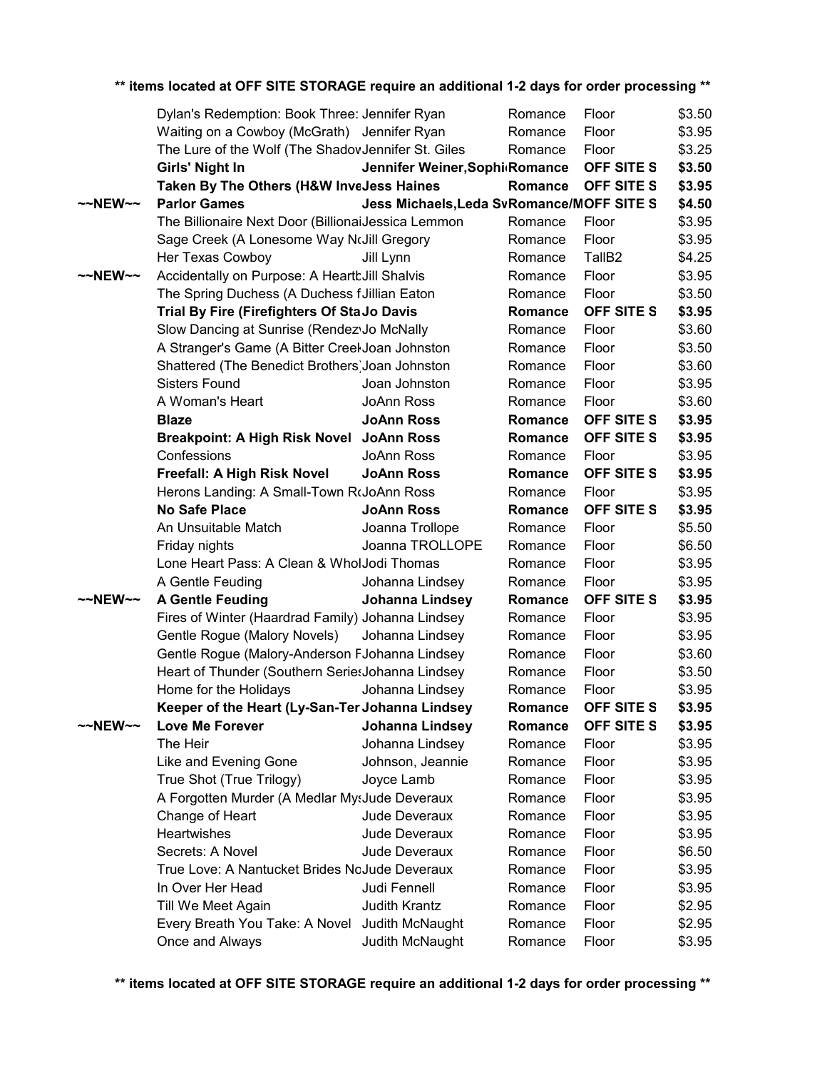|                     | Dylan's Redemption: Book Three: Jennifer Ryan      |                                           | Romance            | Floor              | \$3.50           |
|---------------------|----------------------------------------------------|-------------------------------------------|--------------------|--------------------|------------------|
|                     | Waiting on a Cowboy (McGrath) Jennifer Ryan        |                                           | Romance            | Floor              | \$3.95           |
|                     | The Lure of the Wolf (The ShadovJennifer St. Giles |                                           | Romance            | Floor              | \$3.25           |
|                     | Girls' Night In                                    | Jennifer Weiner, Sophi Romance            |                    | OFF SITE S         | \$3.50           |
|                     | Taken By The Others (H&W InveJess Haines           |                                           | Romance            | OFF SITE S         | \$3.95           |
| $~\sim$ NEW $~\sim$ | <b>Parlor Games</b>                                | Jess Michaels, Leda SvRomance/MOFF SITE S |                    |                    | \$4.50           |
|                     | The Billionaire Next Door (BillionaiJessica Lemmon |                                           | Romance            | Floor              | \$3.95           |
|                     | Sage Creek (A Lonesome Way NoJill Gregory          |                                           | Romance            | Floor              | \$3.95           |
|                     | Her Texas Cowboy                                   | Jill Lynn                                 | Romance            | TallB <sub>2</sub> | \$4.25           |
| $~\sim$ NEW $~\sim$ | Accidentally on Purpose: A HeartbJill Shalvis      |                                           | Romance            | Floor              | \$3.95           |
|                     | The Spring Duchess (A Duchess f Jillian Eaton      |                                           | Romance            | Floor              | \$3.50           |
|                     | <b>Trial By Fire (Firefighters Of StaJo Davis</b>  |                                           | Romance            | OFF SITE S         | \$3.95           |
|                     | Slow Dancing at Sunrise (Rendez Jo McNally         |                                           | Romance            | Floor              | \$3.60           |
|                     | A Stranger's Game (A Bitter Creel Joan Johnston    |                                           | Romance            | Floor              | \$3.50           |
|                     | Shattered (The Benedict Brothers) Joan Johnston    |                                           | Romance            | Floor              | \$3.60           |
|                     | <b>Sisters Found</b>                               | Joan Johnston                             | Romance            | Floor              | \$3.95           |
|                     | A Woman's Heart                                    | JoAnn Ross                                | Romance            | Floor              | \$3.60           |
|                     | <b>Blaze</b>                                       | <b>JoAnn Ross</b>                         | Romance            | OFF SITE S         | \$3.95           |
|                     | <b>Breakpoint: A High Risk Novel</b>               | <b>JoAnn Ross</b>                         | Romance            | OFF SITE S         | \$3.95           |
|                     | Confessions                                        | JoAnn Ross                                | Romance            | Floor              | \$3.95           |
|                     | Freefall: A High Risk Novel                        | <b>JoAnn Ross</b>                         | Romance            | OFF SITE S         | \$3.95           |
|                     | Herons Landing: A Small-Town RoJoAnn Ross          |                                           | Romance            | Floor              | \$3.95           |
|                     | <b>No Safe Place</b>                               | <b>JoAnn Ross</b>                         | Romance            | OFF SITE S         | \$3.95           |
|                     | An Unsuitable Match                                | Joanna Trollope                           | Romance            | Floor              | \$5.50           |
|                     | Friday nights                                      | Joanna TROLLOPE                           | Romance            | Floor              | \$6.50           |
|                     | Lone Heart Pass: A Clean & WholJodi Thomas         |                                           | Romance            | Floor              | \$3.95           |
|                     | A Gentle Feuding                                   | Johanna Lindsey                           | Romance            | Floor              | \$3.95           |
| $\sim$ NEW $\sim$   | <b>A Gentle Feuding</b>                            | Johanna Lindsey                           | Romance            | OFF SITE S         | \$3.95           |
|                     | Fires of Winter (Haardrad Family) Johanna Lindsey  |                                           | Romance            | Floor              | \$3.95           |
|                     | Gentle Rogue (Malory Novels)                       | Johanna Lindsey                           | Romance            | Floor              | \$3.95           |
|                     | Gentle Rogue (Malory-Anderson FJohanna Lindsey     |                                           | Romance            | Floor              | \$3.60           |
|                     | Heart of Thunder (Southern SeriesJohanna Lindsey   |                                           | Romance            | Floor              | \$3.50           |
|                     | Home for the Holidays                              | Johanna Lindsey                           | Romance            | Floor              | \$3.95           |
|                     | Keeper of the Heart (Ly-San-Ter Johanna Lindsey    |                                           | Romance            | OFF SITE S         | \$3.95           |
| $\sim$ NEW $\sim$   | Love Me Forever                                    | Johanna Lindsey                           | Romance            | OFF SITE S         | \$3.95           |
|                     | The Heir                                           |                                           | Romance            | Floor              | \$3.95           |
|                     |                                                    | Johanna Lindsey                           |                    |                    |                  |
|                     | Like and Evening Gone                              | Johnson, Jeannie                          | Romance            | Floor              | \$3.95           |
|                     | True Shot (True Trilogy)                           | Joyce Lamb                                | Romance            | Floor              | \$3.95           |
|                     | A Forgotten Murder (A Medlar MysJude Deveraux      |                                           | Romance            | Floor              | \$3.95           |
|                     | Change of Heart                                    | Jude Deveraux                             | Romance            | Floor              | \$3.95           |
|                     | Heartwishes                                        | Jude Deveraux                             | Romance            | Floor              | \$3.95           |
|                     | Secrets: A Novel                                   | Jude Deveraux                             | Romance            | Floor              | \$6.50           |
|                     | True Love: A Nantucket Brides NoJude Deveraux      |                                           | Romance            | Floor              | \$3.95           |
|                     | In Over Her Head                                   | Judi Fennell                              | Romance            | Floor              | \$3.95           |
|                     | Till We Meet Again                                 | Judith Krantz                             | Romance            | Floor              | \$2.95           |
|                     | Every Breath You Take: A Novel<br>Once and Always  | Judith McNaught<br>Judith McNaught        | Romance<br>Romance | Floor<br>Floor     | \$2.95<br>\$3.95 |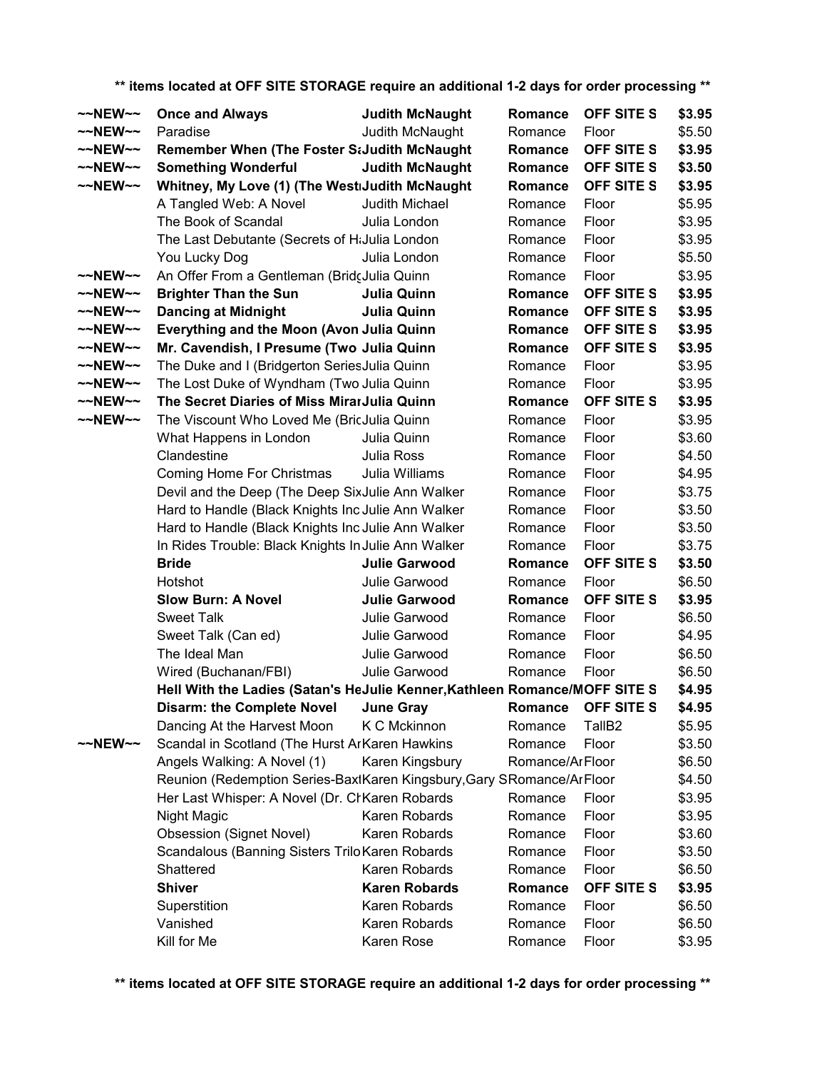| ~~NEW~~             | <b>Once and Always</b>                                                     | <b>Judith McNaught</b> | Romance         | OFF SITE S         | \$3.95 |
|---------------------|----------------------------------------------------------------------------|------------------------|-----------------|--------------------|--------|
| $\sim$ NEW $\sim$   | Paradise                                                                   | Judith McNaught        | Romance         | Floor              | \$5.50 |
| ~~NEW~~             | Remember When (The Foster StJudith McNaught                                |                        | Romance         | OFF SITE S         | \$3.95 |
| $\sim$ NEW $\sim$   | <b>Something Wonderful</b>                                                 | <b>Judith McNaught</b> | Romance         | <b>OFF SITE S</b>  | \$3.50 |
| $~\sim$ NEW $~\sim$ | Whitney, My Love (1) (The WestiJudith McNaught                             |                        | Romance         | <b>OFF SITE S</b>  | \$3.95 |
|                     | A Tangled Web: A Novel                                                     | Judith Michael         | Romance         | Floor              | \$5.95 |
|                     | The Book of Scandal                                                        | Julia London           | Romance         | Floor              | \$3.95 |
|                     | The Last Debutante (Secrets of HiJulia London                              |                        | Romance         | Floor              | \$3.95 |
|                     | You Lucky Dog                                                              | Julia London           | Romance         | Floor              | \$5.50 |
| ~~NEW~~             | An Offer From a Gentleman (BridcJulia Quinn                                |                        | Romance         | Floor              | \$3.95 |
| $\sim$ NEW $\sim$   | <b>Brighter Than the Sun</b>                                               | Julia Quinn            | Romance         | OFF SITE S         | \$3.95 |
| $\sim$ NEW $\sim$   | <b>Dancing at Midnight</b>                                                 | Julia Quinn            | Romance         | <b>OFF SITE S</b>  | \$3.95 |
| $\sim$ NEW $\sim$   | Everything and the Moon (Avon Julia Quinn                                  |                        | Romance         | <b>OFF SITE S</b>  | \$3.95 |
| $\sim$ NEW $\sim$   | Mr. Cavendish, I Presume (Two Julia Quinn                                  |                        | Romance         | <b>OFF SITE S</b>  | \$3.95 |
| $\sim$ NEW $\sim$   | The Duke and I (Bridgerton SeriesJulia Quinn                               |                        | Romance         | Floor              | \$3.95 |
| $\sim$ NEW $\sim$   | The Lost Duke of Wyndham (Two Julia Quinn                                  |                        | Romance         | Floor              | \$3.95 |
| ~~NEW~~             | The Secret Diaries of Miss MirarJulia Quinn                                |                        | Romance         | OFF SITE S         | \$3.95 |
| $~\sim$ NEW $~\sim$ | The Viscount Who Loved Me (BricJulia Quinn                                 |                        | Romance         | Floor              | \$3.95 |
|                     | What Happens in London                                                     | Julia Quinn            | Romance         | Floor              | \$3.60 |
|                     | Clandestine                                                                | <b>Julia Ross</b>      | Romance         | Floor              | \$4.50 |
|                     | Coming Home For Christmas                                                  | Julia Williams         | Romance         | Floor              | \$4.95 |
|                     | Devil and the Deep (The Deep SixJulie Ann Walker                           |                        | Romance         | Floor              | \$3.75 |
|                     | Hard to Handle (Black Knights Inc Julie Ann Walker                         |                        | Romance         | Floor              | \$3.50 |
|                     | Hard to Handle (Black Knights Inc Julie Ann Walker                         |                        | Romance         | Floor              | \$3.50 |
|                     | In Rides Trouble: Black Knights In Julie Ann Walker                        |                        | Romance         | Floor              | \$3.75 |
|                     | <b>Bride</b>                                                               | <b>Julie Garwood</b>   | Romance         | OFF SITE S         | \$3.50 |
|                     | Hotshot                                                                    | Julie Garwood          | Romance         | Floor              | \$6.50 |
|                     | <b>Slow Burn: A Novel</b>                                                  | <b>Julie Garwood</b>   | Romance         | <b>OFF SITE S</b>  | \$3.95 |
|                     | <b>Sweet Talk</b>                                                          | Julie Garwood          | Romance         | Floor              | \$6.50 |
|                     | Sweet Talk (Can ed)                                                        | Julie Garwood          | Romance         | Floor              | \$4.95 |
|                     | The Ideal Man                                                              | Julie Garwood          | Romance         | Floor              | \$6.50 |
|                     | Wired (Buchanan/FBI)                                                       | Julie Garwood          | Romance         | Floor              | \$6.50 |
|                     | Hell With the Ladies (Satan's HeJulie Kenner, Kathleen Romance/MOFF SITE S |                        |                 |                    | \$4.95 |
|                     | Disarm: the Complete Novel  June Gray                                      |                        |                 | Romance OFF SITE S | \$4.95 |
|                     | Dancing At the Harvest Moon                                                | K C Mckinnon           | Romance         | TallB <sub>2</sub> | \$5.95 |
| $\sim$ NEW $\sim$   | Scandal in Scotland (The Hurst ArKaren Hawkins                             |                        | Romance         | Floor              | \$3.50 |
|                     | Angels Walking: A Novel (1)                                                | Karen Kingsbury        | Romance/ArFloor |                    | \$6.50 |
|                     | Reunion (Redemption Series-BaxtKaren Kingsbury, Gary SRomance/ArFloor      |                        |                 |                    | \$4.50 |
|                     | Her Last Whisper: A Novel (Dr. CrKaren Robards                             |                        | Romance         | Floor              | \$3.95 |
|                     |                                                                            | Karen Robards          |                 | Floor              |        |
|                     | Night Magic                                                                |                        | Romance         |                    | \$3.95 |
|                     | <b>Obsession (Signet Novel)</b>                                            | Karen Robards          | Romance         | Floor              | \$3.60 |
|                     | Scandalous (Banning Sisters Trilo Karen Robards                            |                        | Romance         | Floor              | \$3.50 |
|                     | Shattered                                                                  | Karen Robards          | Romance         | Floor              | \$6.50 |
|                     | <b>Shiver</b>                                                              | <b>Karen Robards</b>   | Romance         | <b>OFF SITE S</b>  | \$3.95 |
|                     | Superstition                                                               | Karen Robards          | Romance         | Floor              | \$6.50 |
|                     | Vanished                                                                   | Karen Robards          | Romance         | Floor              | \$6.50 |
|                     | Kill for Me                                                                | Karen Rose             | Romance         | Floor              | \$3.95 |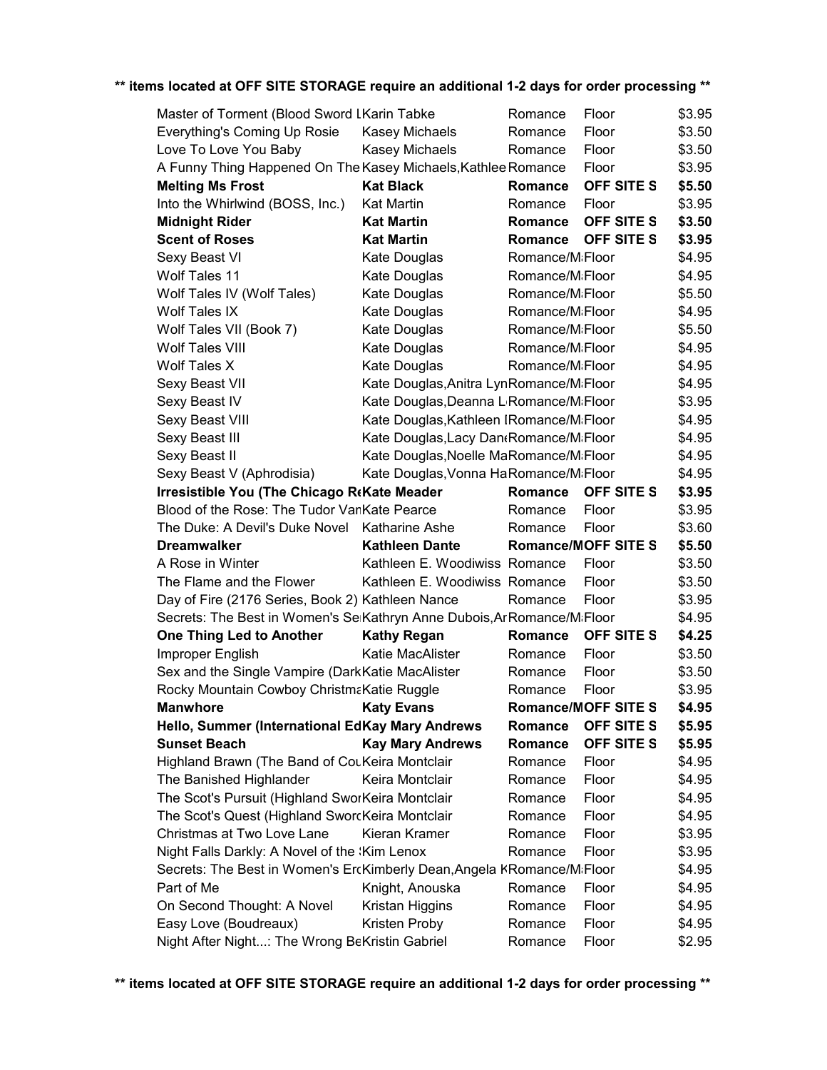| Master of Torment (Blood Sword LKarin Tabke                             |                                                     | Romance                      | Floor                      | \$3.95 |
|-------------------------------------------------------------------------|-----------------------------------------------------|------------------------------|----------------------------|--------|
| Everything's Coming Up Rosie                                            | Kasey Michaels                                      | Romance                      | Floor                      | \$3.50 |
| Love To Love You Baby                                                   | Kasey Michaels                                      | Romance                      | Floor                      | \$3.50 |
| A Funny Thing Happened On The Kasey Michaels, Kathlee Romance           |                                                     |                              | Floor                      | \$3.95 |
| <b>Melting Ms Frost</b>                                                 | <b>Kat Black</b>                                    | Romance                      | <b>OFF SITE S</b>          | \$5.50 |
| Into the Whirlwind (BOSS, Inc.)                                         | Kat Martin                                          | Romance                      | Floor                      | \$3.95 |
| <b>Midnight Rider</b>                                                   | <b>Kat Martin</b>                                   | <b>Romance</b>               | <b>OFF SITE S</b>          | \$3.50 |
| <b>Scent of Roses</b>                                                   | <b>Kat Martin</b>                                   | <b>Romance</b>               | <b>OFF SITE S</b>          | \$3.95 |
| Sexy Beast VI                                                           | Kate Douglas                                        | Romance/M <sub>i</sub> Floor |                            | \$4.95 |
| Wolf Tales 11                                                           | Kate Douglas                                        | Romance/M <sub>i</sub> Floor |                            | \$4.95 |
| Wolf Tales IV (Wolf Tales)                                              | Kate Douglas                                        | Romance/M <sub>i</sub> Floor |                            | \$5.50 |
| Wolf Tales IX                                                           | Kate Douglas                                        | Romance/M <sub>i</sub> Floor |                            | \$4.95 |
| Wolf Tales VII (Book 7)                                                 | Kate Douglas                                        | Romance/MiFloor              |                            | \$5.50 |
| Wolf Tales VIII                                                         | Kate Douglas                                        | Romance/M <sub>i</sub> Floor |                            | \$4.95 |
| <b>Wolf Tales X</b>                                                     | Kate Douglas                                        | Romance/M <sub>i</sub> Floor |                            | \$4.95 |
| Sexy Beast VII                                                          | Kate Douglas, Anitra LynRomance/MiFloor             |                              |                            | \$4.95 |
| Sexy Beast IV                                                           | Kate Douglas, Deanna L <sub>'</sub> Romance/MiFloor |                              |                            | \$3.95 |
| Sexy Beast VIII                                                         | Kate Douglas, Kathleen IRomance/MiFloor             |                              |                            | \$4.95 |
| Sexy Beast III                                                          | Kate Douglas, Lacy Dan (Romance/M; Floor            |                              |                            | \$4.95 |
| Sexy Beast II                                                           | Kate Douglas, Noelle MaRomance/MiFloor              |                              |                            | \$4.95 |
| Sexy Beast V (Aphrodisia)                                               | Kate Douglas, Vonna HaRomance/MiFloor               |                              |                            | \$4.95 |
| <b>Irresistible You (The Chicago ReKate Meader</b>                      |                                                     | Romance                      | <b>OFF SITE S</b>          | \$3.95 |
| Blood of the Rose: The Tudor VanKate Pearce                             |                                                     | Romance                      | Floor                      | \$3.95 |
| The Duke: A Devil's Duke Novel                                          | Katharine Ashe                                      | Romance                      | Floor                      | \$3.60 |
|                                                                         |                                                     |                              |                            |        |
| <b>Dreamwalker</b>                                                      | <b>Kathleen Dante</b>                               |                              | <b>Romance/MOFF SITE S</b> | \$5.50 |
| A Rose in Winter                                                        | Kathleen E. Woodiwiss Romance                       |                              | Floor                      | \$3.50 |
| The Flame and the Flower                                                | Kathleen E. Woodiwiss Romance                       |                              | Floor                      | \$3.50 |
| Day of Fire (2176 Series, Book 2) Kathleen Nance                        |                                                     | Romance                      | Floor                      | \$3.95 |
| Secrets: The Best in Women's SeiKathryn Anne Dubois, Ar Romance/MiFloor |                                                     |                              |                            | \$4.95 |
| <b>One Thing Led to Another</b>                                         | <b>Kathy Regan</b>                                  | Romance                      | <b>OFF SITE S</b>          | \$4.25 |
| Improper English                                                        | Katie MacAlister                                    | Romance                      | Floor                      | \$3.50 |
| Sex and the Single Vampire (DarkKatie MacAlister                        |                                                     | Romance                      | Floor                      | \$3.50 |
| Rocky Mountain Cowboy ChristmaKatie Ruggle                              |                                                     | Romance                      | Floor                      | \$3.95 |
| <b>Manwhore Manwhore</b>                                                | <b>Katy Evans</b>                                   |                              | <b>Romance/MOFF SITE S</b> | \$4.95 |
| Hello, Summer (International EdKay Mary Andrews                         |                                                     | Romance                      | OFF SITE S                 | \$5.95 |
| <b>Sunset Beach</b>                                                     | <b>Kay Mary Andrews</b>                             | Romance                      | <b>OFF SITE S</b>          | \$5.95 |
| Highland Brawn (The Band of CouKeira Montclair                          |                                                     | Romance                      | Floor                      | \$4.95 |
| The Banished Highlander                                                 | Keira Montclair                                     | Romance                      | Floor                      | \$4.95 |
| The Scot's Pursuit (Highland SworKeira Montclair                        |                                                     | Romance                      | Floor                      | \$4.95 |
| The Scot's Quest (Highland SworcKeira Montclair                         |                                                     | Romance                      | Floor                      | \$4.95 |
| Christmas at Two Love Lane                                              | Kieran Kramer                                       | Romance                      | Floor                      | \$3.95 |
| Night Falls Darkly: A Novel of the 'Kim Lenox                           |                                                     | Romance                      | Floor                      | \$3.95 |
| Secrets: The Best in Women's ErcKimberly Dean, Angela KRomance/MiFloor  |                                                     |                              |                            | \$4.95 |
| Part of Me                                                              | Knight, Anouska                                     | Romance                      | Floor                      | \$4.95 |
| On Second Thought: A Novel                                              | Kristan Higgins                                     | Romance                      | Floor                      | \$4.95 |
| Easy Love (Boudreaux)                                                   | Kristen Proby                                       | Romance                      | Floor                      | \$4.95 |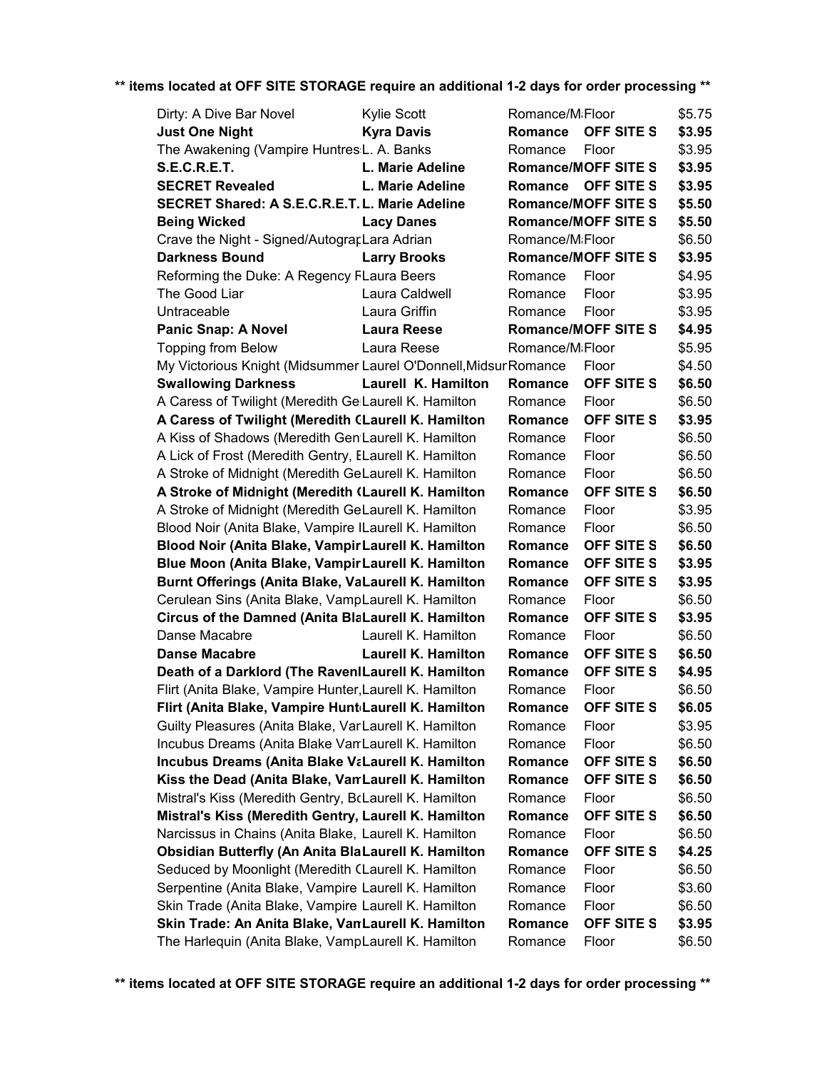| Dirty: A Dive Bar Novel                                          | <b>Kylie Scott</b>         | Romance/M <sub>i</sub> Floor |                            | \$5.75 |
|------------------------------------------------------------------|----------------------------|------------------------------|----------------------------|--------|
| <b>Just One Night</b>                                            | <b>Kyra Davis</b>          | Romance                      | <b>OFF SITE S</b>          | \$3.95 |
| The Awakening (Vampire Huntres:L. A. Banks                       |                            | Romance                      | Floor                      | \$3.95 |
| <b>S.E.C.R.E.T.</b>                                              | L. Marie Adeline           |                              | <b>Romance/MOFF SITE S</b> | \$3.95 |
| <b>SECRET Revealed</b>                                           | L. Marie Adeline           | Romance                      | OFF SITE S                 | \$3.95 |
| <b>SECRET Shared: A S.E.C.R.E.T. L. Marie Adeline</b>            |                            |                              | <b>Romance/MOFF SITE S</b> | \$5.50 |
| <b>Being Wicked</b>                                              | <b>Lacy Danes</b>          |                              | <b>Romance/MOFF SITE S</b> | \$5.50 |
| Crave the Night - Signed/AutograpLara Adrian                     |                            | Romance/M <sub>i</sub> Floor |                            | \$6.50 |
| <b>Darkness Bound</b>                                            | <b>Larry Brooks</b>        |                              | <b>Romance/MOFF SITE S</b> | \$3.95 |
| Reforming the Duke: A Regency FLaura Beers                       |                            | Romance                      | Floor                      | \$4.95 |
| The Good Liar                                                    | Laura Caldwell             | Romance                      | Floor                      | \$3.95 |
| Untraceable                                                      | Laura Griffin              | Romance                      | Floor                      | \$3.95 |
| <b>Panic Snap: A Novel</b>                                       | <b>Laura Reese</b>         |                              | <b>Romance/MOFF SITE S</b> | \$4.95 |
| <b>Topping from Below</b>                                        | Laura Reese                | Romance/M <sub>i</sub> Floor |                            | \$5.95 |
| My Victorious Knight (Midsummer Laurel O'Donnell, Midsur Romance |                            |                              | Floor                      | \$4.50 |
| <b>Swallowing Darkness</b>                                       | Laurell K. Hamilton        | <b>Romance</b>               | <b>OFF SITE S</b>          | \$6.50 |
| A Caress of Twilight (Meredith Ge Laurell K. Hamilton            |                            | Romance                      | Floor                      | \$6.50 |
| A Caress of Twilight (Meredith CLaurell K. Hamilton              |                            | <b>Romance</b>               | <b>OFF SITE S</b>          | \$3.95 |
| A Kiss of Shadows (Meredith Gen Laurell K. Hamilton              |                            | Romance                      | Floor                      | \$6.50 |
| A Lick of Frost (Meredith Gentry, ELaurell K. Hamilton           |                            | Romance                      | Floor                      | \$6.50 |
| A Stroke of Midnight (Meredith GeLaurell K. Hamilton             |                            | Romance                      | Floor                      | \$6.50 |
| A Stroke of Midnight (Meredith (Laurell K. Hamilton              |                            | Romance                      | <b>OFF SITE S</b>          | \$6.50 |
| A Stroke of Midnight (Meredith GeLaurell K. Hamilton             |                            | Romance                      | Floor                      | \$3.95 |
| Blood Noir (Anita Blake, Vampire ILaurell K. Hamilton            |                            | Romance                      | Floor                      | \$6.50 |
| Blood Noir (Anita Blake, Vampir Laurell K. Hamilton              |                            | <b>Romance</b>               | <b>OFF SITE S</b>          | \$6.50 |
| Blue Moon (Anita Blake, Vampir Laurell K. Hamilton               |                            | <b>Romance</b>               | OFF SITE S                 | \$3.95 |
| Burnt Offerings (Anita Blake, VaLaurell K. Hamilton              |                            | <b>Romance</b>               | <b>OFF SITE S</b>          | \$3.95 |
| Cerulean Sins (Anita Blake, VampLaurell K. Hamilton              |                            | Romance                      | Floor                      | \$6.50 |
| Circus of the Damned (Anita BlaLaurell K. Hamilton               |                            | <b>Romance</b>               | <b>OFF SITE S</b>          | \$3.95 |
| Danse Macabre                                                    | Laurell K. Hamilton        | Romance                      | Floor                      | \$6.50 |
| <b>Danse Macabre</b>                                             | <b>Laurell K. Hamilton</b> | Romance                      | <b>OFF SITE S</b>          | \$6.50 |
| Death of a Darklord (The RavenILaurell K. Hamilton               |                            | Romance                      | <b>OFF SITE S</b>          | \$4.95 |
| Flirt (Anita Blake, Vampire Hunter, Laurell K. Hamilton          |                            | Romance                      | Floor                      | \$6.50 |
| Flirt (Anita Blake, Vampire HuntdLaurell K. Hamilton             |                            | Romance                      | OFF SITE S                 | \$6.05 |
| Guilty Pleasures (Anita Blake, VarLaurell K. Hamilton            |                            | Romance                      | Floor                      | \$3.95 |
| Incubus Dreams (Anita Blake Van Laurell K. Hamilton              |                            | Romance                      | Floor                      | \$6.50 |
| <b>Incubus Dreams (Anita Blake VaLaurell K. Hamilton</b>         |                            | Romance                      | <b>OFF SITE S</b>          | \$6.50 |
| Kiss the Dead (Anita Blake, VamLaurell K. Hamilton               |                            | Romance                      | <b>OFF SITE S</b>          | \$6.50 |
| Mistral's Kiss (Meredith Gentry, BcLaurell K. Hamilton           |                            | Romance                      | Floor                      | \$6.50 |
| Mistral's Kiss (Meredith Gentry, Laurell K. Hamilton             |                            | Romance                      | <b>OFF SITE S</b>          | \$6.50 |
| Narcissus in Chains (Anita Blake, Laurell K. Hamilton            |                            | Romance                      | Floor                      | \$6.50 |
| <b>Obsidian Butterfly (An Anita BlaLaurell K. Hamilton</b>       |                            | Romance                      | OFF SITE S                 | \$4.25 |
| Seduced by Moonlight (Meredith CLaurell K. Hamilton              |                            | Romance                      | Floor                      | \$6.50 |
| Serpentine (Anita Blake, Vampire Laurell K. Hamilton             |                            | Romance                      | Floor                      | \$3.60 |
| Skin Trade (Anita Blake, Vampire Laurell K. Hamilton             |                            | Romance                      | Floor                      | \$6.50 |
| Skin Trade: An Anita Blake, VanLaurell K. Hamilton               |                            | Romance                      | OFF SITE S                 | \$3.95 |
| The Harlequin (Anita Blake, VampLaurell K. Hamilton              |                            | Romance                      | Floor                      | \$6.50 |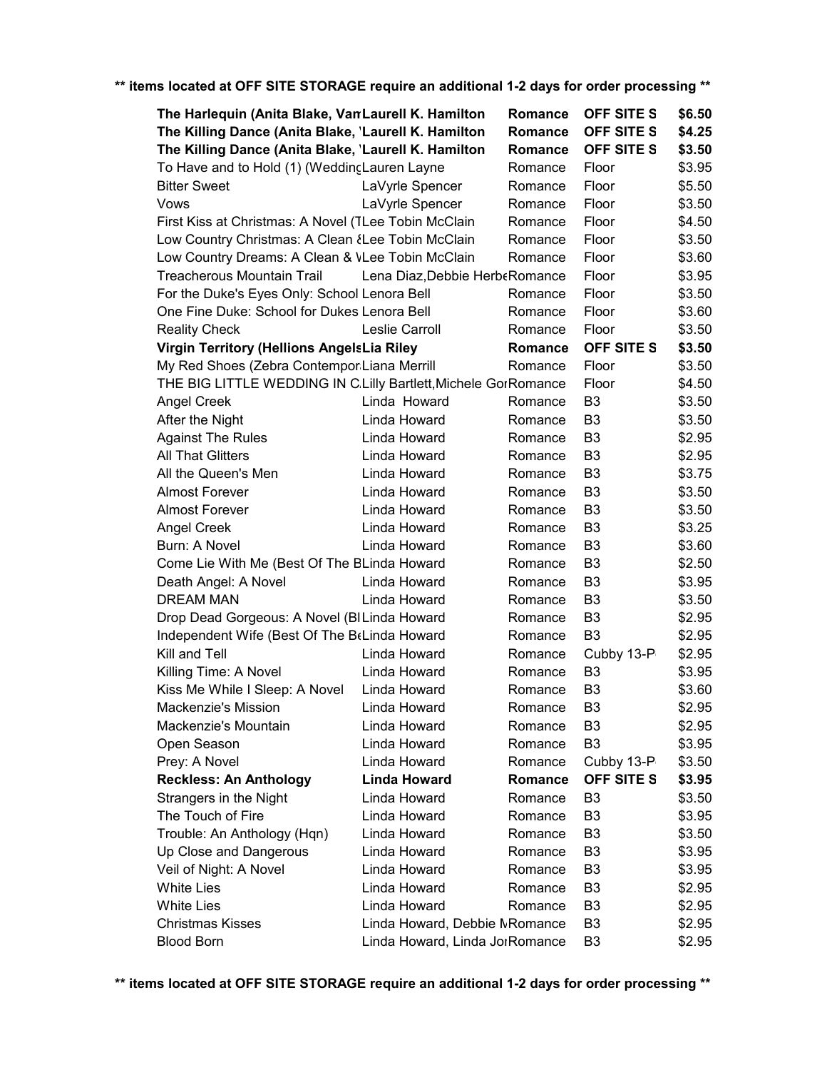| The Harlequin (Anita Blake, Van Laurell K. Hamilton            |                                | Romance | OFF SITE S        | \$6.50 |
|----------------------------------------------------------------|--------------------------------|---------|-------------------|--------|
| The Killing Dance (Anita Blake, 'Laurell K. Hamilton           |                                | Romance | OFF SITE S        | \$4.25 |
| The Killing Dance (Anita Blake, 'Laurell K. Hamilton           |                                | Romance | <b>OFF SITE S</b> | \$3.50 |
| To Have and to Hold (1) (Weddinc Lauren Layne                  |                                | Romance | Floor             | \$3.95 |
| <b>Bitter Sweet</b>                                            | LaVyrle Spencer                | Romance | Floor             | \$5.50 |
| Vows                                                           | LaVyrle Spencer                | Romance | Floor             | \$3.50 |
| First Kiss at Christmas: A Novel (TLee Tobin McClain           |                                | Romance | Floor             | \$4.50 |
| Low Country Christmas: A Clean & Lee Tobin McClain             |                                | Romance | Floor             | \$3.50 |
| Low Country Dreams: A Clean & VLee Tobin McClain               |                                | Romance | Floor             | \$3.60 |
| <b>Treacherous Mountain Trail</b>                              | Lena Diaz, Debbie HerbeRomance |         | Floor             | \$3.95 |
| For the Duke's Eyes Only: School Lenora Bell                   |                                | Romance | Floor             | \$3.50 |
| One Fine Duke: School for Dukes Lenora Bell                    |                                | Romance | Floor             | \$3.60 |
| <b>Reality Check</b>                                           | Leslie Carroll                 | Romance | Floor             | \$3.50 |
| Virgin Territory (Hellions AngelsLia Riley                     |                                | Romance | <b>OFF SITE S</b> | \$3.50 |
| My Red Shoes (Zebra Contempor Liana Merrill                    |                                | Romance | Floor             | \$3.50 |
| THE BIG LITTLE WEDDING IN C.Lilly Bartlett, Michele GorRomance |                                |         | Floor             | \$4.50 |
| <b>Angel Creek</b>                                             | Linda Howard                   | Romance | B <sub>3</sub>    | \$3.50 |
| After the Night                                                | Linda Howard                   | Romance | B <sub>3</sub>    | \$3.50 |
| <b>Against The Rules</b>                                       | Linda Howard                   | Romance | B <sub>3</sub>    | \$2.95 |
| <b>All That Glitters</b>                                       | Linda Howard                   | Romance | B <sub>3</sub>    | \$2.95 |
| All the Queen's Men                                            | Linda Howard                   | Romance | B <sub>3</sub>    | \$3.75 |
| <b>Almost Forever</b>                                          | Linda Howard                   | Romance | B <sub>3</sub>    | \$3.50 |
| <b>Almost Forever</b>                                          | Linda Howard                   | Romance | B <sub>3</sub>    | \$3.50 |
| Angel Creek                                                    | Linda Howard                   | Romance | B <sub>3</sub>    | \$3.25 |
| Burn: A Novel                                                  | Linda Howard                   | Romance | B <sub>3</sub>    | \$3.60 |
| Come Lie With Me (Best Of The BLinda Howard                    |                                | Romance | B <sub>3</sub>    | \$2.50 |
| Death Angel: A Novel                                           | Linda Howard                   | Romance | B <sub>3</sub>    | \$3.95 |
| <b>DREAM MAN</b>                                               | Linda Howard                   | Romance | B <sub>3</sub>    | \$3.50 |
| Drop Dead Gorgeous: A Novel (BILinda Howard                    |                                | Romance | B <sub>3</sub>    | \$2.95 |
| Independent Wife (Best Of The B(Linda Howard                   |                                | Romance | B <sub>3</sub>    | \$2.95 |
| Kill and Tell                                                  | Linda Howard                   | Romance | Cubby 13-P        | \$2.95 |
| Killing Time: A Novel                                          | Linda Howard                   | Romance | B <sub>3</sub>    | \$3.95 |
| Kiss Me While I Sleep: A Novel                                 | Linda Howard                   | Romance | B <sub>3</sub>    | \$3.60 |
| Mackenzie's Mission                                            | Linda Howard                   | Romance | B <sub>3</sub>    | \$2.95 |
| Mackenzie's Mountain                                           | Linda Howard                   | Romance | B3                | \$2.95 |
| Open Season                                                    | Linda Howard                   | Romance | B <sub>3</sub>    | \$3.95 |
| Prey: A Novel                                                  | Linda Howard                   | Romance | Cubby 13-P        | \$3.50 |
| <b>Reckless: An Anthology</b>                                  | <b>Linda Howard</b>            | Romance | <b>OFF SITE S</b> | \$3.95 |
| Strangers in the Night                                         | Linda Howard                   | Romance | B <sub>3</sub>    | \$3.50 |
| The Touch of Fire                                              | Linda Howard                   | Romance | B <sub>3</sub>    | \$3.95 |
| Trouble: An Anthology (Hqn)                                    | Linda Howard                   | Romance | B3                | \$3.50 |
| Up Close and Dangerous                                         | Linda Howard                   | Romance | B <sub>3</sub>    | \$3.95 |
| Veil of Night: A Novel                                         | Linda Howard                   | Romance | B <sub>3</sub>    | \$3.95 |
| <b>White Lies</b>                                              | Linda Howard                   | Romance | B <sub>3</sub>    | \$2.95 |
| <b>White Lies</b>                                              | Linda Howard                   | Romance | B <sub>3</sub>    | \$2.95 |
| <b>Christmas Kisses</b>                                        | Linda Howard, Debbie MRomance  |         | B <sub>3</sub>    | \$2.95 |
| <b>Blood Born</b>                                              | Linda Howard, Linda JorRomance |         | B <sub>3</sub>    | \$2.95 |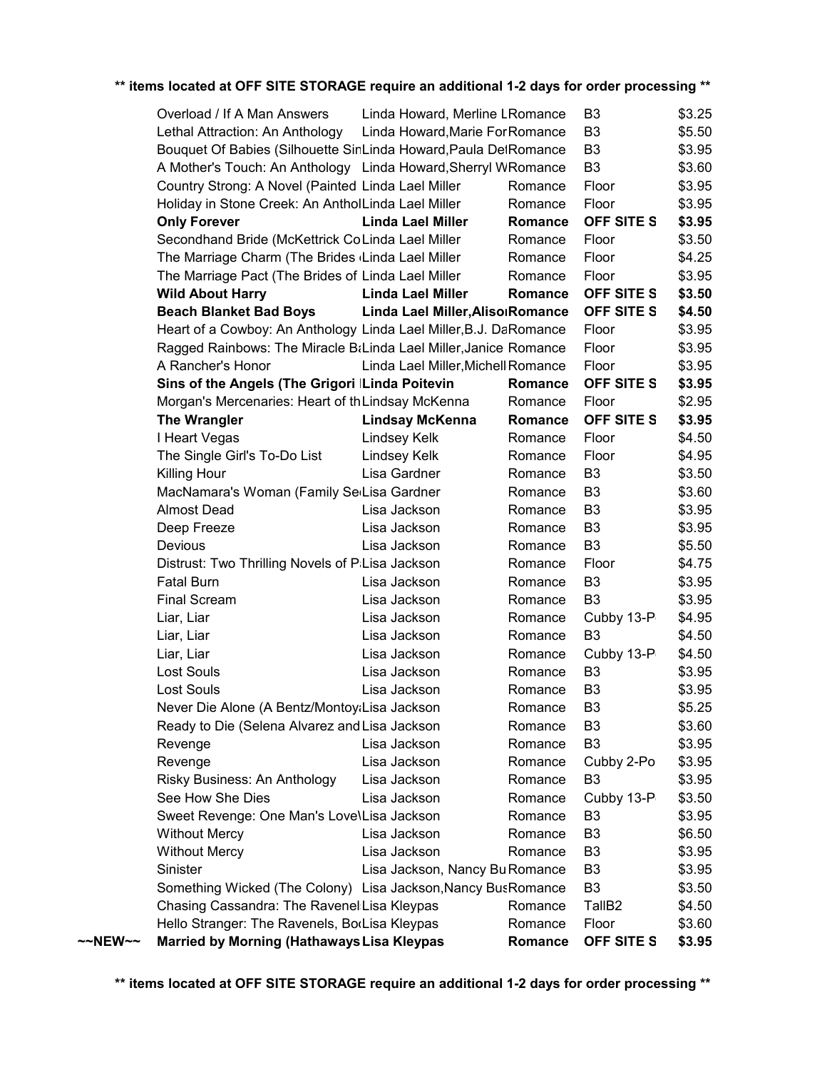|         | Overload / If A Man Answers                                       | Linda Howard, Merline LRomance     |         | B3                 | \$3.25 |
|---------|-------------------------------------------------------------------|------------------------------------|---------|--------------------|--------|
|         | Lethal Attraction: An Anthology                                   | Linda Howard, Marie For Romance    |         | B <sub>3</sub>     | \$5.50 |
|         | Bouquet Of Babies (Silhouette SinLinda Howard, Paula DetRomance   |                                    |         | B <sub>3</sub>     | \$3.95 |
|         | A Mother's Touch: An Anthology Linda Howard, Sherryl WRomance     |                                    |         | B <sub>3</sub>     | \$3.60 |
|         | Country Strong: A Novel (Painted Linda Lael Miller                |                                    | Romance | Floor              | \$3.95 |
|         | Holiday in Stone Creek: An AntholLinda Lael Miller                |                                    | Romance | Floor              | \$3.95 |
|         | <b>Only Forever</b>                                               | <b>Linda Lael Miller</b>           | Romance | OFF SITE S         | \$3.95 |
|         | Secondhand Bride (McKettrick CoLinda Lael Miller                  |                                    | Romance | Floor              | \$3.50 |
|         | The Marriage Charm (The Brides (Linda Lael Miller                 |                                    | Romance | Floor              | \$4.25 |
|         | The Marriage Pact (The Brides of Linda Lael Miller                |                                    | Romance | Floor              | \$3.95 |
|         | <b>Wild About Harry</b>                                           | <b>Linda Lael Miller</b>           | Romance | OFF SITE S         | \$3.50 |
|         | <b>Beach Blanket Bad Boys</b>                                     | Linda Lael Miller, Aliso Romance   |         | OFF SITE S         | \$4.50 |
|         | Heart of a Cowboy: An Anthology Linda Lael Miller, B.J. DaRomance |                                    |         | Floor              | \$3.95 |
|         | Ragged Rainbows: The Miracle BtLinda Lael Miller, Janice Romance  |                                    |         | Floor              | \$3.95 |
|         | A Rancher's Honor                                                 | Linda Lael Miller, Michell Romance |         | Floor              | \$3.95 |
|         | Sins of the Angels (The Grigori Linda Poitevin                    |                                    | Romance | OFF SITE S         | \$3.95 |
|         | Morgan's Mercenaries: Heart of th Lindsay McKenna                 |                                    | Romance | Floor              | \$2.95 |
|         | <b>The Wrangler</b>                                               | <b>Lindsay McKenna</b>             | Romance | <b>OFF SITE S</b>  | \$3.95 |
|         | I Heart Vegas                                                     | Lindsey Kelk                       | Romance | Floor              | \$4.50 |
|         | The Single Girl's To-Do List                                      | Lindsey Kelk                       | Romance | Floor              | \$4.95 |
|         | Killing Hour                                                      | Lisa Gardner                       | Romance | B <sub>3</sub>     | \$3.50 |
|         | MacNamara's Woman (Family SelLisa Gardner                         |                                    | Romance | B <sub>3</sub>     | \$3.60 |
|         | <b>Almost Dead</b>                                                | Lisa Jackson                       | Romance | B <sub>3</sub>     | \$3.95 |
|         | Deep Freeze                                                       | Lisa Jackson                       | Romance | B <sub>3</sub>     | \$3.95 |
|         | Devious                                                           | Lisa Jackson                       | Romance | B <sub>3</sub>     | \$5.50 |
|         | Distrust: Two Thrilling Novels of PiLisa Jackson                  |                                    | Romance | Floor              | \$4.75 |
|         | <b>Fatal Burn</b>                                                 | Lisa Jackson                       | Romance | B <sub>3</sub>     | \$3.95 |
|         | <b>Final Scream</b>                                               | Lisa Jackson                       | Romance | B <sub>3</sub>     | \$3.95 |
|         | Liar, Liar                                                        | Lisa Jackson                       | Romance | Cubby 13-P         | \$4.95 |
|         | Liar, Liar                                                        | Lisa Jackson                       | Romance | B <sub>3</sub>     | \$4.50 |
|         | Liar, Liar                                                        | Lisa Jackson                       | Romance | Cubby 13-P         | \$4.50 |
|         | Lost Souls                                                        | Lisa Jackson                       | Romance | B3                 | \$3.95 |
|         | Lost Souls                                                        | Lisa Jackson                       | Romance | B <sub>3</sub>     | \$3.95 |
|         | Never Die Alone (A Bentz/Montoy:Lisa Jackson                      |                                    | Romance | B <sub>3</sub>     | \$5.25 |
|         | Ready to Die (Selena Alvarez and Lisa Jackson                     |                                    | Romance | B <sub>3</sub>     | \$3.60 |
|         | Revenge                                                           | Lisa Jackson                       | Romance | B <sub>3</sub>     | \$3.95 |
|         | Revenge                                                           | Lisa Jackson                       | Romance | Cubby 2-Po         | \$3.95 |
|         | Risky Business: An Anthology                                      | Lisa Jackson                       | Romance | B <sub>3</sub>     | \$3.95 |
|         | See How She Dies                                                  | Lisa Jackson                       | Romance | Cubby 13-P         | \$3.50 |
|         | Sweet Revenge: One Man's Love\Lisa Jackson                        |                                    | Romance | B <sub>3</sub>     | \$3.95 |
|         | <b>Without Mercy</b>                                              | Lisa Jackson                       | Romance | B <sub>3</sub>     | \$6.50 |
|         | <b>Without Mercy</b>                                              | Lisa Jackson                       | Romance | B <sub>3</sub>     | \$3.95 |
|         | Sinister                                                          | Lisa Jackson, Nancy Bu Romance     |         | B <sub>3</sub>     | \$3.95 |
|         | Something Wicked (The Colony) Lisa Jackson, Nancy Bus Romance     |                                    |         | B <sub>3</sub>     | \$3.50 |
|         | Chasing Cassandra: The Ravenel Lisa Kleypas                       |                                    | Romance | TallB <sub>2</sub> | \$4.50 |
|         | Hello Stranger: The Ravenels, BorLisa Kleypas                     |                                    | Romance | Floor              | \$3.60 |
| ~~NEW~~ | <b>Married by Morning (Hathaways Lisa Kleypas</b>                 |                                    | Romance | OFF SITE S         | \$3.95 |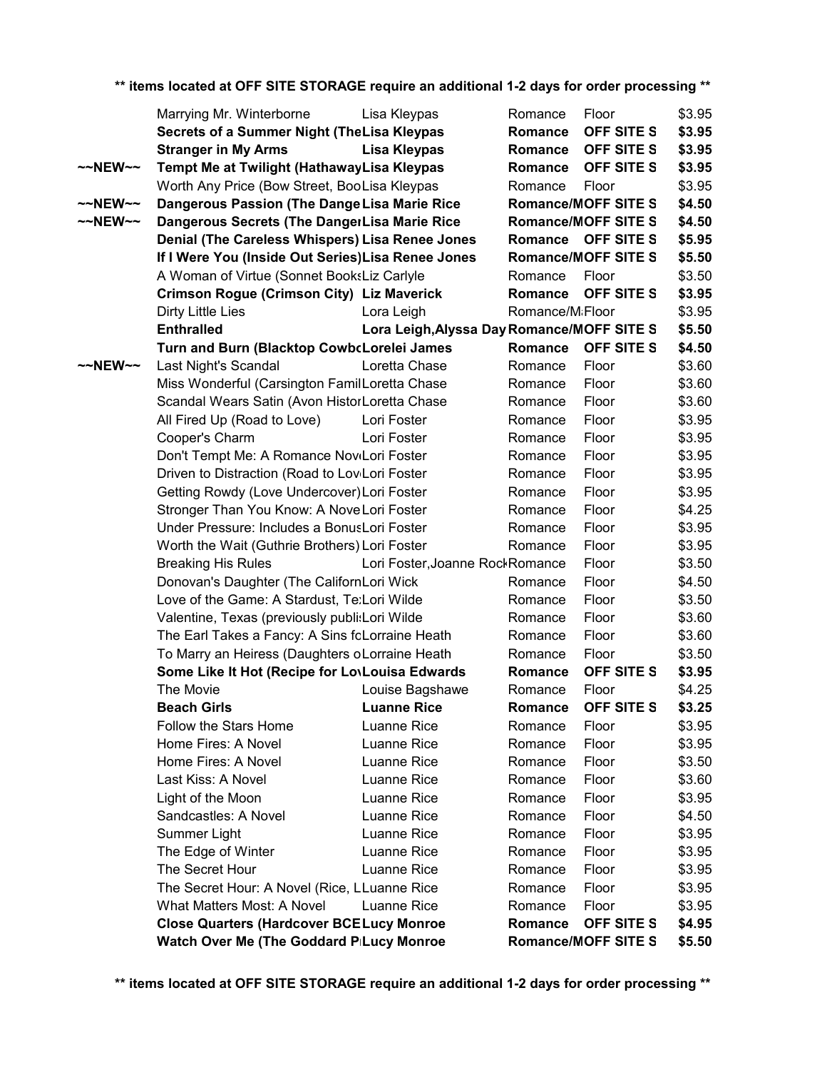|                     | Marrying Mr. Winterborne                                                                          | Lisa Kleypas                               | Romance                      | Floor                      | \$3.95           |
|---------------------|---------------------------------------------------------------------------------------------------|--------------------------------------------|------------------------------|----------------------------|------------------|
|                     | Secrets of a Summer Night (TheLisa Kleypas                                                        |                                            | Romance                      | OFF SITE S                 | \$3.95           |
|                     | <b>Stranger in My Arms</b>                                                                        | <b>Lisa Kleypas</b>                        | Romance                      | <b>OFF SITE S</b>          | \$3.95           |
| $\sim$ NEW $\sim$   | Tempt Me at Twilight (HathawayLisa Kleypas                                                        |                                            | Romance                      | OFF SITE S                 | \$3.95           |
|                     | Worth Any Price (Bow Street, BooLisa Kleypas                                                      |                                            | Romance                      | Floor                      | \$3.95           |
| $\sim$ NEW $\sim$   | Dangerous Passion (The Dange Lisa Marie Rice                                                      |                                            |                              | <b>Romance/MOFF SITE S</b> | \$4.50           |
| $\sim$ NEW $\sim$   | Dangerous Secrets (The DangerLisa Marie Rice                                                      |                                            |                              | <b>Romance/MOFF SITE S</b> | \$4.50           |
|                     | Denial (The Careless Whispers) Lisa Renee Jones                                                   |                                            |                              | Romance OFF SITE S         | \$5.95           |
|                     | If I Were You (Inside Out Series) Lisa Renee Jones                                                |                                            |                              | <b>Romance/MOFF SITE S</b> | \$5.50           |
|                     | A Woman of Virtue (Sonnet BooksLiz Carlyle                                                        |                                            | Romance                      | Floor                      | \$3.50           |
|                     | <b>Crimson Rogue (Crimson City) Liz Maverick</b>                                                  |                                            | Romance                      | OFF SITE S                 | \$3.95           |
|                     | Dirty Little Lies                                                                                 | Lora Leigh                                 | Romance/M <sub>i</sub> Floor |                            | \$3.95           |
|                     | <b>Enthralled</b>                                                                                 | Lora Leigh, Alyssa Day Romance/MOFF SITE S |                              |                            | \$5.50           |
|                     | Turn and Burn (Blacktop CowbcLorelei James                                                        |                                            | Romance                      | <b>OFF SITE S</b>          | \$4.50           |
| $~\sim$ NEW $~\sim$ | Last Night's Scandal                                                                              | Loretta Chase                              | Romance                      | Floor                      | \$3.60           |
|                     | Miss Wonderful (Carsington FamilLoretta Chase                                                     |                                            | Romance                      | Floor                      | \$3.60           |
|                     | Scandal Wears Satin (Avon HistorLoretta Chase                                                     |                                            | Romance                      | Floor                      | \$3.60           |
|                     | All Fired Up (Road to Love)                                                                       | Lori Foster                                | Romance                      | Floor                      | \$3.95           |
|                     | Cooper's Charm                                                                                    | Lori Foster                                | Romance                      | Floor                      | \$3.95           |
|                     | Don't Tempt Me: A Romance NoviLori Foster                                                         |                                            | Romance                      | Floor                      | \$3.95           |
|                     | Driven to Distraction (Road to Lov Lori Foster                                                    |                                            | Romance                      | Floor                      | \$3.95           |
|                     | Getting Rowdy (Love Undercover) Lori Foster                                                       |                                            | Romance                      | Floor                      | \$3.95           |
|                     | Stronger Than You Know: A Nove Lori Foster                                                        |                                            | Romance                      | Floor                      | \$4.25           |
|                     | Under Pressure: Includes a BonusLori Foster                                                       |                                            | Romance                      | Floor                      | \$3.95           |
|                     | Worth the Wait (Guthrie Brothers) Lori Foster                                                     |                                            | Romance                      | Floor                      | \$3.95           |
|                     | <b>Breaking His Rules</b>                                                                         | Lori Foster, Joanne RockRomance            |                              | Floor                      | \$3.50           |
|                     | Donovan's Daughter (The CalifornLori Wick                                                         |                                            | Romance                      | Floor                      | \$4.50           |
|                     | Love of the Game: A Stardust, Te:Lori Wilde                                                       |                                            | Romance                      | Floor                      | \$3.50           |
|                     | Valentine, Texas (previously publi:Lori Wilde                                                     |                                            | Romance                      | Floor<br>Floor             | \$3.60<br>\$3.60 |
|                     | The Earl Takes a Fancy: A Sins foLorraine Heath<br>To Marry an Heiress (Daughters oLorraine Heath |                                            | Romance<br>Romance           | Floor                      | \$3.50           |
|                     | Some Like It Hot (Recipe for LovLouisa Edwards                                                    |                                            | Romance                      | OFF SITE S                 | \$3.95           |
|                     | The Movie                                                                                         | Louise Bagshawe                            | Romance                      | Floor                      | \$4.25           |
|                     | <b>Beach Girls</b>                                                                                | <b>Luanne Rice</b>                         | Romance                      | OFF SITE S                 | \$3.25           |
|                     | Follow the Stars Home                                                                             | Luanne Rice                                | Romance                      | Floor                      | \$3.95           |
|                     | Home Fires: A Novel                                                                               | Luanne Rice                                | Romance                      | Floor                      | \$3.95           |
|                     | Home Fires: A Novel                                                                               | Luanne Rice                                | Romance                      | Floor                      | \$3.50           |
|                     | Last Kiss: A Novel                                                                                | Luanne Rice                                | Romance                      | Floor                      | \$3.60           |
|                     | Light of the Moon                                                                                 | Luanne Rice                                | Romance                      | Floor                      | \$3.95           |
|                     | Sandcastles: A Novel                                                                              | Luanne Rice                                | Romance                      | Floor                      | \$4.50           |
|                     | Summer Light                                                                                      | Luanne Rice                                | Romance                      | Floor                      | \$3.95           |
|                     | The Edge of Winter                                                                                | Luanne Rice                                | Romance                      | Floor                      | \$3.95           |
|                     | The Secret Hour                                                                                   | Luanne Rice                                | Romance                      | Floor                      | \$3.95           |
|                     | The Secret Hour: A Novel (Rice, LLuanne Rice                                                      |                                            | Romance                      | Floor                      | \$3.95           |
|                     | What Matters Most: A Novel                                                                        | Luanne Rice                                | Romance                      | Floor                      | \$3.95           |
|                     | <b>Close Quarters (Hardcover BCELucy Monroe</b>                                                   |                                            | Romance                      | <b>OFF SITE S</b>          | \$4.95           |
|                     | Watch Over Me (The Goddard PILucy Monroe                                                          |                                            |                              | <b>Romance/MOFF SITE S</b> | \$5.50           |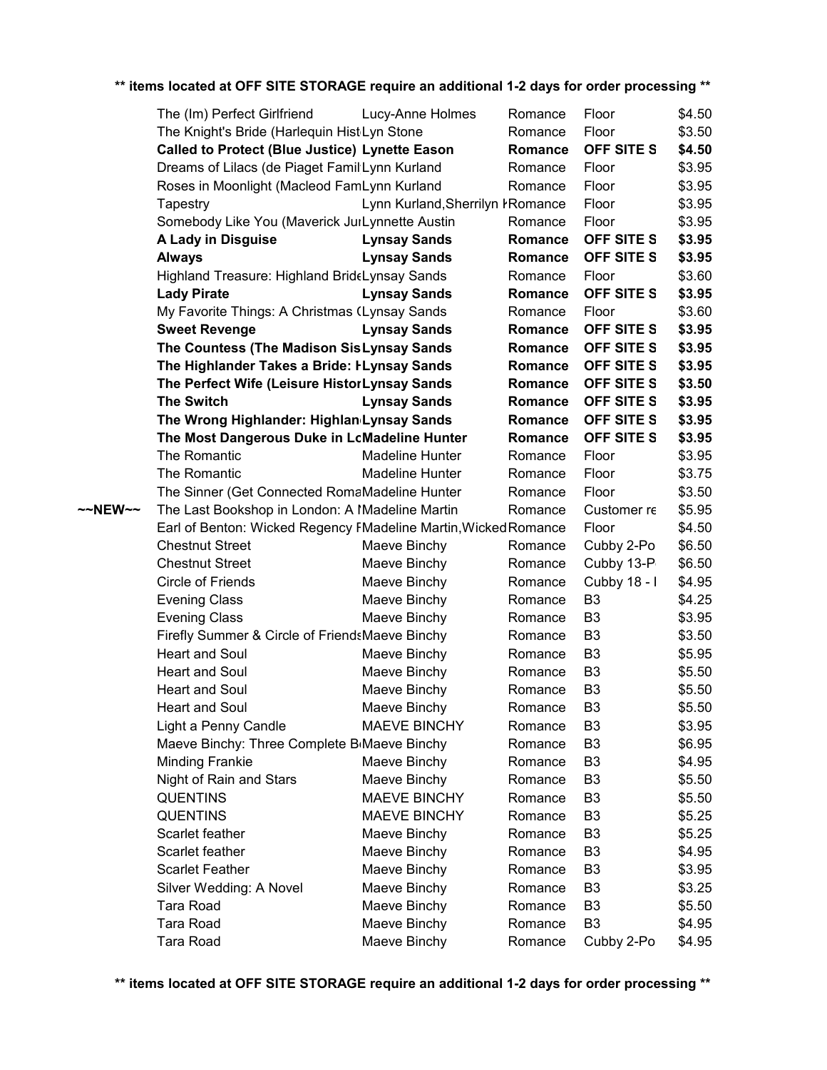|         | The (Im) Perfect Girlfriend                                     | Lucy-Anne Holmes                  | Romance | Floor             | \$4.50 |  |
|---------|-----------------------------------------------------------------|-----------------------------------|---------|-------------------|--------|--|
|         | The Knight's Bride (Harlequin Hist Lyn Stone                    |                                   | Romance | Floor             | \$3.50 |  |
|         | <b>Called to Protect (Blue Justice) Lynette Eason</b>           |                                   | Romance | OFF SITE S        | \$4.50 |  |
|         | Dreams of Lilacs (de Piaget Famil Lynn Kurland                  |                                   | Romance | Floor             | \$3.95 |  |
|         | Roses in Moonlight (Macleod FamLynn Kurland                     |                                   | Romance | Floor             | \$3.95 |  |
|         | Tapestry                                                        | Lynn Kurland, Sherrilyn I Romance |         | Floor             | \$3.95 |  |
|         | Somebody Like You (Maverick JurLynnette Austin                  |                                   | Romance | Floor             | \$3.95 |  |
|         | A Lady in Disguise                                              | <b>Lynsay Sands</b>               | Romance | OFF SITE S        | \$3.95 |  |
|         | <b>Always</b>                                                   | <b>Lynsay Sands</b>               | Romance | OFF SITE S        | \$3.95 |  |
|         | Highland Treasure: Highland Brid Eynsay Sands                   |                                   | Romance | Floor             | \$3.60 |  |
|         | <b>Lady Pirate</b>                                              | <b>Lynsay Sands</b>               | Romance | OFF SITE S        | \$3.95 |  |
|         | My Favorite Things: A Christmas (Lynsay Sands                   |                                   | Romance | Floor             | \$3.60 |  |
|         | <b>Sweet Revenge</b>                                            | <b>Lynsay Sands</b>               | Romance | OFF SITE S        | \$3.95 |  |
|         | The Countess (The Madison SisLynsay Sands                       |                                   | Romance | OFF SITE S        | \$3.95 |  |
|         | The Highlander Takes a Bride: ILynsay Sands                     |                                   | Romance | OFF SITE S        | \$3.95 |  |
|         | The Perfect Wife (Leisure HistorLynsay Sands                    |                                   | Romance | OFF SITE S        | \$3.50 |  |
|         | <b>The Switch</b>                                               | <b>Lynsay Sands</b>               | Romance | OFF SITE S        | \$3.95 |  |
|         | The Wrong Highlander: Highlan Lynsay Sands                      |                                   | Romance | OFF SITE S        | \$3.95 |  |
|         | The Most Dangerous Duke in LcMadeline Hunter                    |                                   | Romance | <b>OFF SITE S</b> | \$3.95 |  |
|         | The Romantic                                                    | Madeline Hunter                   | Romance | Floor             | \$3.95 |  |
|         | The Romantic                                                    | Madeline Hunter                   | Romance | Floor             | \$3.75 |  |
|         | The Sinner (Get Connected RomaMadeline Hunter                   |                                   | Romance | Floor             | \$3.50 |  |
| ~~NEW~~ | The Last Bookshop in London: A Madeline Martin                  |                                   | Romance | Customer re       | \$5.95 |  |
|         | Earl of Benton: Wicked Regency FMadeline Martin, Wicked Romance |                                   |         | Floor             | \$4.50 |  |
|         | <b>Chestnut Street</b>                                          | Maeve Binchy                      | Romance | Cubby 2-Po        | \$6.50 |  |
|         | <b>Chestnut Street</b>                                          | Maeve Binchy                      | Romance | Cubby 13-P        | \$6.50 |  |
|         | Circle of Friends                                               | Maeve Binchy                      | Romance | Cubby 18 - I      | \$4.95 |  |
|         | <b>Evening Class</b>                                            | Maeve Binchy                      | Romance | B <sub>3</sub>    | \$4.25 |  |
|         | <b>Evening Class</b>                                            | Maeve Binchy                      | Romance | B <sub>3</sub>    | \$3.95 |  |
|         | Firefly Summer & Circle of FriendsMaeve Binchy                  |                                   | Romance | B <sub>3</sub>    | \$3.50 |  |
|         | Heart and Soul                                                  | Maeve Binchy                      | Romance | B <sub>3</sub>    | \$5.95 |  |
|         | Heart and Soul                                                  | Maeve Binchy                      | Romance | B <sub>3</sub>    | \$5.50 |  |
|         | <b>Heart and Soul</b>                                           | Maeve Binchy                      | Romance | B <sub>3</sub>    | \$5.50 |  |
|         | Heart and Soul                                                  | Maeve Binchy                      | Romance | B <sub>3</sub>    | \$5.50 |  |
|         | Light a Penny Candle                                            | <b>MAEVE BINCHY</b>               | Romance | B3                | \$3.95 |  |
|         | Maeve Binchy: Three Complete B Maeve Binchy                     |                                   | Romance | B <sub>3</sub>    | \$6.95 |  |
|         | <b>Minding Frankie</b>                                          | Maeve Binchy                      | Romance | B <sub>3</sub>    | \$4.95 |  |
|         | Night of Rain and Stars                                         | Maeve Binchy                      | Romance | B <sub>3</sub>    | \$5.50 |  |
|         | <b>QUENTINS</b>                                                 | <b>MAEVE BINCHY</b>               | Romance | B <sub>3</sub>    | \$5.50 |  |
|         | <b>QUENTINS</b>                                                 | <b>MAEVE BINCHY</b>               | Romance | B <sub>3</sub>    | \$5.25 |  |
|         | Scarlet feather                                                 | Maeve Binchy                      | Romance | B <sub>3</sub>    | \$5.25 |  |
|         | Scarlet feather                                                 | Maeve Binchy                      | Romance | B <sub>3</sub>    | \$4.95 |  |
|         | <b>Scarlet Feather</b>                                          | Maeve Binchy                      | Romance | B <sub>3</sub>    | \$3.95 |  |
|         | Silver Wedding: A Novel                                         | Maeve Binchy                      | Romance | B <sub>3</sub>    | \$3.25 |  |
|         | <b>Tara Road</b>                                                | Maeve Binchy                      | Romance | B <sub>3</sub>    | \$5.50 |  |
|         | <b>Tara Road</b>                                                | Maeve Binchy                      | Romance | B <sub>3</sub>    | \$4.95 |  |
|         | Tara Road                                                       | Maeve Binchy                      | Romance | Cubby 2-Po        | \$4.95 |  |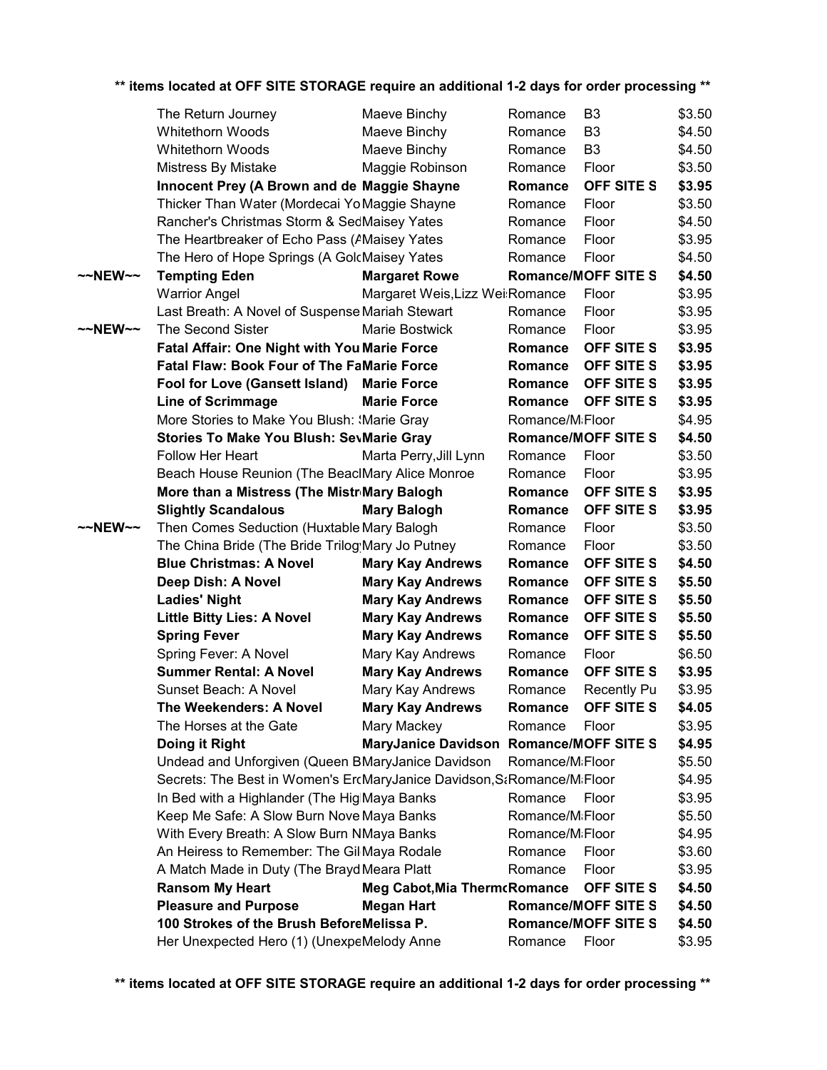|         | ** items located at OFF SITE STORAGE require an additional 1-2 days for order processing ** |                                         |                              |                            |        |
|---------|---------------------------------------------------------------------------------------------|-----------------------------------------|------------------------------|----------------------------|--------|
|         | The Return Journey                                                                          | Maeve Binchy                            | Romance                      | B <sub>3</sub>             | \$3.50 |
|         | <b>Whitethorn Woods</b>                                                                     | Maeve Binchy                            | Romance                      | B <sub>3</sub>             | \$4.50 |
|         | <b>Whitethorn Woods</b>                                                                     | Maeve Binchy                            | Romance                      | B <sub>3</sub>             | \$4.50 |
|         | Mistress By Mistake                                                                         | Maggie Robinson                         | Romance                      | Floor                      | \$3.50 |
|         | Innocent Prey (A Brown and de Maggie Shayne                                                 |                                         | Romance                      | OFF SITE S                 | \$3.95 |
|         | Thicker Than Water (Mordecai Yo Maggie Shayne                                               |                                         | Romance                      | Floor                      | \$3.50 |
|         | Rancher's Christmas Storm & SedMaisey Yates                                                 |                                         | Romance                      | Floor                      | \$4.50 |
|         | The Heartbreaker of Echo Pass (AMaisey Yates                                                |                                         | Romance                      | Floor                      | \$3.95 |
|         | The Hero of Hope Springs (A GolcMaisey Yates                                                |                                         | Romance                      | Floor                      | \$4.50 |
| ~~NEW~~ | <b>Tempting Eden</b>                                                                        | <b>Margaret Rowe</b>                    |                              | <b>Romance/MOFF SITE S</b> | \$4.50 |
|         | <b>Warrior Angel</b>                                                                        | Margaret Weis, Lizz Wei: Romance        |                              | Floor                      | \$3.95 |
|         | Last Breath: A Novel of Suspense Mariah Stewart                                             |                                         | Romance                      | Floor                      | \$3.95 |
| ~~NEW~~ | The Second Sister                                                                           | Marie Bostwick                          | Romance                      | Floor                      | \$3.95 |
|         | <b>Fatal Affair: One Night with You Marie Force</b>                                         |                                         | Romance                      | OFF SITE S                 | \$3.95 |
|         | <b>Fatal Flaw: Book Four of The FaMarie Force</b>                                           |                                         |                              | Romance OFF SITE S         | \$3.95 |
|         | Fool for Love (Gansett Island) Marie Force                                                  |                                         | Romance                      | <b>OFF SITE S</b>          | \$3.95 |
|         | <b>Line of Scrimmage</b>                                                                    | <b>Marie Force</b>                      | Romance                      | <b>OFF SITE S</b>          | \$3.95 |
|         | More Stories to Make You Blush: (Marie Gray                                                 |                                         | Romance/M <sub>i</sub> Floor |                            | \$4.95 |
|         | <b>Stories To Make You Blush: SevMarie Gray</b>                                             |                                         |                              | <b>Romance/MOFF SITE S</b> | \$4.50 |
|         | Follow Her Heart                                                                            | Marta Perry, Jill Lynn                  | Romance                      | Floor                      | \$3.50 |
|         | Beach House Reunion (The BeaclMary Alice Monroe                                             |                                         | Romance                      | Floor                      | \$3.95 |
|         | More than a Mistress (The Mistr Mary Balogh                                                 |                                         | Romance                      | <b>OFF SITE S</b>          | \$3.95 |
|         | <b>Slightly Scandalous</b>                                                                  | <b>Mary Balogh</b>                      | Romance                      | OFF SITE S                 | \$3.95 |
| ~~NEW~~ | Then Comes Seduction (Huxtable Mary Balogh                                                  |                                         | Romance                      | Floor                      | \$3.50 |
|         | The China Bride (The Bride Trilog Mary Jo Putney                                            |                                         | Romance                      | Floor                      | \$3.50 |
|         | <b>Blue Christmas: A Novel</b>                                                              | <b>Mary Kay Andrews</b>                 | Romance                      | OFF SITE S                 | \$4.50 |
|         | Deep Dish: A Novel                                                                          | <b>Mary Kay Andrews</b>                 | Romance                      | OFF SITE S                 | \$5.50 |
|         | <b>Ladies' Night</b>                                                                        | <b>Mary Kay Andrews</b>                 | Romance                      | <b>OFF SITE S</b>          | \$5.50 |
|         | <b>Little Bitty Lies: A Novel</b>                                                           | <b>Mary Kay Andrews</b>                 | Romance                      | OFF SITE S                 | \$5.50 |
|         | <b>Spring Fever</b>                                                                         | <b>Mary Kay Andrews</b>                 | Romance                      | OFF SITE S                 | \$5.50 |
|         | Spring Fever: A Novel                                                                       | Mary Kay Andrews                        | Romance                      | Floor                      | \$6.50 |
|         | <b>Summer Rental: A Novel</b>                                                               | <b>Mary Kay Andrews</b>                 | Romance                      | OFF SITE S                 | \$3.95 |
|         | Sunset Beach: A Novel                                                                       | Mary Kay Andrews                        | Romance                      | Recently Pu                | \$3.95 |
|         | <b>The Weekenders: A Novel</b>                                                              | <b>Mary Kay Andrews</b>                 | Romance                      | OFF SITE S                 | \$4.05 |
|         | The Horses at the Gate                                                                      | Mary Mackey                             | Romance                      | Floor                      | \$3.95 |
|         | Doing it Right                                                                              | MaryJanice Davidson Romance/MOFF SITE S |                              |                            | \$4.95 |
|         | Undead and Unforgiven (Queen BMaryJanice Davidson                                           |                                         | Romance/MiFloor              |                            | \$5.50 |
|         | Secrets: The Best in Women's ErcMaryJanice Davidson, S&Romance/M&Floor                      |                                         |                              |                            | \$4.95 |
|         | In Bed with a Highlander (The HiglMaya Banks                                                |                                         | Romance                      | Floor                      | \$3.95 |
|         | Keep Me Safe: A Slow Burn NovelMaya Banks                                                   |                                         | Romance/M <sub>i</sub> Floor |                            | \$5.50 |
|         | With Every Breath: A Slow Burn NMaya Banks                                                  |                                         | Romance/M <sub>i</sub> Floor |                            | \$4.95 |
|         | An Heiress to Remember: The Gil Maya Rodale                                                 |                                         | Romance                      | Floor                      | \$3.60 |
|         | A Match Made in Duty (The Brayd Meara Platt                                                 |                                         | Romance                      | Floor                      | \$3.95 |
|         | <b>Ransom My Heart</b>                                                                      | <b>Meg Cabot, Mia Therm cRomance</b>    |                              | OFF SITE S                 | \$4.50 |
|         | <b>Pleasure and Purpose</b>                                                                 | <b>Megan Hart</b>                       |                              | <b>Romance/MOFF SITE S</b> | \$4.50 |
|         | 100 Strokes of the Brush BeforeMelissa P.                                                   |                                         |                              | <b>Romance/MOFF SITE S</b> | \$4.50 |
|         | Her Unexpected Hero (1) (UnexpeMelody Anne                                                  |                                         | Romance                      | Floor                      | \$3.95 |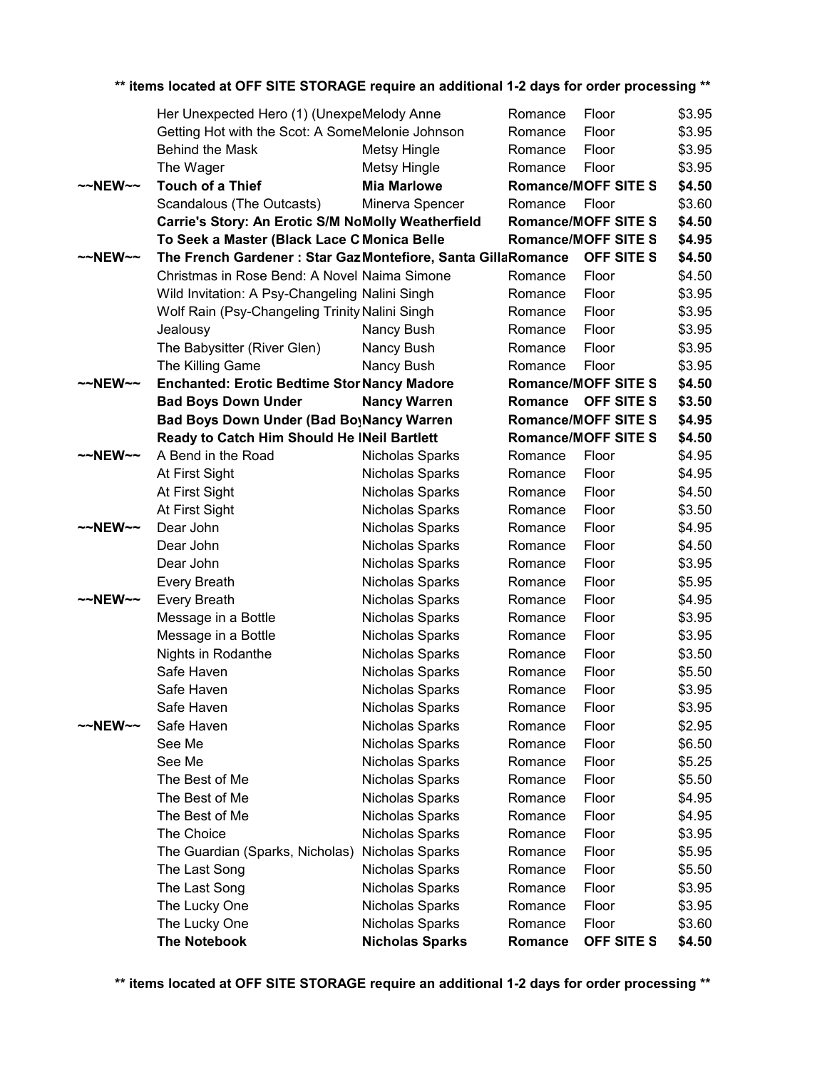|                     | Her Unexpected Hero (1) (UnexpeMelody Anne                   |                        | Romance | Floor                      | \$3.95 |
|---------------------|--------------------------------------------------------------|------------------------|---------|----------------------------|--------|
|                     | Getting Hot with the Scot: A SomeMelonie Johnson             |                        | Romance | Floor                      | \$3.95 |
|                     | <b>Behind the Mask</b>                                       | <b>Metsy Hingle</b>    | Romance | Floor                      | \$3.95 |
|                     | The Wager                                                    | <b>Metsy Hingle</b>    | Romance | Floor                      | \$3.95 |
| $~\sim$ NEW $~\sim$ | <b>Touch of a Thief</b>                                      | <b>Mia Marlowe</b>     |         | <b>Romance/MOFF SITE S</b> | \$4.50 |
|                     | Scandalous (The Outcasts)                                    | Minerva Spencer        | Romance | Floor                      | \$3.60 |
|                     | Carrie's Story: An Erotic S/M NoMolly Weatherfield           |                        |         | <b>Romance/MOFF SITE S</b> | \$4.50 |
|                     | To Seek a Master (Black Lace CMonica Belle                   |                        |         | <b>Romance/MOFF SITE S</b> | \$4.95 |
| $~\sim$ NEW $~\sim$ | The French Gardener: Star Gaz Montefiore, Santa GillaRomance |                        |         | <b>OFF SITE S</b>          | \$4.50 |
|                     | Christmas in Rose Bend: A Novel Naima Simone                 |                        | Romance | Floor                      | \$4.50 |
|                     | Wild Invitation: A Psy-Changeling Nalini Singh               |                        | Romance | Floor                      | \$3.95 |
|                     | Wolf Rain (Psy-Changeling Trinity Nalini Singh               |                        | Romance | Floor                      | \$3.95 |
|                     | Jealousy                                                     | Nancy Bush             | Romance | Floor                      | \$3.95 |
|                     | The Babysitter (River Glen)                                  | Nancy Bush             | Romance | Floor                      | \$3.95 |
|                     | The Killing Game                                             | Nancy Bush             | Romance | Floor                      | \$3.95 |
| $\sim$ NEW $\sim$   | <b>Enchanted: Erotic Bedtime Stor Nancy Madore</b>           |                        |         | <b>Romance/MOFF SITE S</b> | \$4.50 |
|                     | <b>Bad Boys Down Under</b>                                   | <b>Nancy Warren</b>    | Romance | <b>OFF SITE S</b>          | \$3.50 |
|                     | Bad Boys Down Under (Bad BoyNancy Warren                     |                        |         | <b>Romance/MOFF SITE S</b> | \$4.95 |
|                     | Ready to Catch Him Should He INeil Bartlett                  |                        |         | <b>Romance/MOFF SITE S</b> | \$4.50 |
| $~\sim$ NEW $~\sim$ | A Bend in the Road                                           | Nicholas Sparks        | Romance | Floor                      | \$4.95 |
|                     | At First Sight                                               | Nicholas Sparks        | Romance | Floor                      | \$4.95 |
|                     | At First Sight                                               | Nicholas Sparks        | Romance | Floor                      | \$4.50 |
|                     | At First Sight                                               | Nicholas Sparks        | Romance | Floor                      | \$3.50 |
| $~\sim$ NEW $~\sim$ | Dear John                                                    | Nicholas Sparks        | Romance | Floor                      | \$4.95 |
|                     | Dear John                                                    | Nicholas Sparks        | Romance | Floor                      | \$4.50 |
|                     | Dear John                                                    | Nicholas Sparks        | Romance | Floor                      | \$3.95 |
|                     | Every Breath                                                 | Nicholas Sparks        | Romance | Floor                      | \$5.95 |
| $~\sim$ NEW $~\sim$ | Every Breath                                                 | Nicholas Sparks        | Romance | Floor                      | \$4.95 |
|                     | Message in a Bottle                                          | Nicholas Sparks        | Romance | Floor                      | \$3.95 |
|                     | Message in a Bottle                                          | Nicholas Sparks        | Romance | Floor                      | \$3.95 |
|                     | Nights in Rodanthe                                           | Nicholas Sparks        | Romance | Floor                      | \$3.50 |
|                     | Safe Haven                                                   | Nicholas Sparks        | Romance | Floor                      | \$5.50 |
|                     | Safe Haven                                                   | Nicholas Sparks        | Romance | Floor                      | \$3.95 |
|                     | Safe Haven                                                   | Nicholas Sparks        | Romance | Floor                      | \$3.95 |
| $\sim$ NEW $\sim$   | Safe Haven                                                   | Nicholas Sparks        | Romance | Floor                      | \$2.95 |
|                     | See Me                                                       | Nicholas Sparks        | Romance | Floor                      | \$6.50 |
|                     | See Me                                                       | Nicholas Sparks        | Romance | Floor                      | \$5.25 |
|                     | The Best of Me                                               | Nicholas Sparks        | Romance | Floor                      | \$5.50 |
|                     | The Best of Me                                               | Nicholas Sparks        | Romance | Floor                      | \$4.95 |
|                     | The Best of Me                                               | Nicholas Sparks        | Romance | Floor                      | \$4.95 |
|                     | The Choice                                                   | Nicholas Sparks        | Romance | Floor                      | \$3.95 |
|                     | The Guardian (Sparks, Nicholas)                              | Nicholas Sparks        | Romance | Floor                      | \$5.95 |
|                     | The Last Song                                                | Nicholas Sparks        | Romance | Floor                      | \$5.50 |
|                     | The Last Song                                                | Nicholas Sparks        | Romance | Floor                      | \$3.95 |
|                     | The Lucky One                                                | Nicholas Sparks        | Romance | Floor                      | \$3.95 |
|                     | The Lucky One                                                | Nicholas Sparks        | Romance | Floor                      | \$3.60 |
|                     | <b>The Notebook</b>                                          | <b>Nicholas Sparks</b> | Romance | OFF SITE S                 | \$4.50 |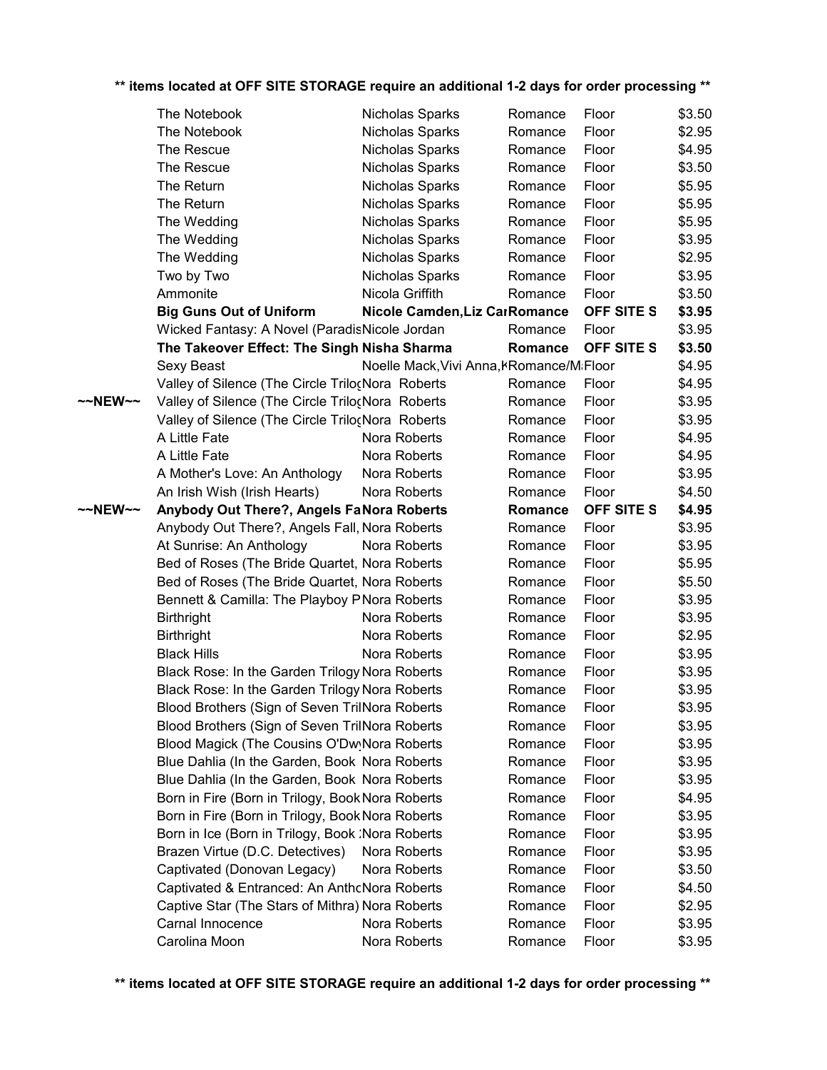|         | The Notebook                                             | Nicholas Sparks |                                          | Romance | Floor          | \$3.50           |
|---------|----------------------------------------------------------|-----------------|------------------------------------------|---------|----------------|------------------|
|         | The Notebook                                             | Nicholas Sparks |                                          | Romance | Floor          | \$2.95           |
|         | The Rescue                                               | Nicholas Sparks |                                          | Romance | Floor          | \$4.95           |
|         | The Rescue                                               | Nicholas Sparks |                                          | Romance | Floor          | \$3.50           |
|         | The Return                                               | Nicholas Sparks |                                          | Romance | Floor          | \$5.95           |
|         | The Return                                               | Nicholas Sparks |                                          | Romance | Floor          | \$5.95           |
|         | The Wedding                                              | Nicholas Sparks |                                          | Romance | Floor          | \$5.95           |
|         | The Wedding                                              | Nicholas Sparks |                                          | Romance | Floor          | \$3.95           |
|         | The Wedding                                              | Nicholas Sparks |                                          | Romance | Floor          | \$2.95           |
|         | Two by Two                                               | Nicholas Sparks |                                          | Romance | Floor          | \$3.95           |
|         | Ammonite                                                 | Nicola Griffith |                                          | Romance | Floor          | \$3.50           |
|         | <b>Big Guns Out of Uniform</b>                           |                 | Nicole Camden, Liz CarRomance            |         | OFF SITE S     | \$3.95           |
|         | Wicked Fantasy: A Novel (ParadisNicole Jordan            |                 |                                          | Romance | Floor          | \$3.95           |
|         | The Takeover Effect: The Singh Nisha Sharma              |                 |                                          | Romance | OFF SITE S     | \$3.50           |
|         | Sexy Beast                                               |                 | Noelle Mack, Vivi Anna, KRomance/MiFloor |         |                | \$4.95           |
|         | Valley of Silence (The Circle TrilocNora Roberts         |                 |                                          | Romance | Floor          | \$4.95           |
| ~~NEW~~ | Valley of Silence (The Circle Trilo(Nora Roberts         |                 |                                          | Romance | Floor          | \$3.95           |
|         | Valley of Silence (The Circle Trilo¿Nora Roberts         |                 |                                          | Romance | Floor          | \$3.95           |
|         | A Little Fate                                            | Nora Roberts    |                                          | Romance | Floor          | \$4.95           |
|         | A Little Fate                                            | Nora Roberts    |                                          | Romance | Floor          | \$4.95           |
|         | A Mother's Love: An Anthology                            | Nora Roberts    |                                          | Romance | Floor          | \$3.95           |
|         | An Irish Wish (Irish Hearts)                             | Nora Roberts    |                                          | Romance | Floor          | \$4.50           |
| ~~NEW~~ | Anybody Out There?, Angels FaNora Roberts                |                 |                                          | Romance | OFF SITE S     | \$4.95           |
|         | Anybody Out There?, Angels Fall, Nora Roberts            |                 |                                          | Romance | Floor          | \$3.95           |
|         | At Sunrise: An Anthology                                 | Nora Roberts    |                                          | Romance | Floor          | \$3.95           |
|         | Bed of Roses (The Bride Quartet, Nora Roberts            |                 |                                          | Romance | Floor          | \$5.95           |
|         | Bed of Roses (The Bride Quartet, Nora Roberts            |                 |                                          | Romance | Floor          | \$5.50           |
|         | Bennett & Camilla: The Playboy P Nora Roberts            |                 |                                          | Romance | Floor          | \$3.95           |
|         | <b>Birthright</b>                                        | Nora Roberts    |                                          | Romance | Floor          | \$3.95           |
|         | <b>Birthright</b>                                        | Nora Roberts    |                                          | Romance | Floor          | \$2.95           |
|         | <b>Black Hills</b>                                       | Nora Roberts    |                                          | Romance | Floor          | \$3.95           |
|         | Black Rose: In the Garden Trilogy Nora Roberts           |                 |                                          | Romance | Floor          | \$3.95           |
|         | Black Rose: In the Garden Trilogy Nora Roberts           |                 |                                          | Romance | Floor          | \$3.95           |
|         | Blood Brothers (Sign of Seven TrilNora Roberts           |                 |                                          | Romance | Floor          | \$3.95           |
|         | Blood Brothers (Sign of Seven TrilNora Roberts           |                 |                                          | Romance | Floor          | \$3.95           |
|         | Blood Magick (The Cousins O'Dw <sub>)</sub> Nora Roberts |                 |                                          | Romance | Floor          | \$3.95           |
|         | Blue Dahlia (In the Garden, Book Nora Roberts            |                 |                                          | Romance | Floor          | \$3.95           |
|         | Blue Dahlia (In the Garden, Book Nora Roberts            |                 |                                          | Romance | Floor          | \$3.95           |
|         | Born in Fire (Born in Trilogy, Book Nora Roberts         |                 |                                          | Romance | Floor          | \$4.95           |
|         | Born in Fire (Born in Trilogy, Book Nora Roberts         |                 |                                          | Romance | Floor          | \$3.95           |
|         | Born in Ice (Born in Trilogy, Book :Nora Roberts         |                 |                                          | Romance | Floor          | \$3.95           |
|         | Brazen Virtue (D.C. Detectives)                          | Nora Roberts    |                                          | Romance | Floor          | \$3.95           |
|         | Captivated (Donovan Legacy)                              | Nora Roberts    |                                          | Romance | Floor          | \$3.50           |
|         | Captivated & Entranced: An AnthcNora Roberts             |                 |                                          | Romance | Floor          | \$4.50           |
|         | Captive Star (The Stars of Mithra) Nora Roberts          |                 |                                          | Romance | Floor          | \$2.95           |
|         | Carnal Innocence                                         | Nora Roberts    |                                          | Romance | Floor<br>Floor | \$3.95<br>\$3.95 |
|         | Carolina Moon                                            | Nora Roberts    |                                          | Romance |                |                  |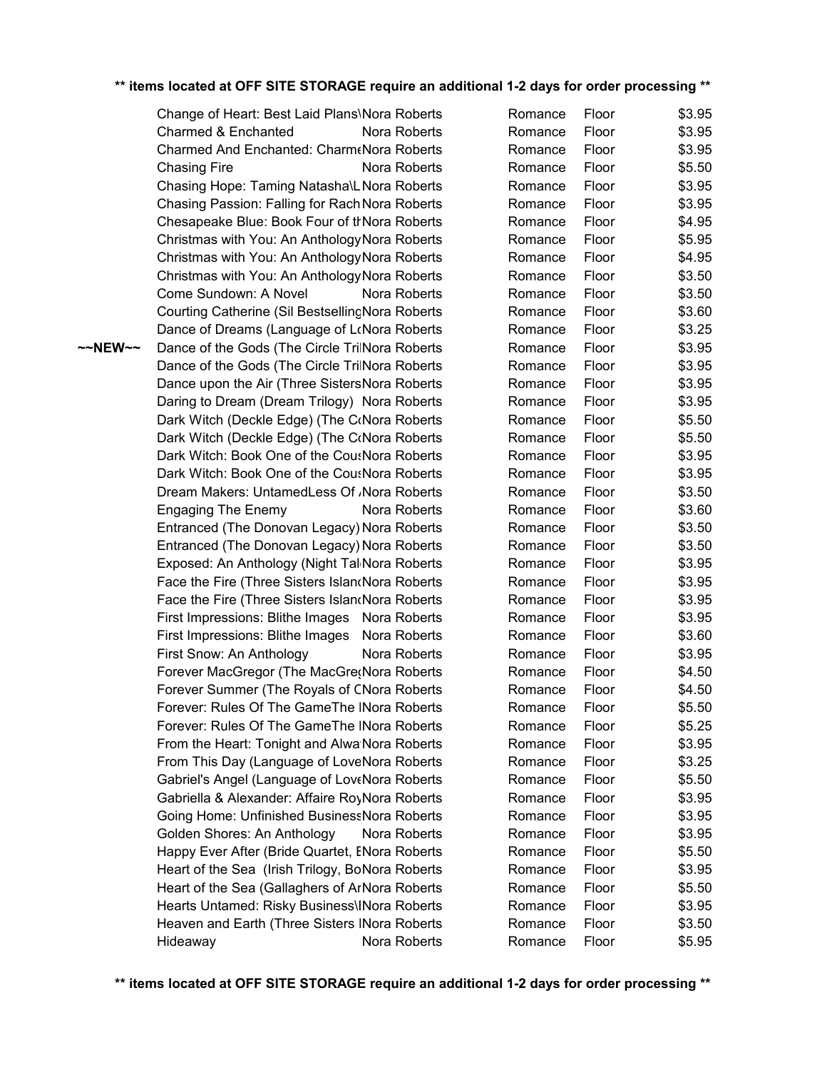~~NEW~~ Dance of the Gods (The Circle TrilNora Roberts Romance Floor \$3.95 Change of Heart: Best Laid Plans\Nora Roberts Charmed & Enchanted Nora Roberts Charmed And Enchanted: CharmeNora Roberts Chasing Fire **Nora Roberts** Roberts Chasing Hope: Taming Natasha\LNora Roberts Chasing Passion: Falling for Rach Nora Roberts Chesapeake Blue: Book Four of thNora Roberts Christmas with You: An AnthologyNora Roberts Christmas with You: An AnthologyNora Roberts Christmas with You: An AnthologyNora Roberts Come Sundown: A Novel Nora Roberts Courting Catherine (Sil Bestselling Nora Roberts Dance of Dreams (Language of LoNora Roberts Dance of the Gods (The Circle TrilNora Roberts Dance upon the Air (Three Sisters Nora Roberts Daring to Dream (Dream Trilogy) Nora Roberts Dark Witch (Deckle Edge) (The CoNora Roberts Dark Witch (Deckle Edge) (The CoNora Roberts Dark Witch: Book One of the CousNora Roberts Dark Witch: Book One of the CousNora Roberts Dream Makers: UntamedLess Of /Nora Roberts Engaging The Enemy Nora Roberts Entranced (The Donovan Legacy) Nora Roberts Entranced (The Donovan Legacy) Nora Roberts Exposed: An Anthology (Night Tal Nora Roberts Face the Fire (Three Sisters Island Nora Roberts Face the Fire (Three Sisters Island Nora Roberts First Impressions: Blithe Images Nora Roberts First Impressions: Blithe Images Nora Roberts First Snow: An Anthology Nora Roberts Forever MacGregor (The MacGregNora Roberts) Forever Summer (The Royals of CNora Roberts Forever: Rules Of The GameThe INora Roberts Forever: Rules Of The GameThe INora Roberts From the Heart: Tonight and Alwa Nora Roberts From This Day (Language of LoveNora Roberts Gabriel's Angel (Language of LoveNora Roberts Gabriella & Alexander: Affaire RoyNora Roberts Going Home: Unfinished BusinessNora Roberts Golden Shores: An Anthology Nora Roberts Happy Ever After (Bride Quartet, ENora Roberts Heart of the Sea (Irish Trilogy, BoNora Roberts Heart of the Sea (Gallaghers of ArNora Roberts Hearts Untamed: Risky Business\INora Roberts Heaven and Earth (Three Sisters INora Roberts) Hideaway Nora Roberts

| Romance | Floor | \$3.95 |
|---------|-------|--------|
| Romance | Floor | \$3.95 |
| Romance | Floor | \$3.95 |
| Romance | Floor | \$5.50 |
| Romance | Floor | \$3.95 |
| Romance | Floor | \$3.95 |
| Romance | Floor | \$4.95 |
| Romance | Floor | \$5.95 |
| Romance | Floor | \$4.95 |
| Romance | Floor | \$3.50 |
| Romance | Floor | \$3.50 |
| Romance | Floor | \$3.60 |
| Romance | Floor | \$3.25 |
| Romance | Floor | \$3.95 |
| Romance | Floor | \$3.95 |
| Romance | Floor | \$3.95 |
| Romance | Floor | \$3.95 |
| Romance | Floor | \$5.50 |
| Romance | Floor | \$5.50 |
| Romance | Floor | \$3.95 |
| Romance | Floor | \$3.95 |
| Romance | Floor | \$3.50 |
| Romance | Floor | \$3.60 |
| Romance | Floor | \$3.50 |
| Romance | Floor | \$3.50 |
| Romance | Floor | \$3.95 |
| Romance | Floor | \$3.95 |
| Romance | Floor | \$3.95 |
| Romance | Floor | \$3.95 |
| Romance | Floor | \$3.60 |
| Romance | Floor | \$3.95 |
| Romance | Floor | \$4.50 |
| Romance | Floor | \$4.50 |
| Romance | Floor | \$5.50 |
| Romance | Floor | \$5.25 |
| Romance | Floor | \$3.95 |
| Romance | Floor | \$3.25 |
| Romance | Floor | \$5.50 |
| Romance | Floor | \$3.95 |
| Romance | Floor | \$3.95 |
| Romance | Floor | \$3.95 |
| Romance | Floor | \$5.50 |
| Romance | Floor | \$3.95 |
| Romance | Floor | \$5.50 |
| Romance | Floor | \$3.95 |
| Romance | Floor | \$3.50 |
| Romance | Floor | \$5.95 |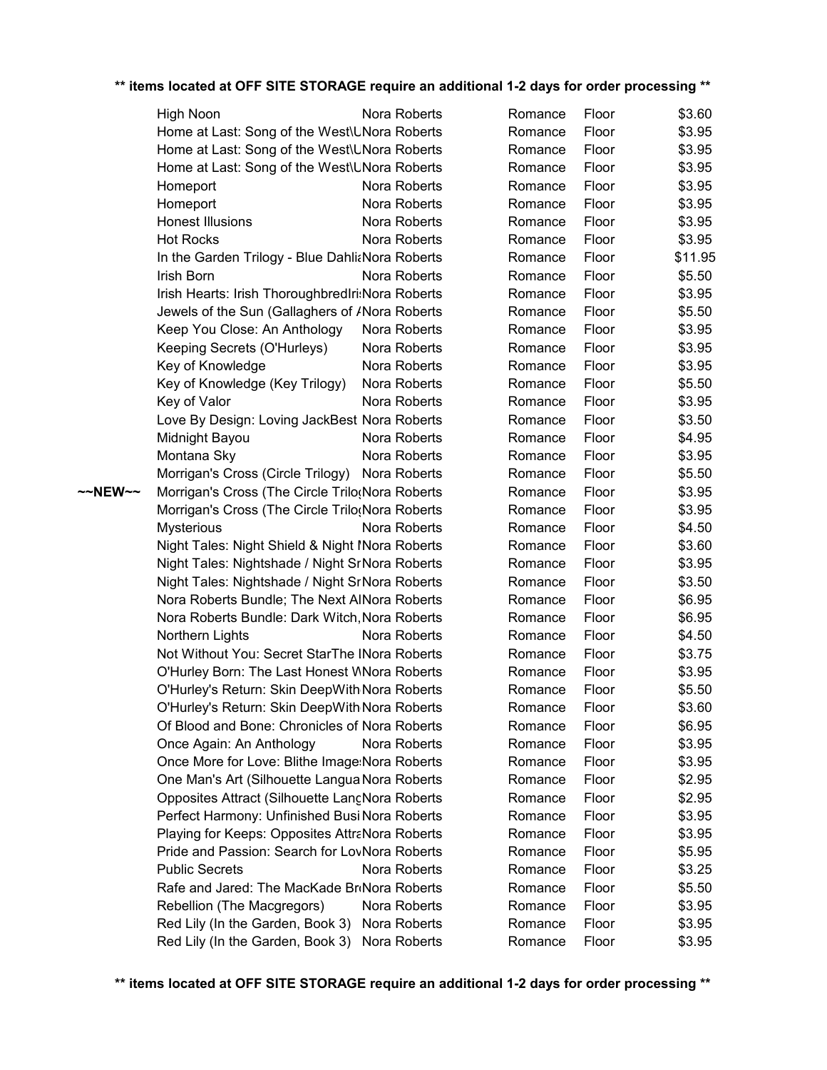|         | High Noon                                                                                       | Nora Roberts | Romance            | Floor          | \$3.60           |
|---------|-------------------------------------------------------------------------------------------------|--------------|--------------------|----------------|------------------|
|         | Home at Last: Song of the West\UNora Roberts                                                    |              | Romance            | Floor          | \$3.95           |
|         | Home at Last: Song of the West\UNora Roberts                                                    |              | Romance            | Floor          | \$3.95           |
|         | Home at Last: Song of the West\UNora Roberts                                                    |              | Romance            | Floor          | \$3.95           |
|         | Homeport                                                                                        | Nora Roberts | Romance            | Floor          | \$3.95           |
|         | Homeport                                                                                        | Nora Roberts | Romance            | Floor          | \$3.95           |
|         | <b>Honest Illusions</b>                                                                         | Nora Roberts | Romance            | Floor          | \$3.95           |
|         | <b>Hot Rocks</b>                                                                                | Nora Roberts | Romance            | Floor          | \$3.95           |
|         | In the Garden Trilogy - Blue DahliaNora Roberts                                                 |              | Romance            | Floor          | \$11.95          |
|         | Irish Born                                                                                      | Nora Roberts | Romance            | Floor          | \$5.50           |
|         | Irish Hearts: Irish ThoroughbredIri:Nora Roberts                                                |              | Romance            | Floor          | \$3.95           |
|         | Jewels of the Sun (Gallaghers of <i>I</i> Nora Roberts                                          |              | Romance            | Floor          | \$5.50           |
|         | Keep You Close: An Anthology                                                                    | Nora Roberts | Romance            | Floor          | \$3.95           |
|         | Keeping Secrets (O'Hurleys)                                                                     | Nora Roberts | Romance            | Floor          | \$3.95           |
|         | Key of Knowledge                                                                                | Nora Roberts | Romance            | Floor          | \$3.95           |
|         | Key of Knowledge (Key Trilogy)                                                                  | Nora Roberts | Romance            | Floor          | \$5.50           |
|         | Key of Valor                                                                                    | Nora Roberts | Romance            | Floor          | \$3.95           |
|         | Love By Design: Loving JackBest Nora Roberts                                                    |              | Romance            | Floor          | \$3.50           |
|         | Midnight Bayou                                                                                  | Nora Roberts | Romance            | Floor          | \$4.95           |
|         | Montana Sky                                                                                     | Nora Roberts | Romance            | Floor          | \$3.95           |
|         | Morrigan's Cross (Circle Trilogy)                                                               | Nora Roberts | Romance            | Floor          | \$5.50           |
| ~~NEW~~ | Morrigan's Cross (The Circle Trilo(Nora Roberts                                                 |              | Romance            | Floor          | \$3.95           |
|         | Morrigan's Cross (The Circle Trilo(Nora Roberts                                                 |              | Romance            | Floor          | \$3.95           |
|         | <b>Mysterious</b>                                                                               | Nora Roberts | Romance            | Floor          | \$4.50           |
|         | Night Tales: Night Shield & Night Mora Roberts                                                  |              | Romance            | Floor          | \$3.60           |
|         | Night Tales: Nightshade / Night SrNora Roberts                                                  |              | Romance            | Floor          | \$3.95           |
|         | Night Tales: Nightshade / Night SrNora Roberts                                                  |              | Romance            | Floor          | \$3.50           |
|         | Nora Roberts Bundle; The Next AlNora Roberts                                                    |              | Romance            | Floor          | \$6.95           |
|         | Nora Roberts Bundle: Dark Witch, Nora Roberts                                                   |              | Romance            | Floor          | \$6.95           |
|         | Northern Lights                                                                                 | Nora Roberts | Romance            | Floor          | \$4.50           |
|         | Not Without You: Secret StarThe INora Roberts                                                   |              | Romance            | Floor          | \$3.75           |
|         | O'Hurley Born: The Last Honest WNora Roberts                                                    |              | Romance            | Floor          | \$3.95           |
|         | O'Hurley's Return: Skin DeepWith Nora Roberts                                                   |              | Romance            | Floor          | \$5.50           |
|         | O'Hurley's Return: Skin DeepWith Nora Roberts                                                   |              | Romance            | Floor          | \$3.60           |
|         | Of Blood and Bone: Chronicles of Nora Roberts                                                   |              | Romance            | Floor          | \$6.95           |
|         | Once Again: An Anthology                                                                        | Nora Roberts | Romance            | Floor          | \$3.95           |
|         | Once More for Love: Blithe Image: Nora Roberts                                                  |              | Romance            | Floor<br>Floor | \$3.95           |
|         | One Man's Art (Silhouette Langua Nora Roberts<br>Opposites Attract (Silhouette LangNora Roberts |              | Romance<br>Romance | Floor          | \$2.95           |
|         | Perfect Harmony: Unfinished BusiNora Roberts                                                    |              | Romance            | Floor          | \$2.95           |
|         | Playing for Keeps: Opposites AttraNora Roberts                                                  |              | Romance            | Floor          | \$3.95<br>\$3.95 |
|         | Pride and Passion: Search for LovNora Roberts                                                   |              | Romance            | Floor          | \$5.95           |
|         | <b>Public Secrets</b>                                                                           | Nora Roberts | Romance            | Floor          | \$3.25           |
|         | Rafe and Jared: The MacKade BriNora Roberts                                                     |              | Romance            | Floor          | \$5.50           |
|         | Rebellion (The Macgregors)                                                                      | Nora Roberts | Romance            | Floor          | \$3.95           |
|         | Red Lily (In the Garden, Book 3)                                                                | Nora Roberts | Romance            | Floor          | \$3.95           |
|         | Red Lily (In the Garden, Book 3)                                                                | Nora Roberts | Romance            | Floor          | \$3.95           |
|         |                                                                                                 |              |                    |                |                  |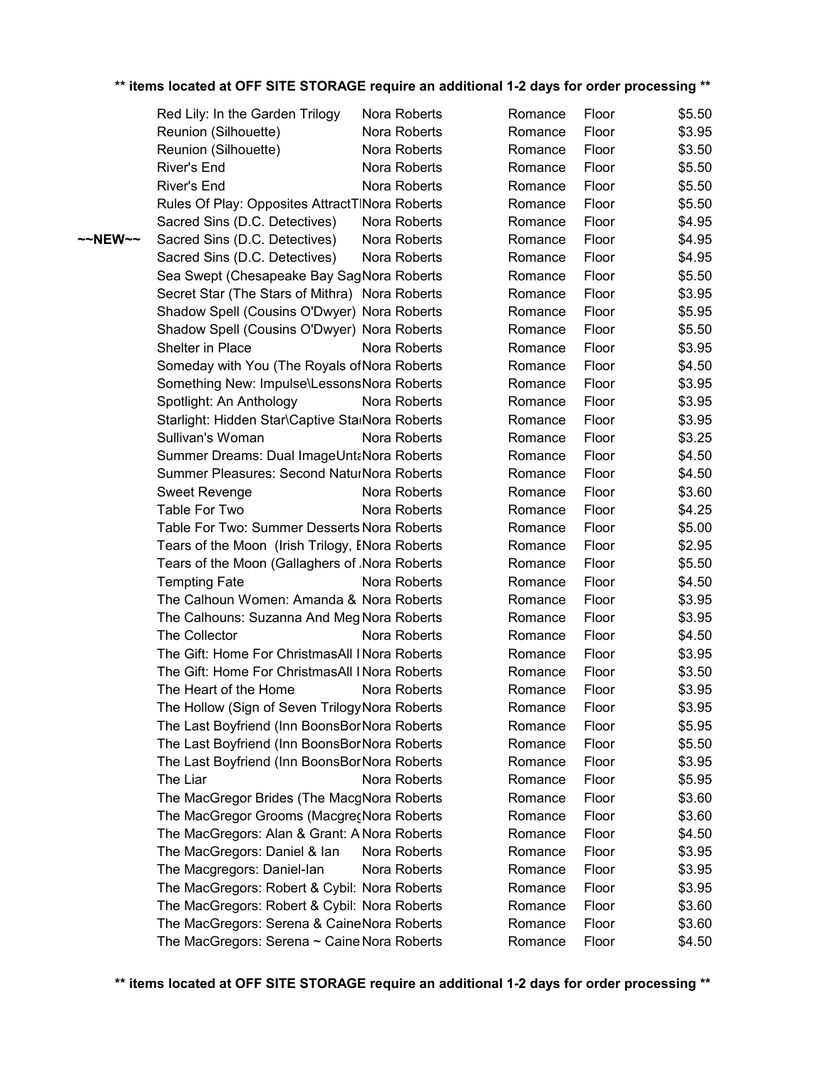|         | Red Lily: In the Garden Trilogy                 | Nora Roberts | Romance | Floor | \$5.50 |
|---------|-------------------------------------------------|--------------|---------|-------|--------|
|         | Reunion (Silhouette)                            | Nora Roberts | Romance | Floor | \$3.95 |
|         | Reunion (Silhouette)                            | Nora Roberts | Romance | Floor | \$3.50 |
|         | River's End                                     | Nora Roberts | Romance | Floor | \$5.50 |
|         | <b>River's End</b>                              | Nora Roberts | Romance | Floor | \$5.50 |
|         | Rules Of Play: Opposites AttractTINora Roberts  |              | Romance | Floor | \$5.50 |
|         | Sacred Sins (D.C. Detectives)                   | Nora Roberts | Romance | Floor | \$4.95 |
| ~~NEW~~ | Sacred Sins (D.C. Detectives)                   | Nora Roberts | Romance | Floor | \$4.95 |
|         | Sacred Sins (D.C. Detectives)                   | Nora Roberts | Romance | Floor | \$4.95 |
|         | Sea Swept (Chesapeake Bay SagNora Roberts       |              | Romance | Floor | \$5.50 |
|         | Secret Star (The Stars of Mithra) Nora Roberts  |              | Romance | Floor | \$3.95 |
|         | Shadow Spell (Cousins O'Dwyer) Nora Roberts     |              | Romance | Floor | \$5.95 |
|         | Shadow Spell (Cousins O'Dwyer) Nora Roberts     |              | Romance | Floor | \$5.50 |
|         | Shelter in Place                                | Nora Roberts | Romance | Floor | \$3.95 |
|         | Someday with You (The Royals of Nora Roberts    |              | Romance | Floor | \$4.50 |
|         | Something New: Impulse\LessonsNora Roberts      |              | Romance | Floor | \$3.95 |
|         | Spotlight: An Anthology                         | Nora Roberts | Romance | Floor | \$3.95 |
|         | Starlight: Hidden Star\Captive StalNora Roberts |              | Romance | Floor | \$3.95 |
|         | Sullivan's Woman                                | Nora Roberts | Romance | Floor | \$3.25 |
|         | Summer Dreams: Dual ImageUntaNora Roberts       |              | Romance | Floor | \$4.50 |
|         | Summer Pleasures: Second NaturNora Roberts      |              | Romance | Floor | \$4.50 |
|         | <b>Sweet Revenge</b>                            | Nora Roberts | Romance | Floor | \$3.60 |
|         | Table For Two                                   | Nora Roberts | Romance | Floor | \$4.25 |
|         | Table For Two: Summer Desserts Nora Roberts     |              | Romance | Floor | \$5.00 |
|         | Tears of the Moon (Irish Trilogy, ENora Roberts |              | Romance | Floor | \$2.95 |
|         | Tears of the Moon (Gallaghers of Nora Roberts   |              | Romance | Floor | \$5.50 |
|         | <b>Tempting Fate</b>                            | Nora Roberts | Romance | Floor | \$4.50 |
|         | The Calhoun Women: Amanda & Nora Roberts        |              | Romance | Floor | \$3.95 |
|         | The Calhouns: Suzanna And Meg Nora Roberts      |              | Romance | Floor | \$3.95 |
|         | The Collector                                   | Nora Roberts | Romance | Floor | \$4.50 |
|         | The Gift: Home For ChristmasAll I Nora Roberts  |              | Romance | Floor | \$3.95 |
|         | The Gift: Home For ChristmasAll I Nora Roberts  |              | Romance | Floor | \$3.50 |
|         | The Heart of the Home                           | Nora Roberts | Romance | Floor | \$3.95 |
|         | The Hollow (Sign of Seven Trilogy Nora Roberts  |              | Romance | Floor | \$3.95 |
|         | The Last Boyfriend (Inn BoonsBorNora Roberts    |              | Romance | Floor | \$5.95 |
|         | The Last Boyfriend (Inn BoonsBorNora Roberts    |              | Romance | Floor | \$5.50 |
|         | The Last Boyfriend (Inn BoonsBorNora Roberts    |              | Romance | Floor | \$3.95 |
|         | The Liar                                        | Nora Roberts | Romance | Floor | \$5.95 |
|         | The MacGregor Brides (The MacgNora Roberts      |              | Romance | Floor | \$3.60 |
|         | The MacGregor Grooms (MacgrecNora Roberts       |              | Romance | Floor | \$3.60 |
|         | The MacGregors: Alan & Grant: AlNora Roberts    |              | Romance | Floor | \$4.50 |
|         | The MacGregors: Daniel & Ian                    | Nora Roberts | Romance | Floor | \$3.95 |
|         | The Macgregors: Daniel-lan                      | Nora Roberts | Romance | Floor | \$3.95 |
|         | The MacGregors: Robert & Cybil: Nora Roberts    |              | Romance | Floor | \$3.95 |
|         | The MacGregors: Robert & Cybil: Nora Roberts    |              | Romance | Floor | \$3.60 |
|         | The MacGregors: Serena & CaineNora Roberts      |              | Romance | Floor | \$3.60 |
|         | The MacGregors: Serena ~ Caine Nora Roberts     |              | Romance | Floor | \$4.50 |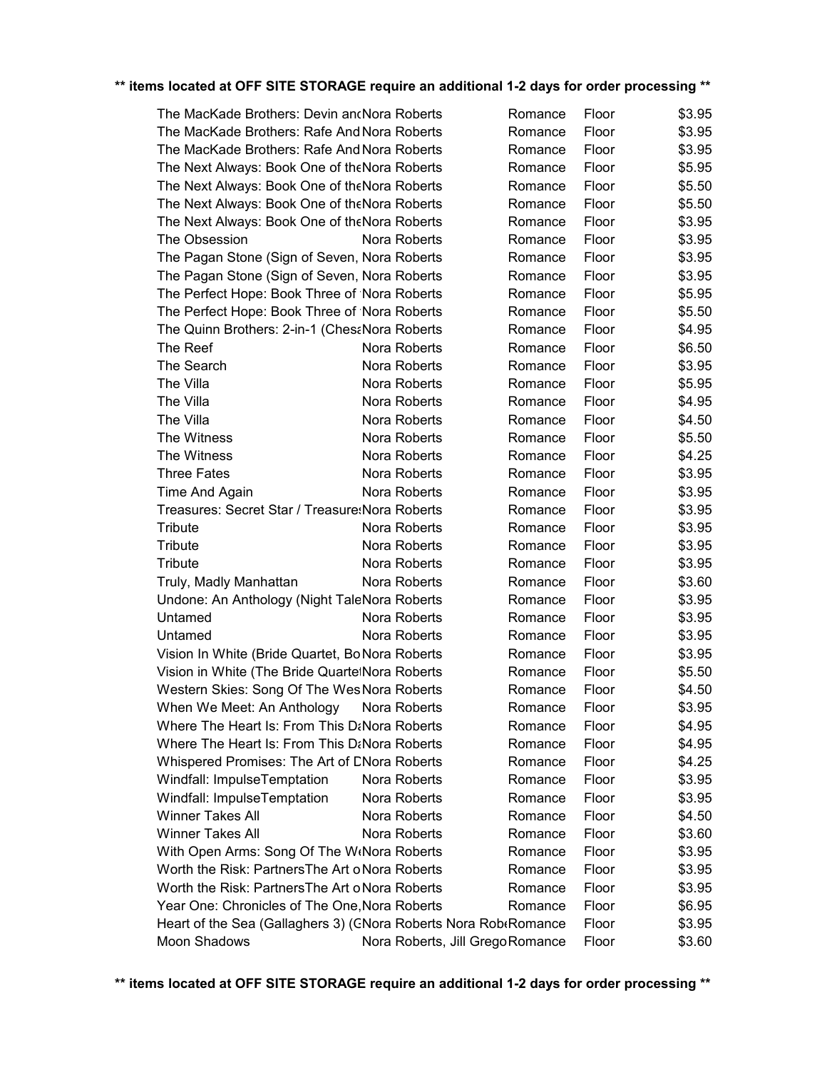| The MacKade Brothers: Devin ancNora Roberts                     |                                  | Romance | Floor | \$3.95 |
|-----------------------------------------------------------------|----------------------------------|---------|-------|--------|
| The MacKade Brothers: Rafe And Nora Roberts                     |                                  | Romance | Floor | \$3.95 |
| The MacKade Brothers: Rafe And Nora Roberts                     |                                  | Romance | Floor | \$3.95 |
| The Next Always: Book One of theNora Roberts                    |                                  | Romance | Floor | \$5.95 |
| The Next Always: Book One of theNora Roberts                    |                                  | Romance | Floor | \$5.50 |
| The Next Always: Book One of theNora Roberts                    |                                  | Romance | Floor | \$5.50 |
| The Next Always: Book One of theNora Roberts                    |                                  | Romance | Floor | \$3.95 |
| The Obsession                                                   | Nora Roberts                     | Romance | Floor | \$3.95 |
| The Pagan Stone (Sign of Seven, Nora Roberts                    |                                  | Romance | Floor | \$3.95 |
| The Pagan Stone (Sign of Seven, Nora Roberts                    |                                  | Romance | Floor | \$3.95 |
| The Perfect Hope: Book Three of Nora Roberts                    |                                  | Romance | Floor | \$5.95 |
| The Perfect Hope: Book Three of Nora Roberts                    |                                  | Romance | Floor | \$5.50 |
| The Quinn Brothers: 2-in-1 (ChesaNora Roberts                   |                                  | Romance | Floor | \$4.95 |
| The Reef                                                        | Nora Roberts                     | Romance | Floor | \$6.50 |
| The Search                                                      | Nora Roberts                     | Romance | Floor | \$3.95 |
| The Villa                                                       | Nora Roberts                     | Romance | Floor | \$5.95 |
| The Villa                                                       | Nora Roberts                     | Romance | Floor | \$4.95 |
| The Villa                                                       | Nora Roberts                     | Romance | Floor | \$4.50 |
| The Witness                                                     | Nora Roberts                     | Romance | Floor | \$5.50 |
| The Witness                                                     | Nora Roberts                     | Romance | Floor | \$4.25 |
| <b>Three Fates</b>                                              | Nora Roberts                     | Romance | Floor | \$3.95 |
| Time And Again                                                  | Nora Roberts                     | Romance | Floor | \$3.95 |
| Treasures: Secret Star / Treasure: Nora Roberts                 |                                  | Romance | Floor | \$3.95 |
| Tribute                                                         | Nora Roberts                     | Romance | Floor | \$3.95 |
| <b>Tribute</b>                                                  | Nora Roberts                     | Romance | Floor | \$3.95 |
| Tribute                                                         | Nora Roberts                     | Romance | Floor | \$3.95 |
| Truly, Madly Manhattan                                          | Nora Roberts                     | Romance | Floor | \$3.60 |
| Undone: An Anthology (Night TaleNora Roberts                    |                                  | Romance | Floor | \$3.95 |
| Untamed                                                         | Nora Roberts                     | Romance | Floor | \$3.95 |
| Untamed                                                         | Nora Roberts                     | Romance | Floor | \$3.95 |
| Vision In White (Bride Quartet, Bo Nora Roberts                 |                                  | Romance | Floor | \$3.95 |
| Vision in White (The Bride QuartelNora Roberts                  |                                  | Romance | Floor | \$5.50 |
| Western Skies: Song Of The Wes Nora Roberts                     |                                  | Romance | Floor | \$4.50 |
| When We Meet: An Anthology                                      | Nora Roberts                     | Romance | Floor | \$3.95 |
| Where The Heart Is: From This D&Nora Roberts                    |                                  | Romance | Floor | \$4.95 |
| <b>Where The Heart Is: From This D&amp;Nora Roberts</b>         |                                  | Romance | Floor | \$4.95 |
| Whispered Promises: The Art of DNora Roberts                    |                                  | Romance | Floor | \$4.25 |
| Windfall: ImpulseTemptation                                     | Nora Roberts                     | Romance | Floor | \$3.95 |
| Windfall: ImpulseTemptation                                     | Nora Roberts                     | Romance | Floor | \$3.95 |
| <b>Winner Takes All</b>                                         | Nora Roberts                     | Romance | Floor | \$4.50 |
| <b>Winner Takes All</b>                                         | Nora Roberts                     | Romance | Floor | \$3.60 |
| With Open Arms: Song Of The W(Nora Roberts                      |                                  | Romance | Floor | \$3.95 |
| Worth the Risk: Partners The Art o Nora Roberts                 |                                  | Romance | Floor | \$3.95 |
| Worth the Risk: PartnersThe Art o Nora Roberts                  |                                  | Romance | Floor | \$3.95 |
| Year One: Chronicles of The One, Nora Roberts                   |                                  | Romance | Floor | \$6.95 |
| Heart of the Sea (Gallaghers 3) (CNora Roberts Nora Rob&Romance |                                  |         | Floor | \$3.95 |
| Moon Shadows                                                    | Nora Roberts, Jill Grego Romance |         | Floor | \$3.60 |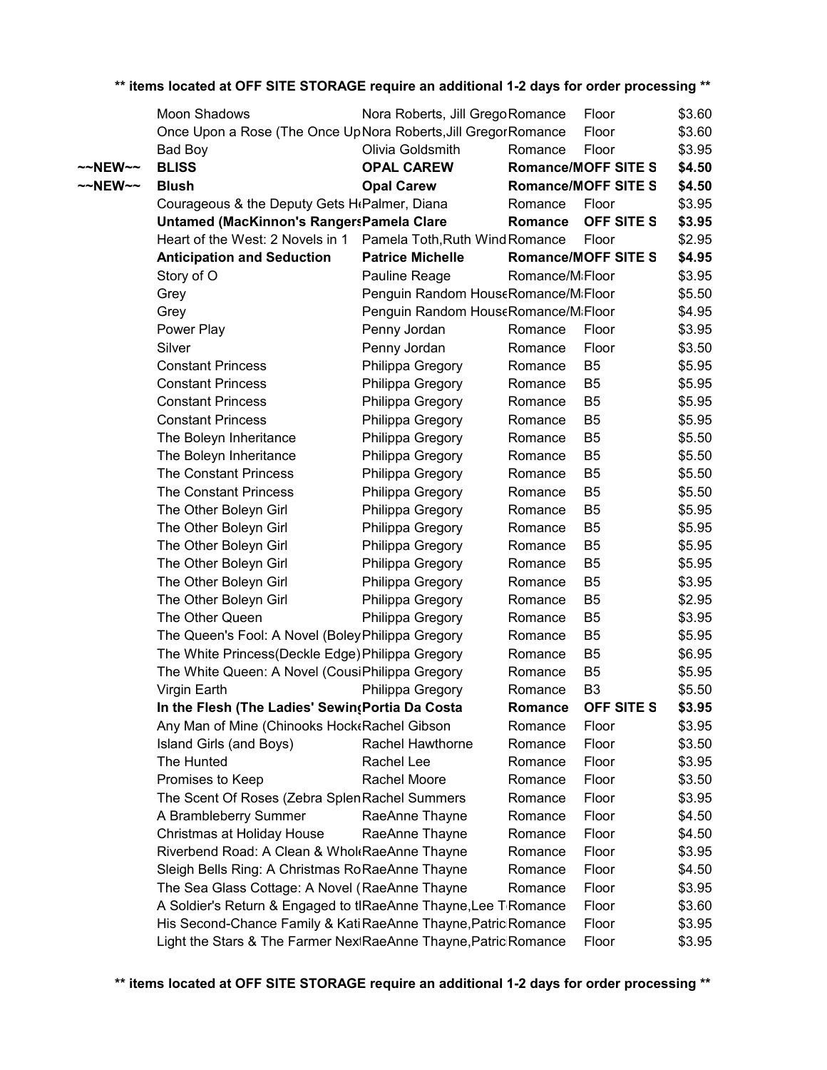|         | Moon Shadows                                                    | Nora Roberts, Jill Grego Romance    |                 | Floor                      | \$3.60 |
|---------|-----------------------------------------------------------------|-------------------------------------|-----------------|----------------------------|--------|
|         | Once Upon a Rose (The Once UpNora Roberts, Jill Gregor Romance  |                                     |                 | Floor                      | \$3.60 |
|         | Bad Boy                                                         | Olivia Goldsmith                    | Romance         | Floor                      | \$3.95 |
| ~~NEW~~ | <b>BLISS</b>                                                    | <b>OPAL CAREW</b>                   |                 | <b>Romance/MOFF SITE S</b> | \$4.50 |
| ~~NEW~~ | <b>Blush</b>                                                    | <b>Opal Carew</b>                   |                 | <b>Romance/MOFF SITE S</b> | \$4.50 |
|         | Courageous & the Deputy Gets H <sub>f</sub> Palmer, Diana       |                                     | Romance         | Floor                      | \$3.95 |
|         | Untamed (MacKinnon's RangersPamela Clare                        |                                     | Romance         | OFF SITE S                 | \$3.95 |
|         | Heart of the West: 2 Novels in 1                                | Pamela Toth, Ruth Wind Romance      |                 | Floor                      | \$2.95 |
|         | <b>Anticipation and Seduction</b>                               | <b>Patrice Michelle</b>             |                 | <b>Romance/MOFF SITE S</b> | \$4.95 |
|         | Story of O                                                      | Pauline Reage                       | Romance/MiFloor |                            | \$3.95 |
|         | Grey                                                            | Penguin Random HouseRomance/MiFloor |                 |                            | \$5.50 |
|         | Grey                                                            | Penguin Random HouseRomance/MiFloor |                 |                            | \$4.95 |
|         | Power Play                                                      | Penny Jordan                        | Romance         | Floor                      | \$3.95 |
|         | Silver                                                          | Penny Jordan                        | Romance         | Floor                      | \$3.50 |
|         | <b>Constant Princess</b>                                        | Philippa Gregory                    | Romance         | B <sub>5</sub>             | \$5.95 |
|         | <b>Constant Princess</b>                                        | Philippa Gregory                    | Romance         | B <sub>5</sub>             | \$5.95 |
|         | <b>Constant Princess</b>                                        | Philippa Gregory                    | Romance         | B <sub>5</sub>             | \$5.95 |
|         | <b>Constant Princess</b>                                        | Philippa Gregory                    | Romance         | B <sub>5</sub>             | \$5.95 |
|         | The Boleyn Inheritance                                          | Philippa Gregory                    | Romance         | B <sub>5</sub>             | \$5.50 |
|         | The Boleyn Inheritance                                          | Philippa Gregory                    | Romance         | B <sub>5</sub>             | \$5.50 |
|         | <b>The Constant Princess</b>                                    | Philippa Gregory                    | Romance         | B <sub>5</sub>             | \$5.50 |
|         | The Constant Princess                                           | Philippa Gregory                    | Romance         | B <sub>5</sub>             | \$5.50 |
|         | The Other Boleyn Girl                                           | Philippa Gregory                    | Romance         | B <sub>5</sub>             | \$5.95 |
|         | The Other Boleyn Girl                                           | Philippa Gregory                    | Romance         | B <sub>5</sub>             | \$5.95 |
|         | The Other Boleyn Girl                                           | Philippa Gregory                    | Romance         | B <sub>5</sub>             | \$5.95 |
|         | The Other Boleyn Girl                                           | Philippa Gregory                    | Romance         | B <sub>5</sub>             | \$5.95 |
|         | The Other Boleyn Girl                                           | Philippa Gregory                    | Romance         | B <sub>5</sub>             | \$3.95 |
|         | The Other Boleyn Girl                                           | Philippa Gregory                    | Romance         | B <sub>5</sub>             | \$2.95 |
|         | The Other Queen                                                 | Philippa Gregory                    | Romance         | B <sub>5</sub>             | \$3.95 |
|         | The Queen's Fool: A Novel (Boley Philippa Gregory               |                                     | Romance         | B <sub>5</sub>             | \$5.95 |
|         | The White Princess (Deckle Edge) Philippa Gregory               |                                     | Romance         | B <sub>5</sub>             | \$6.95 |
|         | The White Queen: A Novel (CousiPhilippa Gregory                 |                                     | Romance         | B <sub>5</sub>             | \$5.95 |
|         | Virgin Earth                                                    | Philippa Gregory                    | Romance         | B <sub>3</sub>             | \$5.50 |
|         | In the Flesh (The Ladies' SewingPortia Da Costa                 |                                     | Romance         | <b>OFF SITE S</b>          | \$3.95 |
|         | Any Man of Mine (Chinooks Hock Rachel Gibson                    |                                     | Romance         | Floor                      | \$3.95 |
|         | Island Girls (and Boys)                                         | Rachel Hawthorne                    | Romance         | Floor                      | \$3.50 |
|         | The Hunted                                                      | Rachel Lee                          | Romance         | Floor                      | \$3.95 |
|         | Promises to Keep                                                | Rachel Moore                        | Romance         | Floor                      | \$3.50 |
|         | The Scent Of Roses (Zebra Splen Rachel Summers                  |                                     | Romance         | Floor                      | \$3.95 |
|         | A Brambleberry Summer                                           | RaeAnne Thayne                      | Romance         | Floor                      | \$4.50 |
|         | Christmas at Holiday House                                      | RaeAnne Thayne                      | Romance         | Floor                      | \$4.50 |
|         | Riverbend Road: A Clean & Whol RaeAnne Thayne                   |                                     | Romance         | Floor                      | \$3.95 |
|         | Sleigh Bells Ring: A Christmas Ro Rae Anne Thayne               |                                     | Romance         | Floor                      | \$4.50 |
|         | The Sea Glass Cottage: A Novel (RaeAnne Thayne                  |                                     | Romance         | Floor                      | \$3.95 |
|         | A Soldier's Return & Engaged to tlRaeAnne Thayne, Lee T Romance |                                     |                 | Floor                      | \$3.60 |
|         | His Second-Chance Family & Kati RaeAnne Thayne, Patric Romance  |                                     |                 | Floor                      | \$3.95 |
|         | Light the Stars & The Farmer NextRaeAnne Thayne, Patric Romance |                                     |                 | Floor                      | \$3.95 |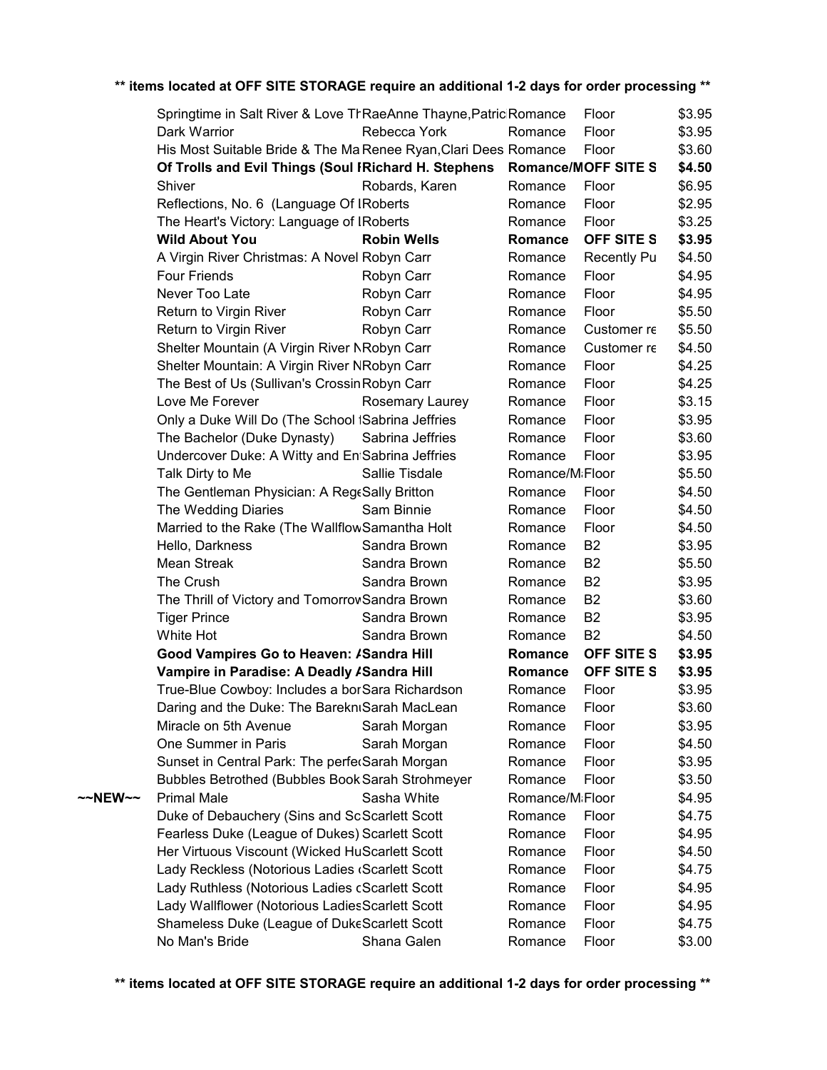|         | Springtime in Salt River & Love TrRaeAnne Thayne, Patric Romance         |                    |                              | Floor          | \$3.95 |
|---------|--------------------------------------------------------------------------|--------------------|------------------------------|----------------|--------|
|         | Dark Warrior                                                             | Rebecca York       | Romance                      | Floor          | \$3.95 |
|         | His Most Suitable Bride & The Ma Renee Ryan, Clari Dees Romance          |                    |                              | Floor          | \$3.60 |
|         | Of Trolls and Evil Things (Soul IRichard H. Stephens Romance/MOFF SITE S |                    |                              |                | \$4.50 |
|         | Shiver                                                                   | Robards, Karen     | Romance                      | Floor          | \$6.95 |
|         | Reflections, No. 6 (Language Of IRoberts                                 |                    | Romance                      | Floor          | \$2.95 |
|         | The Heart's Victory: Language of IRoberts                                |                    | Romance                      | Floor          | \$3.25 |
|         | <b>Wild About You</b>                                                    | <b>Robin Wells</b> | Romance                      | OFF SITE S     | \$3.95 |
|         | A Virgin River Christmas: A Novel Robyn Carr                             |                    | Romance                      | Recently Pu    | \$4.50 |
|         | Four Friends                                                             | Robyn Carr         | Romance                      | Floor          | \$4.95 |
|         | Never Too Late                                                           | Robyn Carr         | Romance                      | Floor          | \$4.95 |
|         | Return to Virgin River                                                   | Robyn Carr         | Romance                      | Floor          | \$5.50 |
|         | Return to Virgin River                                                   | Robyn Carr         | Romance                      | Customer re    | \$5.50 |
|         | Shelter Mountain (A Virgin River NRobyn Carr                             |                    | Romance                      | Customer re    | \$4.50 |
|         | Shelter Mountain: A Virgin River NRobyn Carr                             |                    | Romance                      | Floor          | \$4.25 |
|         | The Best of Us (Sullivan's Crossin Robyn Carr                            |                    | Romance                      | Floor          | \$4.25 |
|         | Love Me Forever                                                          | Rosemary Laurey    | Romance                      | Floor          | \$3.15 |
|         | Only a Duke Will Do (The School ISabrina Jeffries                        |                    | Romance                      | Floor          | \$3.95 |
|         | The Bachelor (Duke Dynasty)                                              | Sabrina Jeffries   | Romance                      | Floor          | \$3.60 |
|         | Undercover Duke: A Witty and En Sabrina Jeffries                         |                    | Romance                      | Floor          | \$3.95 |
|         | Talk Dirty to Me                                                         | Sallie Tisdale     | Romance/M <sub>i</sub> Floor |                | \$5.50 |
|         | The Gentleman Physician: A RegeSally Britton                             |                    | Romance                      | Floor          | \$4.50 |
|         | The Wedding Diaries                                                      | Sam Binnie         | Romance                      | Floor          | \$4.50 |
|         | Married to the Rake (The WallflowSamantha Holt                           |                    | Romance                      | Floor          | \$4.50 |
|         | Hello, Darkness                                                          | Sandra Brown       | Romance                      | B <sub>2</sub> | \$3.95 |
|         | <b>Mean Streak</b>                                                       | Sandra Brown       | Romance                      | B <sub>2</sub> | \$5.50 |
|         | The Crush                                                                | Sandra Brown       | Romance                      | B <sub>2</sub> | \$3.95 |
|         | The Thrill of Victory and TomorrowSandra Brown                           |                    | Romance                      | B <sub>2</sub> | \$3.60 |
|         | <b>Tiger Prince</b>                                                      | Sandra Brown       | Romance                      | B <sub>2</sub> | \$3.95 |
|         | White Hot                                                                | Sandra Brown       | Romance                      | <b>B2</b>      | \$4.50 |
|         | Good Vampires Go to Heaven: /Sandra Hill                                 |                    | Romance                      | OFF SITE S     | \$3.95 |
|         | Vampire in Paradise: A Deadly <i>I</i> Sandra Hill                       |                    | Romance                      | OFF SITE S     | \$3.95 |
|         | True-Blue Cowboy: Includes a borSara Richardson                          |                    | Romance                      | Floor          | \$3.95 |
|         | Daring and the Duke: The BarekniSarah MacLean                            |                    | Romance                      | Floor          | \$3.60 |
|         | Miracle on 5th Avenue                                                    | Sarah Morgan       | Romance                      | Floor          | \$3.95 |
|         | One Summer in Paris                                                      | Sarah Morgan       | Romance                      | Floor          | \$4.50 |
|         | Sunset in Central Park: The perferSarah Morgan                           |                    | Romance                      | Floor          | \$3.95 |
|         | Bubbles Betrothed (Bubbles Book Sarah Strohmeyer                         |                    | Romance                      | Floor          | \$3.50 |
| ~~NEW~~ | <b>Primal Male</b>                                                       | Sasha White        | Romance/MiFloor              |                | \$4.95 |
|         | Duke of Debauchery (Sins and ScScarlett Scott                            |                    | Romance                      | Floor          | \$4.75 |
|         | Fearless Duke (League of Dukes) Scarlett Scott                           |                    | Romance                      | Floor          | \$4.95 |
|         | Her Virtuous Viscount (Wicked HuScarlett Scott                           |                    | Romance                      | Floor          | \$4.50 |
|         | Lady Reckless (Notorious Ladies (Scarlett Scott                          |                    | Romance                      | Floor          | \$4.75 |
|         | Lady Ruthless (Notorious Ladies cScarlett Scott                          |                    | Romance                      | Floor          | \$4.95 |
|         | Lady Wallflower (Notorious LadiesScarlett Scott                          |                    | Romance                      | Floor          | \$4.95 |
|         | Shameless Duke (League of DukeScarlett Scott                             |                    | Romance                      | Floor          | \$4.75 |
|         | No Man's Bride                                                           | Shana Galen        | Romance                      | Floor          | \$3.00 |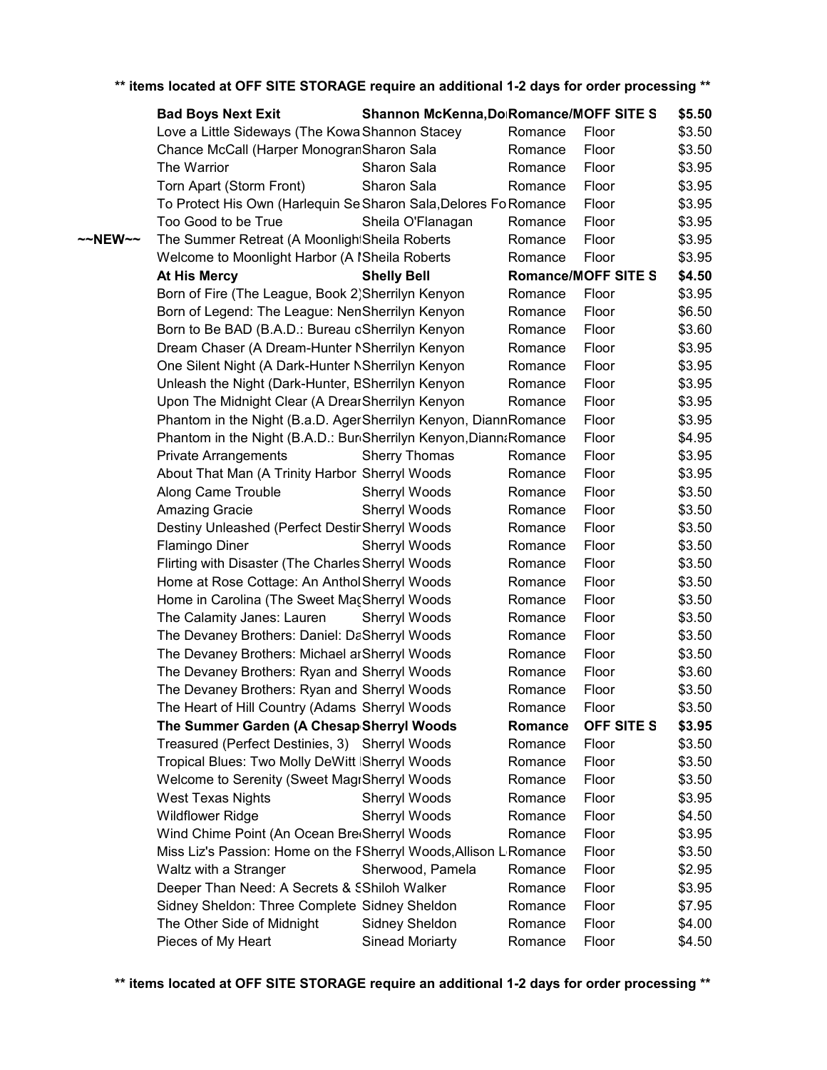|                   | ** items located at OFF SITE STORAGE require an additional 1-2 days for order processing ** |                                         |         |                            |        |
|-------------------|---------------------------------------------------------------------------------------------|-----------------------------------------|---------|----------------------------|--------|
|                   | <b>Bad Boys Next Exit</b>                                                                   | Shannon McKenna, Do Romance/MOFF SITE S |         |                            | \$5.50 |
|                   | Love a Little Sideways (The Kowa Shannon Stacey                                             |                                         | Romance | Floor                      | \$3.50 |
|                   | Chance McCall (Harper MonogranSharon Sala                                                   |                                         | Romance | Floor                      | \$3.50 |
|                   | The Warrior                                                                                 | Sharon Sala                             | Romance | Floor                      | \$3.95 |
|                   | Torn Apart (Storm Front)                                                                    | Sharon Sala                             | Romance | Floor                      | \$3.95 |
|                   | To Protect His Own (Harlequin Se Sharon Sala, Delores Fo Romance                            |                                         |         | Floor                      | \$3.95 |
|                   | Too Good to be True                                                                         | Sheila O'Flanagan                       | Romance | Floor                      | \$3.95 |
| $\sim$ NEW $\sim$ | The Summer Retreat (A MoonlightSheila Roberts                                               |                                         | Romance | Floor                      | \$3.95 |
|                   | Welcome to Moonlight Harbor (A ISheila Roberts                                              |                                         | Romance | Floor                      | \$3.95 |
|                   | <b>At His Mercy</b>                                                                         | <b>Shelly Bell</b>                      |         | <b>Romance/MOFF SITE S</b> | \$4.50 |
|                   | Born of Fire (The League, Book 2) Sherrilyn Kenyon                                          |                                         | Romance | Floor                      | \$3.95 |
|                   | Born of Legend: The League: NenSherrilyn Kenyon                                             |                                         | Romance | Floor                      | \$6.50 |
|                   | Born to Be BAD (B.A.D.: Bureau oSherrilyn Kenyon                                            |                                         | Romance | Floor                      | \$3.60 |
|                   | Dream Chaser (A Dream-Hunter NSherrilyn Kenyon                                              |                                         | Romance | Floor                      | \$3.95 |
|                   | One Silent Night (A Dark-Hunter NSherrilyn Kenyon                                           |                                         | Romance | Floor                      | \$3.95 |
|                   | Unleash the Night (Dark-Hunter, BSherrilyn Kenyon                                           |                                         | Romance | Floor                      | \$3.95 |
|                   | Upon The Midnight Clear (A DrearSherrilyn Kenyon                                            |                                         | Romance | Floor                      | \$3.95 |
|                   | Phantom in the Night (B.a.D. AgerSherrilyn Kenyon, DiannRomance                             |                                         |         | Floor                      | \$3.95 |
|                   | Phantom in the Night (B.A.D.: Bur Sherrilyn Kenyon, Diann & Romance                         |                                         |         | Floor                      | \$4.95 |
|                   | <b>Private Arrangements</b>                                                                 | <b>Sherry Thomas</b>                    | Romance | Floor                      | \$3.95 |
|                   | About That Man (A Trinity Harbor Sherryl Woods                                              |                                         | Romance | Floor                      | \$3.95 |
|                   | Along Came Trouble                                                                          | Sherryl Woods                           | Romance | Floor                      | \$3.50 |
|                   | Amazing Gracie                                                                              | Sherryl Woods                           | Romance | Floor                      | \$3.50 |
|                   | Destiny Unleashed (Perfect Destir Sherryl Woods                                             |                                         | Romance | Floor                      | \$3.50 |
|                   | <b>Flamingo Diner</b>                                                                       | Sherryl Woods                           | Romance | Floor                      | \$3.50 |
|                   | Flirting with Disaster (The Charles Sherryl Woods                                           |                                         | Romance | Floor                      | \$3.50 |
|                   | Home at Rose Cottage: An Anthol Sherryl Woods                                               |                                         | Romance | Floor                      | \$3.50 |
|                   | Home in Carolina (The Sweet MacSherryl Woods                                                |                                         | Romance | Floor                      | \$3.50 |
|                   | The Calamity Janes: Lauren                                                                  | Sherryl Woods                           | Romance | Floor                      | \$3.50 |
|                   | The Devaney Brothers: Daniel: DaSherryl Woods                                               |                                         | Romance | Floor                      | \$3.50 |
|                   | The Devaney Brothers: Michael ar Sherryl Woods                                              |                                         | Romance | Floor                      | \$3.50 |
|                   | The Devaney Brothers: Ryan and Sherryl Woods                                                |                                         | Romance | Floor                      | \$3.60 |
|                   | The Devaney Brothers: Ryan and Sherryl Woods                                                |                                         | Romance | Floor                      | \$3.50 |
|                   | The Heart of Hill Country (Adams Sherryl Woods                                              |                                         | Romance | Floor                      | \$3.50 |
|                   | The Summer Garden (A Chesap Sherryl Woods                                                   |                                         | Romance | OFF SITE S                 | \$3.95 |
|                   | Treasured (Perfect Destinies, 3) Sherryl Woods                                              |                                         | Romance | Floor                      | \$3.50 |
|                   | Tropical Blues: Two Molly DeWitt   Sherryl Woods                                            |                                         | Romance | Floor                      | \$3.50 |
|                   | Welcome to Serenity (Sweet MagrSherryl Woods                                                |                                         | Romance | Floor                      | \$3.50 |
|                   | <b>West Texas Nights</b>                                                                    | Sherryl Woods                           | Romance | Floor                      | \$3.95 |
|                   | <b>Wildflower Ridge</b>                                                                     | Sherryl Woods                           | Romance | Floor                      | \$4.50 |
|                   | Wind Chime Point (An Ocean BreeSherryl Woods                                                |                                         | Romance | Floor                      | \$3.95 |
|                   | Miss Liz's Passion: Home on the FSherryl Woods, Allison L Romance                           |                                         |         | Floor                      | \$3.50 |
|                   | Waltz with a Stranger                                                                       | Sherwood, Pamela                        | Romance | Floor                      | \$2.95 |
|                   | Deeper Than Need: A Secrets & SShiloh Walker                                                |                                         | Romance | Floor                      | \$3.95 |
|                   | Sidney Sheldon: Three Complete Sidney Sheldon                                               |                                         | Romance | Floor                      | \$7.95 |
|                   | The Other Side of Midnight                                                                  | Sidney Sheldon                          | Romance | Floor                      | \$4.00 |
|                   | Pieces of My Heart                                                                          | <b>Sinead Moriarty</b>                  | Romance | Floor                      | \$4.50 |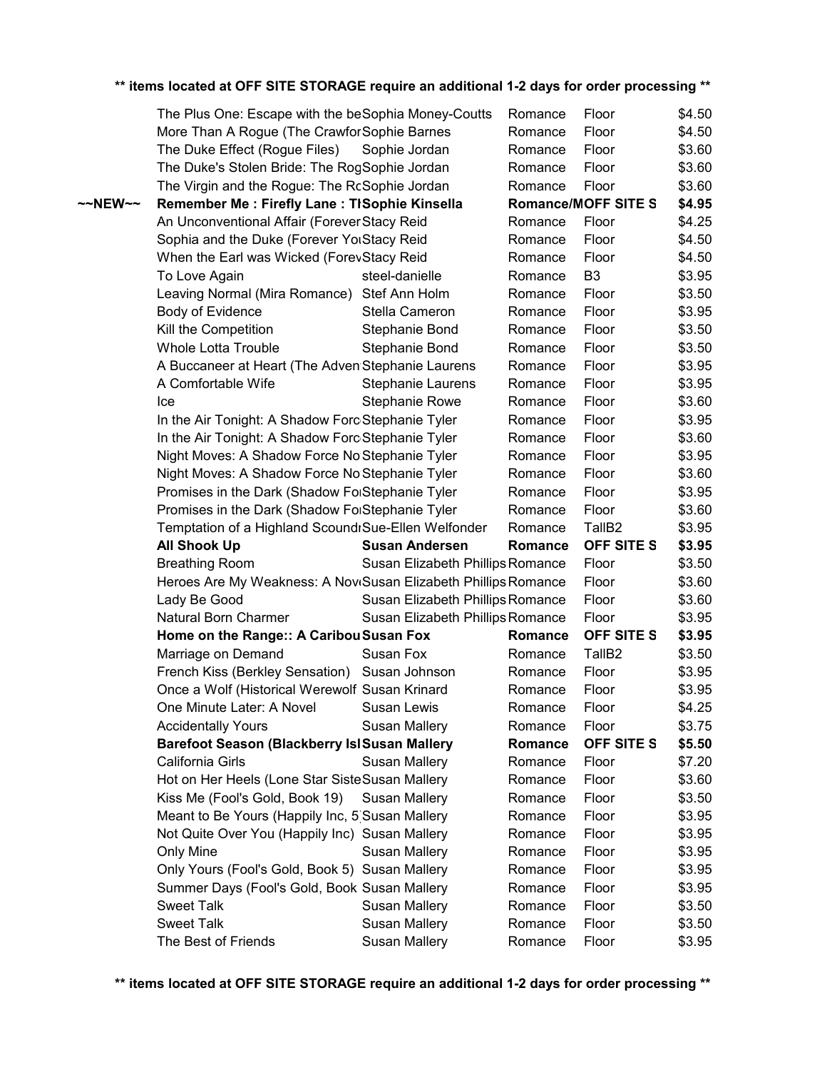|                     | The Plus One: Escape with the beSophia Money-Coutts            |                                  | Romance        | Floor                      | \$4.50 |
|---------------------|----------------------------------------------------------------|----------------------------------|----------------|----------------------------|--------|
|                     | More Than A Rogue (The Crawfor Sophie Barnes                   |                                  | Romance        | Floor                      | \$4.50 |
|                     | The Duke Effect (Rogue Files)                                  | Sophie Jordan                    | Romance        | Floor                      | \$3.60 |
|                     | The Duke's Stolen Bride: The RogSophie Jordan                  |                                  | Romance        | Floor                      | \$3.60 |
|                     | The Virgin and the Rogue: The RcSophie Jordan                  |                                  | Romance        | Floor                      | \$3.60 |
| $~\sim$ NEW $~\sim$ | Remember Me: Firefly Lane: TISophie Kinsella                   |                                  |                | <b>Romance/MOFF SITE S</b> | \$4.95 |
|                     | An Unconventional Affair (Forever Stacy Reid                   |                                  | Romance        | Floor                      | \$4.25 |
|                     | Sophia and the Duke (Forever YorStacy Reid                     |                                  | Romance        | Floor                      | \$4.50 |
|                     | When the Earl was Wicked (ForevStacy Reid                      |                                  | Romance        | Floor                      | \$4.50 |
|                     | To Love Again                                                  | steel-danielle                   | Romance        | B <sub>3</sub>             | \$3.95 |
|                     | Leaving Normal (Mira Romance) Stef Ann Holm                    |                                  | Romance        | Floor                      | \$3.50 |
|                     | Body of Evidence                                               | Stella Cameron                   | Romance        | Floor                      | \$3.95 |
|                     | Kill the Competition                                           | Stephanie Bond                   | Romance        | Floor                      | \$3.50 |
|                     | <b>Whole Lotta Trouble</b>                                     | Stephanie Bond                   | Romance        | Floor                      | \$3.50 |
|                     | A Buccaneer at Heart (The Adven Stephanie Laurens              |                                  | Romance        | Floor                      | \$3.95 |
|                     | A Comfortable Wife                                             | Stephanie Laurens                | Romance        | Floor                      | \$3.95 |
|                     | Ice                                                            | <b>Stephanie Rowe</b>            | Romance        | Floor                      | \$3.60 |
|                     | In the Air Tonight: A Shadow Forc Stephanie Tyler              |                                  | Romance        | Floor                      | \$3.95 |
|                     | In the Air Tonight: A Shadow Forc Stephanie Tyler              |                                  | Romance        | Floor                      | \$3.60 |
|                     | Night Moves: A Shadow Force No Stephanie Tyler                 |                                  | Romance        | Floor                      | \$3.95 |
|                     | Night Moves: A Shadow Force No Stephanie Tyler                 |                                  | Romance        | Floor                      | \$3.60 |
|                     | Promises in the Dark (Shadow FolStephanie Tyler                |                                  | Romance        | Floor                      | \$3.95 |
|                     | Promises in the Dark (Shadow FolStephanie Tyler                |                                  | Romance        | Floor                      | \$3.60 |
|                     | Temptation of a Highland ScoundrSue-Ellen Welfonder            |                                  | Romance        | TallB <sub>2</sub>         | \$3.95 |
|                     | <b>All Shook Up</b>                                            | <b>Susan Andersen</b>            | <b>Romance</b> | <b>OFF SITE S</b>          | \$3.95 |
|                     | <b>Breathing Room</b>                                          | Susan Elizabeth Phillips Romance |                | Floor                      | \$3.50 |
|                     | Heroes Are My Weakness: A NoviSusan Elizabeth Phillips Romance |                                  |                | Floor                      | \$3.60 |
|                     | Lady Be Good                                                   | Susan Elizabeth Phillips Romance |                | Floor                      | \$3.60 |
|                     | Natural Born Charmer                                           | Susan Elizabeth Phillips Romance |                | Floor                      | \$3.95 |
|                     | Home on the Range:: A Caribou Susan Fox                        |                                  | Romance        | <b>OFF SITE S</b>          | \$3.95 |
|                     | Marriage on Demand                                             | Susan Fox                        | Romance        | TallB <sub>2</sub>         | \$3.50 |
|                     | French Kiss (Berkley Sensation) Susan Johnson                  |                                  | Romance        | Floor                      | \$3.95 |
|                     | Once a Wolf (Historical Werewolf Susan Krinard                 |                                  | Romance        | Floor                      | \$3.95 |
|                     | One Minute Later: A Novel                                      | Susan Lewis                      | Romance        | Floor                      | \$4.25 |
|                     | <b>Accidentally Yours</b>                                      | Susan Mallery                    | Romance        | Floor                      | \$3.75 |
|                     | <b>Barefoot Season (Blackberry IslSusan Mallery</b>            |                                  | Romance        | OFF SITE S                 | \$5.50 |
|                     | California Girls                                               | <b>Susan Mallery</b>             | Romance        | Floor                      | \$7.20 |
|                     | Hot on Her Heels (Lone Star Siste Susan Mallery                |                                  | Romance        | Floor                      | \$3.60 |
|                     | Kiss Me (Fool's Gold, Book 19)                                 | <b>Susan Mallery</b>             | Romance        | Floor                      | \$3.50 |
|                     | Meant to Be Yours (Happily Inc, 5 Susan Mallery                |                                  | Romance        | Floor                      | \$3.95 |
|                     | Not Quite Over You (Happily Inc) Susan Mallery                 |                                  | Romance        | Floor                      | \$3.95 |
|                     | Only Mine                                                      | <b>Susan Mallery</b>             | Romance        | Floor                      | \$3.95 |
|                     | Only Yours (Fool's Gold, Book 5) Susan Mallery                 |                                  | Romance        | Floor                      | \$3.95 |
|                     | Summer Days (Fool's Gold, Book Susan Mallery                   |                                  | Romance        | Floor                      | \$3.95 |
|                     | <b>Sweet Talk</b>                                              | <b>Susan Mallery</b>             | Romance        | Floor                      | \$3.50 |
|                     | <b>Sweet Talk</b>                                              | <b>Susan Mallery</b>             | Romance        | Floor                      | \$3.50 |
|                     | The Best of Friends                                            | <b>Susan Mallery</b>             |                | Floor                      | \$3.95 |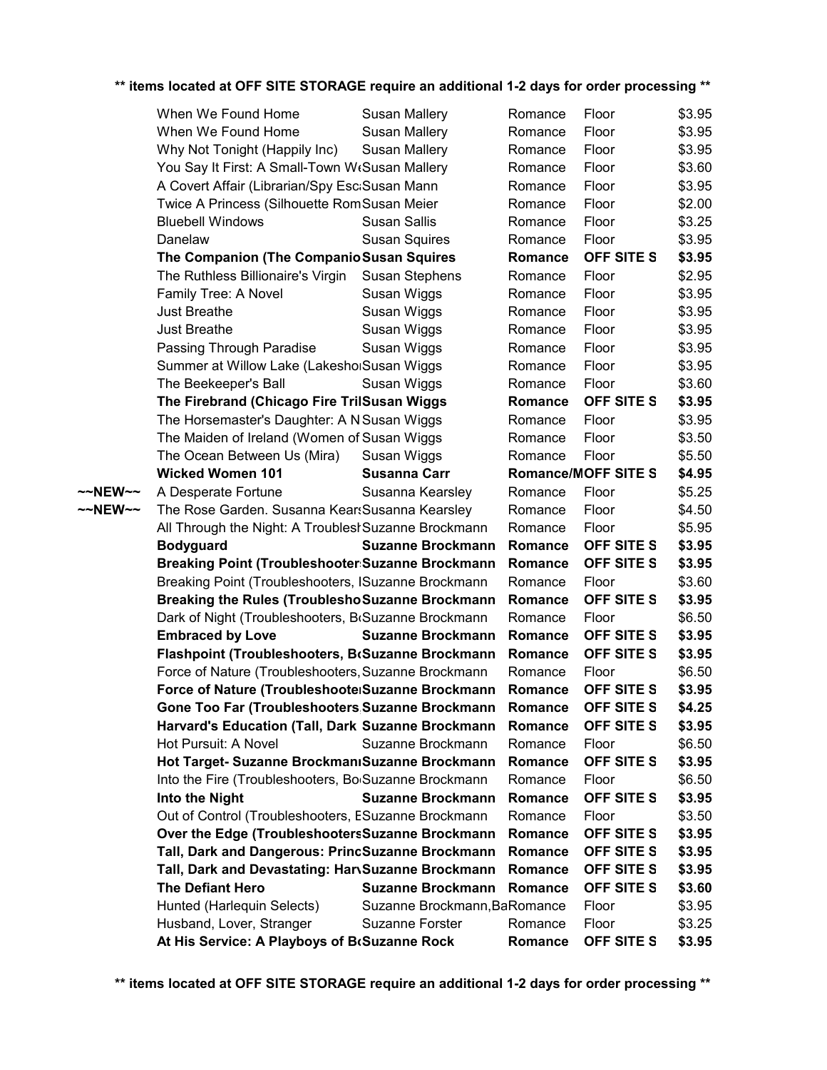|         | When We Found Home                                                                                    | <b>Susan Mallery</b>         | Romance        | Floor                           | \$3.95           |
|---------|-------------------------------------------------------------------------------------------------------|------------------------------|----------------|---------------------------------|------------------|
|         | When We Found Home                                                                                    | <b>Susan Mallery</b>         | Romance        | Floor                           | \$3.95           |
|         | Why Not Tonight (Happily Inc)                                                                         | <b>Susan Mallery</b>         | Romance        | Floor                           | \$3.95           |
|         | You Say It First: A Small-Town WtSusan Mallery                                                        |                              | Romance        | Floor                           | \$3.60           |
|         | A Covert Affair (Librarian/Spy Esc:Susan Mann                                                         |                              | Romance        | Floor                           | \$3.95           |
|         | Twice A Princess (Silhouette RomSusan Meier                                                           |                              | Romance        | Floor                           | \$2.00           |
|         | <b>Bluebell Windows</b>                                                                               | <b>Susan Sallis</b>          | Romance        | Floor                           | \$3.25           |
|         | Danelaw                                                                                               | <b>Susan Squires</b>         | Romance        | Floor                           | \$3.95           |
|         | The Companion (The Companio Susan Squires                                                             |                              | Romance        | OFF SITE S                      | \$3.95           |
|         | The Ruthless Billionaire's Virgin                                                                     | <b>Susan Stephens</b>        | Romance        | Floor                           | \$2.95           |
|         | Family Tree: A Novel                                                                                  | Susan Wiggs                  | Romance        | Floor                           | \$3.95           |
|         | <b>Just Breathe</b>                                                                                   | Susan Wiggs                  | Romance        | Floor                           | \$3.95           |
|         | <b>Just Breathe</b>                                                                                   | Susan Wiggs                  | Romance        | Floor                           | \$3.95           |
|         | Passing Through Paradise                                                                              | Susan Wiggs                  | Romance        | Floor                           | \$3.95           |
|         | Summer at Willow Lake (LakeshorSusan Wiggs                                                            |                              | Romance        | Floor                           | \$3.95           |
|         | The Beekeeper's Ball                                                                                  | Susan Wiggs                  | Romance        | Floor                           | \$3.60           |
|         | The Firebrand (Chicago Fire TrilSusan Wiggs                                                           |                              | Romance        | <b>OFF SITE S</b>               | \$3.95           |
|         | The Horsemaster's Daughter: A N Susan Wiggs                                                           |                              | Romance        | Floor                           | \$3.95           |
|         | The Maiden of Ireland (Women of Susan Wiggs                                                           |                              | Romance        | Floor                           | \$3.50           |
|         | The Ocean Between Us (Mira)                                                                           | Susan Wiggs                  | Romance        | Floor                           | \$5.50           |
|         | <b>Wicked Women 101</b>                                                                               | <b>Susanna Carr</b>          |                | <b>Romance/MOFF SITE S</b>      | \$4.95           |
| ~~NEW~~ | A Desperate Fortune                                                                                   | Susanna Kearsley             | Romance        | Floor                           | \$5.25           |
| ~~NEW~~ | The Rose Garden. Susanna KearsSusanna Kearsley                                                        |                              | Romance        | Floor                           | \$4.50           |
|         | All Through the Night: A Troublest Suzanne Brockmann                                                  |                              | Romance        | Floor                           | \$5.95           |
|         | <b>Bodyguard</b>                                                                                      | <b>Suzanne Brockmann</b>     | <b>Romance</b> | OFF SITE S                      | \$3.95           |
|         | Breaking Point (Troubleshooter:Suzanne Brockmann                                                      |                              | Romance        | <b>OFF SITE S</b>               | \$3.95           |
|         | Breaking Point (Troubleshooters, ISuzanne Brockmann                                                   |                              | Romance        | Floor                           | \$3.60           |
|         | <b>Breaking the Rules (Troublesho Suzanne Brockmann</b>                                               |                              | Romance        | OFF SITE S                      | \$3.95           |
|         | Dark of Night (Troubleshooters, BrSuzanne Brockmann                                                   |                              | Romance        | Floor                           | \$6.50           |
|         | <b>Embraced by Love</b>                                                                               | <b>Suzanne Brockmann</b>     | Romance        | OFF SITE S                      | \$3.95           |
|         | Flashpoint (Troubleshooters, BcSuzanne Brockmann                                                      |                              | Romance        | OFF SITE S                      | \$3.95           |
|         | Force of Nature (Troubleshooters, Suzanne Brockmann                                                   |                              | Romance        | Floor                           | \$6.50           |
|         | Force of Nature (Troubleshoote Suzanne Brockmann                                                      |                              | Romance        | <b>OFF SITE S</b>               | \$3.95           |
|         | Gone Too Far (Troubleshooters Suzanne Brockmann Romance                                               |                              |                | <b>OFF SITE S</b>               | \$4.25           |
|         | Harvard's Education (Tall, Dark Suzanne Brockmann                                                     |                              | Romance        | <b>OFF SITE S</b>               | \$3.95           |
|         | Hot Pursuit: A Novel                                                                                  | Suzanne Brockmann            | Romance        | Floor                           | \$6.50           |
|         | Hot Target- Suzanne Brockmanı Suzanne Brockmann                                                       |                              | Romance        | <b>OFF SITE S</b>               | \$3.95           |
|         | Into the Fire (Troubleshooters, Bo Suzanne Brockmann                                                  |                              | Romance        | Floor                           | \$6.50           |
|         | Into the Night                                                                                        | <b>Suzanne Brockmann</b>     | Romance        | <b>OFF SITE S</b>               | \$3.95           |
|         | Out of Control (Troubleshooters, ESuzanne Brockmann                                                   |                              | Romance        | Floor                           | \$3.50           |
|         | Over the Edge (TroubleshootersSuzanne Brockmann                                                       |                              | Romance        | <b>OFF SITE S</b>               | \$3.95           |
|         | Tall, Dark and Dangerous: PrincSuzanne Brockmann<br>Tall, Dark and Devastating: HarvSuzanne Brockmann |                              | Romance        | OFF SITE S                      | \$3.95<br>\$3.95 |
|         | <b>The Defiant Hero</b>                                                                               | <b>Suzanne Brockmann</b>     | Romance        | OFF SITE S<br><b>OFF SITE S</b> |                  |
|         | Hunted (Harlequin Selects)                                                                            | Suzanne Brockmann, BaRomance | Romance        | Floor                           | \$3.60<br>\$3.95 |
|         | Husband, Lover, Stranger                                                                              | <b>Suzanne Forster</b>       | Romance        | Floor                           | \$3.25           |
|         | At His Service: A Playboys of BrSuzanne Rock                                                          |                              | Romance        | OFF SITE S                      | \$3.95           |
|         |                                                                                                       |                              |                |                                 |                  |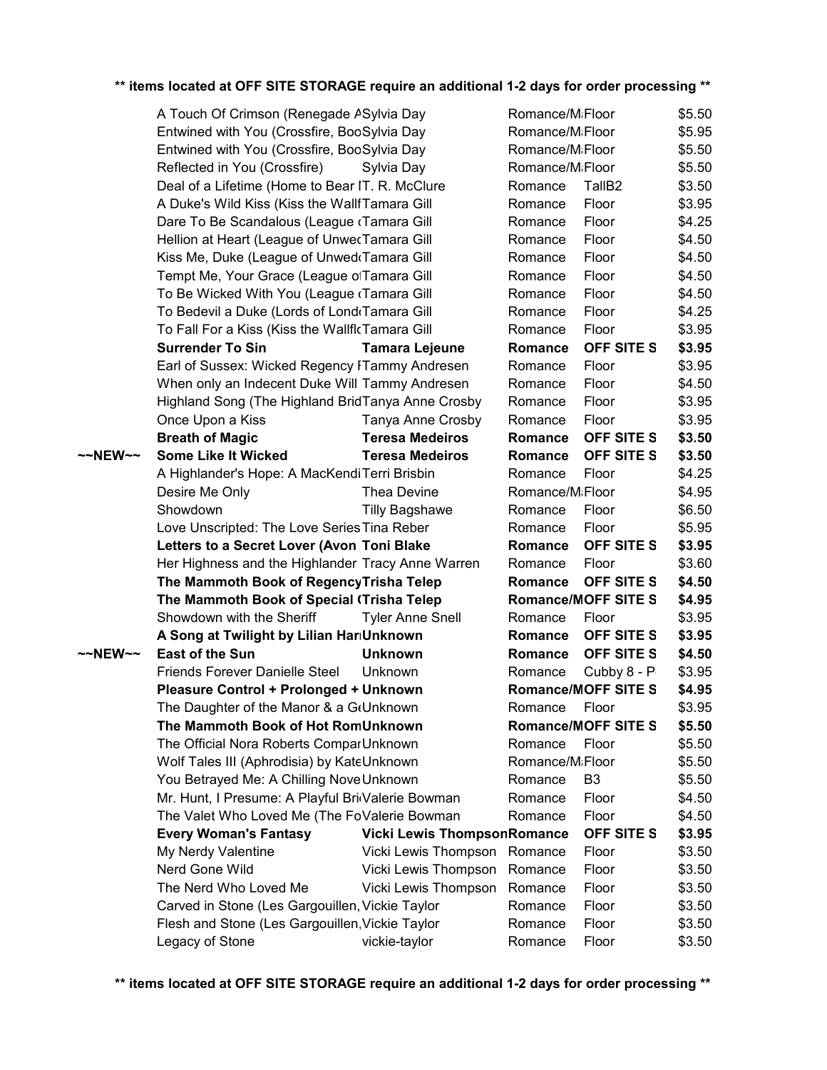|         | A Touch Of Crimson (Renegade ASylvia Day          |                                    | Romance/M <sub>i</sub> Floor |                            | \$5.50 |
|---------|---------------------------------------------------|------------------------------------|------------------------------|----------------------------|--------|
|         | Entwined with You (Crossfire, BooSylvia Day       |                                    | Romance/M <sub>i</sub> Floor |                            | \$5.95 |
|         | Entwined with You (Crossfire, BooSylvia Day       |                                    | Romance/MiFloor              |                            | \$5.50 |
|         | Reflected in You (Crossfire)                      | Sylvia Day                         | Romance/MiFloor              |                            | \$5.50 |
|         | Deal of a Lifetime (Home to Bear IT. R. McClure   |                                    | Romance                      | TallB <sub>2</sub>         | \$3.50 |
|         | A Duke's Wild Kiss (Kiss the WallfTamara Gill     |                                    | Romance                      | Floor                      | \$3.95 |
|         | Dare To Be Scandalous (League (Tamara Gill        |                                    | Romance                      | Floor                      | \$4.25 |
|         | Hellion at Heart (League of UnwecTamara Gill      |                                    | Romance                      | Floor                      | \$4.50 |
|         | Kiss Me, Duke (League of Unwed Tamara Gill        |                                    | Romance                      | Floor                      | \$4.50 |
|         | Tempt Me, Your Grace (League ofTamara Gill        |                                    | Romance                      | Floor                      | \$4.50 |
|         | To Be Wicked With You (League (Tamara Gill        |                                    | Romance                      | Floor                      | \$4.50 |
|         | To Bedevil a Duke (Lords of Lond Tamara Gill      |                                    | Romance                      | Floor                      | \$4.25 |
|         | To Fall For a Kiss (Kiss the WallflcTamara Gill   |                                    | Romance                      | Floor                      | \$3.95 |
|         | <b>Surrender To Sin</b>                           | <b>Tamara Lejeune</b>              | Romance                      | OFF SITE S                 | \$3.95 |
|         | Earl of Sussex: Wicked Regency FTammy Andresen    |                                    | Romance                      | Floor                      | \$3.95 |
|         | When only an Indecent Duke Will Tammy Andresen    |                                    | Romance                      | Floor                      | \$4.50 |
|         | Highland Song (The Highland BridTanya Anne Crosby |                                    | Romance                      | Floor                      | \$3.95 |
|         | Once Upon a Kiss                                  | Tanya Anne Crosby                  | Romance                      | Floor                      | \$3.95 |
|         | <b>Breath of Magic</b>                            | <b>Teresa Medeiros</b>             | Romance                      | OFF SITE S                 | \$3.50 |
| ~~NEW~~ | <b>Some Like It Wicked</b>                        | <b>Teresa Medeiros</b>             | Romance                      | OFF SITE S                 | \$3.50 |
|         | A Highlander's Hope: A MacKendiTerri Brisbin      |                                    | Romance                      | Floor                      | \$4.25 |
|         | Desire Me Only                                    | Thea Devine                        | Romance/M <sub>i</sub> Floor |                            | \$4.95 |
|         | Showdown                                          | <b>Tilly Bagshawe</b>              | Romance                      | Floor                      | \$6.50 |
|         | Love Unscripted: The Love Series Tina Reber       |                                    | Romance                      | Floor                      | \$5.95 |
|         | Letters to a Secret Lover (Avon Toni Blake        |                                    | Romance                      | OFF SITE S                 | \$3.95 |
|         | Her Highness and the Highlander Tracy Anne Warren |                                    | Romance                      | Floor                      | \$3.60 |
|         | The Mammoth Book of RegencyTrisha Telep           |                                    | Romance                      | OFF SITE S                 | \$4.50 |
|         | The Mammoth Book of Special (Trisha Telep         |                                    |                              | <b>Romance/MOFF SITE S</b> | \$4.95 |
|         | Showdown with the Sheriff                         | <b>Tyler Anne Snell</b>            | Romance                      | Floor                      | \$3.95 |
|         | A Song at Twilight by Lilian HariUnknown          |                                    | Romance                      | OFF SITE S                 | \$3.95 |
| ~~NEW~~ | <b>East of the Sun</b>                            | <b>Unknown</b>                     | Romance                      | OFF SITE S                 | \$4.50 |
|         | <b>Friends Forever Danielle Steel</b>             | Unknown                            | Romance                      | Cubby 8 - P                | \$3.95 |
|         | Pleasure Control + Prolonged + Unknown            |                                    |                              | <b>Romance/MOFF SITE S</b> | \$4.95 |
|         | The Daughter of the Manor & a G(Unknown           |                                    | Romance Floor                |                            | \$3.95 |
|         | The Mammoth Book of Hot RomUnknown                |                                    |                              | <b>Romance/MOFF SITE S</b> | \$5.50 |
|         | The Official Nora Roberts ComparUnknown           |                                    | Romance                      | Floor                      | \$5.50 |
|         | Wolf Tales III (Aphrodisia) by KateUnknown        |                                    | Romance/MiFloor              |                            | \$5.50 |
|         | You Betrayed Me: A Chilling Nove Unknown          |                                    | Romance                      | B <sub>3</sub>             | \$5.50 |
|         | Mr. Hunt, I Presume: A Playful BridValerie Bowman |                                    | Romance                      | Floor                      | \$4.50 |
|         | The Valet Who Loved Me (The FoValerie Bowman      |                                    | Romance                      | Floor                      | \$4.50 |
|         | <b>Every Woman's Fantasy</b>                      | <b>Vicki Lewis ThompsonRomance</b> |                              | <b>OFF SITE S</b>          | \$3.95 |
|         | My Nerdy Valentine                                | Vicki Lewis Thompson               | Romance                      | Floor                      | \$3.50 |
|         | Nerd Gone Wild                                    | Vicki Lewis Thompson               | Romance                      | Floor                      | \$3.50 |
|         | The Nerd Who Loved Me                             | Vicki Lewis Thompson               | Romance                      | Floor                      | \$3.50 |
|         | Carved in Stone (Les Gargouillen, Vickie Taylor   |                                    | Romance                      | Floor                      | \$3.50 |
|         | Flesh and Stone (Les Gargouillen, Vickie Taylor   |                                    | Romance                      | Floor                      | \$3.50 |
|         |                                                   |                                    |                              |                            |        |
|         | Legacy of Stone                                   | vickie-taylor                      | Romance                      | Floor                      | \$3.50 |